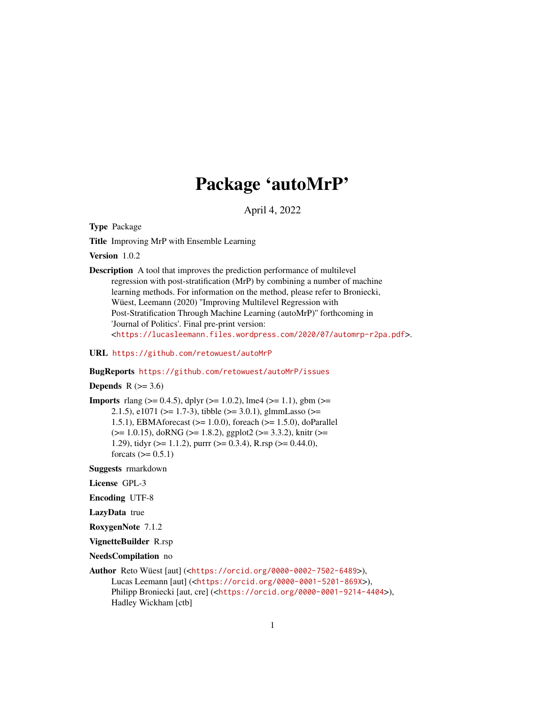# Package 'autoMrP'

April 4, 2022

<span id="page-0-0"></span>Type Package

Title Improving MrP with Ensemble Learning

Version 1.0.2

Description A tool that improves the prediction performance of multilevel regression with post-stratification (MrP) by combining a number of machine learning methods. For information on the method, please refer to Broniecki, Wüest, Leemann (2020) ''Improving Multilevel Regression with Post-Stratification Through Machine Learning (autoMrP)'' forthcoming in 'Journal of Politics'. Final pre-print version: <<https://lucasleemann.files.wordpress.com/2020/07/automrp-r2pa.pdf>>.

URL <https://github.com/retowuest/autoMrP>

BugReports <https://github.com/retowuest/autoMrP/issues>

Depends  $R$  ( $>= 3.6$ )

**Imports** rlang ( $> = 0.4.5$ ), dplyr ( $> = 1.0.2$ ), lme4 ( $> = 1.1$ ), gbm ( $> =$ 2.1.5), e1071 (>= 1.7-3), tibble (>= 3.0.1), glmmLasso (>= 1.5.1), EBMAforecast (>= 1.0.0), foreach (>= 1.5.0), doParallel  $(>= 1.0.15)$ , doRNG  $(>= 1.8.2)$ , ggplot2  $(>= 3.3.2)$ , knitr  $(>= 1.0.15)$ 1.29), tidyr ( $>= 1.1.2$ ), purrr ( $>= 0.3.4$ ), R.rsp ( $>= 0.44.0$ ), forcats  $(>= 0.5.1)$ 

Suggests rmarkdown

License GPL-3

Encoding UTF-8

LazyData true

RoxygenNote 7.1.2

VignetteBuilder R.rsp

NeedsCompilation no

```
Author Reto Wüest [aut] (<https://orcid.org/0000-0002-7502-6489>),
     Lucas Leemann [aut] (<https://orcid.org/0000-0001-5201-869X>),
     Philipp Broniecki [aut, cre] (<https://orcid.org/0000-0001-9214-4404>),
     Hadley Wickham [ctb]
```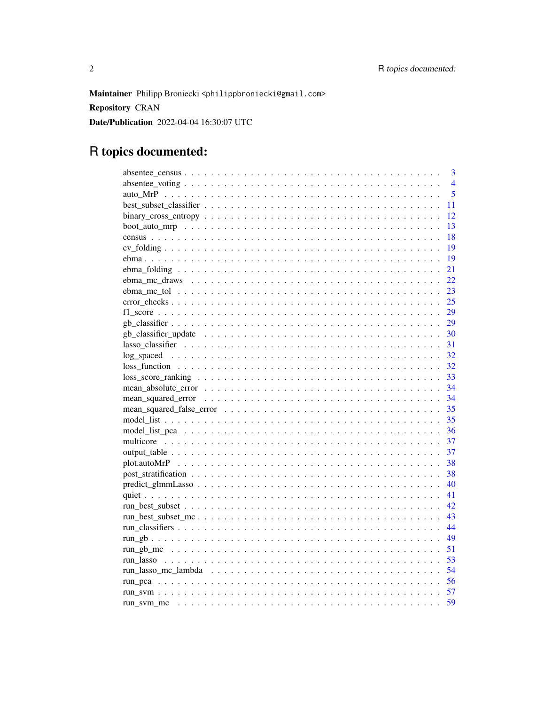Maintainer Philipp Broniecki <philippbroniecki@gmail.com> **Repository CRAN** Date/Publication 2022-04-04 16:30:07 UTC

# R topics documented:

| $\overline{3}$                                                                                                                    |
|-----------------------------------------------------------------------------------------------------------------------------------|
| $\overline{4}$                                                                                                                    |
| 5                                                                                                                                 |
| 11                                                                                                                                |
| 12                                                                                                                                |
| 13                                                                                                                                |
| 18                                                                                                                                |
| 19                                                                                                                                |
| 19                                                                                                                                |
| 21                                                                                                                                |
| 22                                                                                                                                |
| 23                                                                                                                                |
| 25<br>$error\_checks \dots \dots \dots \dots \dots \dots \dots \dots \dots \dots \dots \dots \dots \dots \dots \dots \dots \dots$ |
|                                                                                                                                   |
|                                                                                                                                   |
|                                                                                                                                   |
|                                                                                                                                   |
| 32                                                                                                                                |
| 32                                                                                                                                |
| 33                                                                                                                                |
|                                                                                                                                   |
| 34                                                                                                                                |
|                                                                                                                                   |
| 35                                                                                                                                |
| 36                                                                                                                                |
| 37                                                                                                                                |
| 37                                                                                                                                |
| 38                                                                                                                                |
| 38                                                                                                                                |
| 40                                                                                                                                |
| 41                                                                                                                                |
| 42                                                                                                                                |
| 43                                                                                                                                |
| 44                                                                                                                                |
| 49                                                                                                                                |
| 51                                                                                                                                |
| 53                                                                                                                                |
|                                                                                                                                   |
|                                                                                                                                   |
|                                                                                                                                   |
|                                                                                                                                   |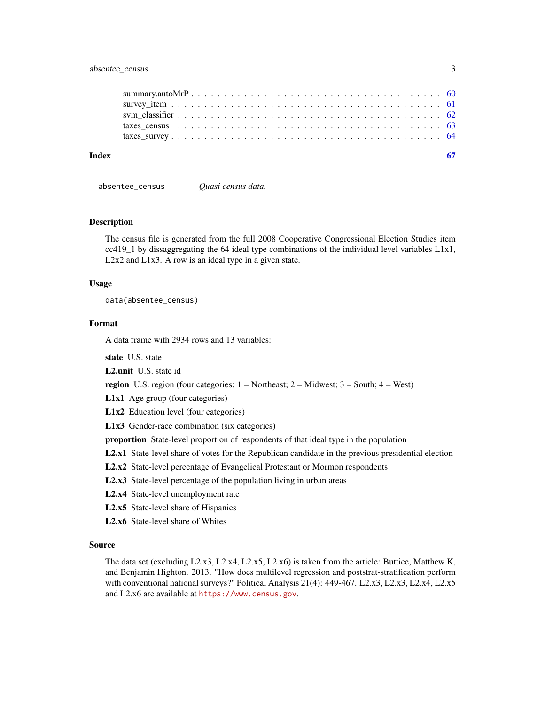# <span id="page-2-0"></span>absentee\_census 3

| Index |                                                                                                           |  |
|-------|-----------------------------------------------------------------------------------------------------------|--|
|       |                                                                                                           |  |
|       | taxes census $\ldots \ldots \ldots \ldots \ldots \ldots \ldots \ldots \ldots \ldots \ldots \ldots \ldots$ |  |
|       |                                                                                                           |  |
|       |                                                                                                           |  |
|       |                                                                                                           |  |

absentee\_census *Quasi census data.*

#### **Description**

The census file is generated from the full 2008 Cooperative Congressional Election Studies item cc419\_1 by dissaggregating the 64 ideal type combinations of the individual level variables L1x1, L2x2 and L1x3. A row is an ideal type in a given state.

#### Usage

data(absentee\_census)

#### Format

A data frame with 2934 rows and 13 variables:

state U.S. state

L2.unit U.S. state id

**region** U.S. region (four categories:  $1 = \text{Northeast}$ ;  $2 = \text{Midwest}$ ;  $3 = \text{South}$ ;  $4 = \text{West}$ )

L1x1 Age group (four categories)

L1x2 Education level (four categories)

L1x3 Gender-race combination (six categories)

proportion State-level proportion of respondents of that ideal type in the population

L2.x1 State-level share of votes for the Republican candidate in the previous presidential election

- L2.x2 State-level percentage of Evangelical Protestant or Mormon respondents
- L2.x3 State-level percentage of the population living in urban areas

L2.x4 State-level unemployment rate

L2.x5 State-level share of Hispanics

L2.x6 State-level share of Whites

#### Source

The data set (excluding L2.x3, L2.x4, L2.x5, L2.x6) is taken from the article: Buttice, Matthew K, and Benjamin Highton. 2013. "How does multilevel regression and poststrat-stratification perform with conventional national surveys?" Political Analysis 21(4): 449-467. L2.x3, L2.x3, L2.x4, L2.x5 and L2.x6 are available at <https://www.census.gov>.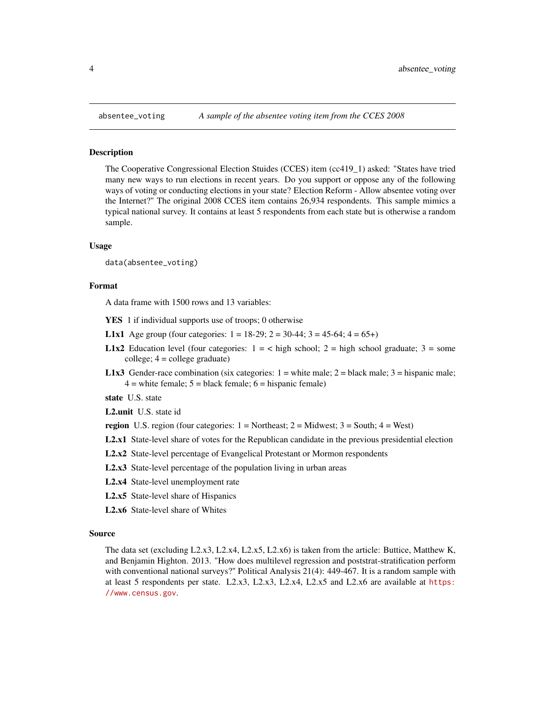<span id="page-3-0"></span>

#### Description

The Cooperative Congressional Election Stuides (CCES) item (cc419\_1) asked: "States have tried many new ways to run elections in recent years. Do you support or oppose any of the following ways of voting or conducting elections in your state? Election Reform - Allow absentee voting over the Internet?" The original 2008 CCES item contains 26,934 respondents. This sample mimics a typical national survey. It contains at least 5 respondents from each state but is otherwise a random sample.

#### Usage

data(absentee\_voting)

#### Format

A data frame with 1500 rows and 13 variables:

- YES 1 if individual supports use of troops; 0 otherwise
- **L1x1** Age group (four categories:  $1 = 18-29$ ;  $2 = 30-44$ ;  $3 = 45-64$ ;  $4 = 65+$ )
- **L1x2** Education level (four categories:  $1 = \langle$  high school;  $2 =$  high school graduate;  $3 =$  some college; 4 = college graduate)
- **L1x3** Gender-race combination (six categories:  $1 =$  white male;  $2 =$  black male;  $3 =$  hispanic male;  $4 =$  white female;  $5 =$  black female;  $6 =$  hispanic female)

state U.S. state

L2.unit U.S. state id

- region U.S. region (four categories:  $1 = \text{Northeast}$ ;  $2 = \text{Midwest}$ ;  $3 = \text{South}$ ;  $4 = \text{West}$ )
- L2.x1 State-level share of votes for the Republican candidate in the previous presidential election
- L2.x2 State-level percentage of Evangelical Protestant or Mormon respondents
- L2.x3 State-level percentage of the population living in urban areas
- L2.x4 State-level unemployment rate
- L2.x5 State-level share of Hispanics
- L2.x6 State-level share of Whites

#### Source

The data set (excluding L2.x3, L2.x4, L2.x5, L2.x6) is taken from the article: Buttice, Matthew K, and Benjamin Highton. 2013. "How does multilevel regression and poststrat-stratification perform with conventional national surveys?" Political Analysis 21(4): 449-467. It is a random sample with at least 5 respondents per state. L2.x3, L2.x3, L2.x4, L2.x5 and L2.x6 are available at [https:](https://www.census.gov) [//www.census.gov](https://www.census.gov).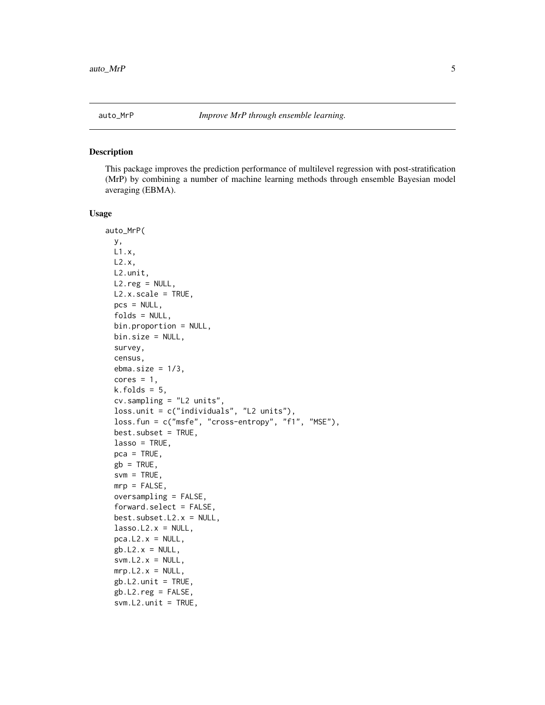#### <span id="page-4-0"></span>Description

This package improves the prediction performance of multilevel regression with post-stratification (MrP) by combining a number of machine learning methods through ensemble Bayesian model averaging (EBMA).

#### Usage

```
auto_MrP(
 y,
 L1.x,
 L2.x,
 L2.unit,
 L2.reg = NULL,
 L2.x.scale = TRUE,
 pcs = NULL,
  folds = NULL,
 bin.proportion = NULL,
 bin.size = NULL,
  survey,
  census,
  ebma.size = 1/3.
  cores = 1,k.folds = 5,
  cv.sampling = "L2 units",
  loss.unit = c("individuals", "L2 units"),
  loss.fun = c("msfe", "cross-entropy", "f1", "MSE"),
  best.subset = TRUE,
  lasso = TRUE,pca = TRUE,gb = TRUE,svm = TRUE,mrp = FALSE,
 oversampling = FALSE,
  forward.select = FALSE,
  best.subset.L2.x = NULL,
  lasso.L2.x = NULL,pca.L2.x = NULL,gb.L2.x = NULL,
  sum.L2.x = NULL,mrp.L2.x = NULL,gb.L2.unit = TRUE,
  gb.L2.reg = FALSE,
  sum.L2.unit = TRUE,
```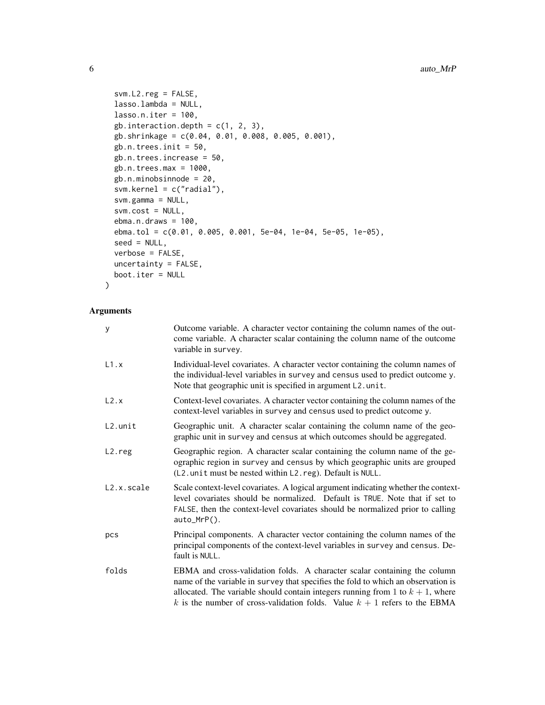```
svm.L2.reg = FALSE,
 lasso.lambda = NULL,
  lasso.n.iter = 100,gb.interaction.depth = c(1, 2, 3),
 gb.shrinkage = c(0.04, 0.01, 0.008, 0.005, 0.001),
 gb.n.trees.init = 50,
 gb.n.trees.increase = 50,
 gb.n.trees.max = 1000,
  gb.n.minobsinnode = 20,
  svm.kernel = c("radial"),
  svm.gamma = NULL,
  svm.cost = NULL,
 ebma.n.draws = 100,ebma.tol = c(0.01, 0.005, 0.001, 5e-04, 1e-04, 5e-05, 1e-05),
  seed = NULL,
 verbose = FALSE,
 uncertainty = FALSE,
 boot.iter = NULL
\mathcal{L}
```

| У          | Outcome variable. A character vector containing the column names of the out-<br>come variable. A character scalar containing the column name of the outcome<br>variable in survey.                                                                                                                                                 |
|------------|------------------------------------------------------------------------------------------------------------------------------------------------------------------------------------------------------------------------------------------------------------------------------------------------------------------------------------|
| L1.x       | Individual-level covariates. A character vector containing the column names of<br>the individual-level variables in survey and census used to predict outcome y.<br>Note that geographic unit is specified in argument L2. unit.                                                                                                   |
| L2.x       | Context-level covariates. A character vector containing the column names of the<br>context-level variables in survey and census used to predict outcome y.                                                                                                                                                                         |
| L2.unit    | Geographic unit. A character scalar containing the column name of the geo-<br>graphic unit in survey and census at which outcomes should be aggregated.                                                                                                                                                                            |
| L2.reg     | Geographic region. A character scalar containing the column name of the ge-<br>ographic region in survey and census by which geographic units are grouped<br>(L2. unit must be nested within L2. reg). Default is NULL.                                                                                                            |
| L2.x.scale | Scale context-level covariates. A logical argument indicating whether the context-<br>level covariates should be normalized. Default is TRUE. Note that if set to<br>FALSE, then the context-level covariates should be normalized prior to calling<br>$auto_MrP()$ .                                                              |
| pcs        | Principal components. A character vector containing the column names of the<br>principal components of the context-level variables in survey and census. De-<br>fault is NULL.                                                                                                                                                     |
| folds      | EBMA and cross-validation folds. A character scalar containing the column<br>name of the variable in survey that specifies the fold to which an observation is<br>allocated. The variable should contain integers running from 1 to $k + 1$ , where<br>k is the number of cross-validation folds. Value $k + 1$ refers to the EBMA |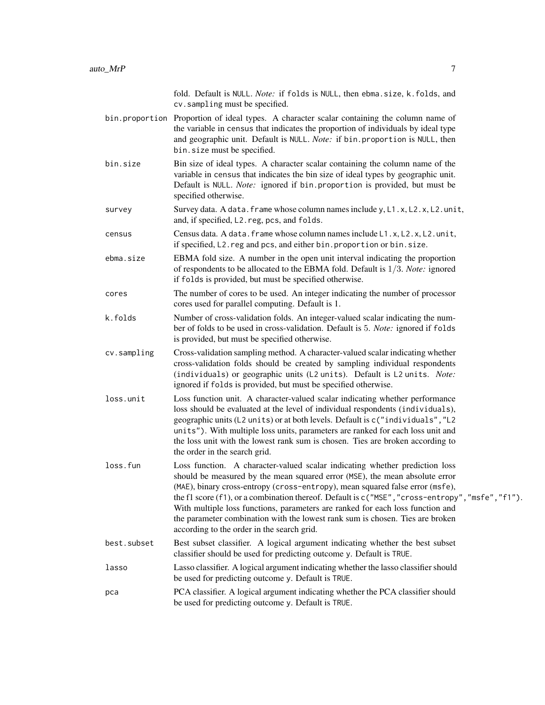|             | fold. Default is NULL. Note: if folds is NULL, then ebma.size, k.folds, and<br>cv.sampling must be specified.                                                                                                                                                                                                                                                                                                                                                                                                                                                     |
|-------------|-------------------------------------------------------------------------------------------------------------------------------------------------------------------------------------------------------------------------------------------------------------------------------------------------------------------------------------------------------------------------------------------------------------------------------------------------------------------------------------------------------------------------------------------------------------------|
|             | bin.proportion Proportion of ideal types. A character scalar containing the column name of<br>the variable in census that indicates the proportion of individuals by ideal type<br>and geographic unit. Default is NULL. Note: if bin. proportion is NULL, then<br>bin. size must be specified.                                                                                                                                                                                                                                                                   |
| bin.size    | Bin size of ideal types. A character scalar containing the column name of the<br>variable in census that indicates the bin size of ideal types by geographic unit.<br>Default is NULL. Note: ignored if bin. proportion is provided, but must be<br>specified otherwise.                                                                                                                                                                                                                                                                                          |
| survey      | Survey data. A data. frame whose column names include y, L1.x, L2.x, L2.unit,<br>and, if specified, L2. reg, pcs, and folds.                                                                                                                                                                                                                                                                                                                                                                                                                                      |
| census      | Census data. A data. frame whose column names include L1.x, L2.x, L2.unit,<br>if specified, L2. reg and pcs, and either bin. proportion or bin. size.                                                                                                                                                                                                                                                                                                                                                                                                             |
| ebma.size   | EBMA fold size. A number in the open unit interval indicating the proportion<br>of respondents to be allocated to the EBMA fold. Default is $1/3$ . Note: ignored<br>if folds is provided, but must be specified otherwise.                                                                                                                                                                                                                                                                                                                                       |
| cores       | The number of cores to be used. An integer indicating the number of processor<br>cores used for parallel computing. Default is 1.                                                                                                                                                                                                                                                                                                                                                                                                                                 |
| k.folds     | Number of cross-validation folds. An integer-valued scalar indicating the num-<br>ber of folds to be used in cross-validation. Default is 5. Note: ignored if folds<br>is provided, but must be specified otherwise.                                                                                                                                                                                                                                                                                                                                              |
| cv.sampling | Cross-validation sampling method. A character-valued scalar indicating whether<br>cross-validation folds should be created by sampling individual respondents<br>(individuals) or geographic units (L2 units). Default is L2 units. Note:<br>ignored if folds is provided, but must be specified otherwise.                                                                                                                                                                                                                                                       |
| loss.unit   | Loss function unit. A character-valued scalar indicating whether performance<br>loss should be evaluated at the level of individual respondents (individuals),<br>geographic units (L2 units) or at both levels. Default is c("individuals", "L2<br>units"). With multiple loss units, parameters are ranked for each loss unit and<br>the loss unit with the lowest rank sum is chosen. Ties are broken according to<br>the order in the search grid.                                                                                                            |
| loss.fun    | Loss function. A character-valued scalar indicating whether prediction loss<br>should be measured by the mean squared error (MSE), the mean absolute error<br>(MAE), binary cross-entropy (cross-entropy), mean squared false error (msfe),<br>the f1 score (f1), or a combination thereof. Default is c ("MSE", "cross-entropy", "msfe", "f1").<br>With multiple loss functions, parameters are ranked for each loss function and<br>the parameter combination with the lowest rank sum is chosen. Ties are broken<br>according to the order in the search grid. |
| best.subset | Best subset classifier. A logical argument indicating whether the best subset<br>classifier should be used for predicting outcome y. Default is TRUE.                                                                                                                                                                                                                                                                                                                                                                                                             |
| lasso       | Lasso classifier. A logical argument indicating whether the lasso classifier should<br>be used for predicting outcome y. Default is TRUE.                                                                                                                                                                                                                                                                                                                                                                                                                         |
| рса         | PCA classifier. A logical argument indicating whether the PCA classifier should<br>be used for predicting outcome y. Default is TRUE.                                                                                                                                                                                                                                                                                                                                                                                                                             |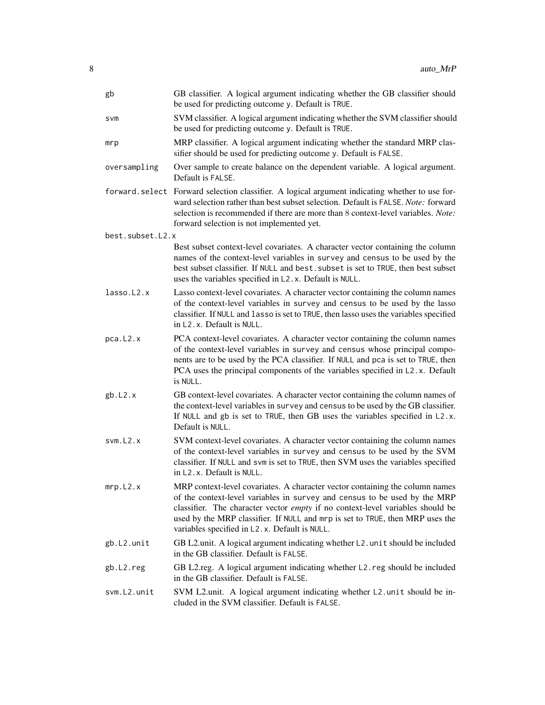| gb               | GB classifier. A logical argument indicating whether the GB classifier should<br>be used for predicting outcome y. Default is TRUE.                                                                                                                                                                                                                                           |
|------------------|-------------------------------------------------------------------------------------------------------------------------------------------------------------------------------------------------------------------------------------------------------------------------------------------------------------------------------------------------------------------------------|
| svm              | SVM classifier. A logical argument indicating whether the SVM classifier should<br>be used for predicting outcome y. Default is TRUE.                                                                                                                                                                                                                                         |
| mrp              | MRP classifier. A logical argument indicating whether the standard MRP clas-<br>sifier should be used for predicting outcome y. Default is FALSE.                                                                                                                                                                                                                             |
| oversampling     | Over sample to create balance on the dependent variable. A logical argument.<br>Default is FAI SF.                                                                                                                                                                                                                                                                            |
|                  | forward. select Forward selection classifier. A logical argument indicating whether to use for-<br>ward selection rather than best subset selection. Default is FALSE. Note: forward<br>selection is recommended if there are more than 8 context-level variables. Note:<br>forward selection is not implemented yet.                                                         |
| best.subset.L2.x |                                                                                                                                                                                                                                                                                                                                                                               |
|                  | Best subset context-level covariates. A character vector containing the column<br>names of the context-level variables in survey and census to be used by the<br>best subset classifier. If NULL and best. subset is set to TRUE, then best subset<br>uses the variables specified in L2.x. Default is NULL.                                                                  |
| lasso.L2.x       | Lasso context-level covariates. A character vector containing the column names<br>of the context-level variables in survey and census to be used by the lasso<br>classifier. If NULL and lasso is set to TRUE, then lasso uses the variables specified<br>in L <sub>2</sub> , x. Default is NULL.                                                                             |
| pca.L2.x         | PCA context-level covariates. A character vector containing the column names<br>of the context-level variables in survey and census whose principal compo-<br>nents are to be used by the PCA classifier. If NULL and pca is set to TRUE, then<br>PCA uses the principal components of the variables specified in L2.x. Default<br>is NULL.                                   |
| gb.L2.x          | GB context-level covariates. A character vector containing the column names of<br>the context-level variables in survey and census to be used by the GB classifier.<br>If NULL and gb is set to TRUE, then GB uses the variables specified in L2.x.<br>Default is NULL.                                                                                                       |
| svm.12.x         | SVM context-level covariates. A character vector containing the column names<br>of the context-level variables in survey and census to be used by the SVM<br>classifier. If NULL and svm is set to TRUE, then SVM uses the variables specified<br>in L <sub>2</sub> , x. Default is NULL.                                                                                     |
| mrp.L2.x         | MRP context-level covariates. A character vector containing the column names<br>of the context-level variables in survey and census to be used by the MRP<br>classifier. The character vector empty if no context-level variables should be<br>used by the MRP classifier. If NULL and mrp is set to TRUE, then MRP uses the<br>variables specified in L2.x. Default is NULL. |
| gb.L2.unit       | GB L2.unit. A logical argument indicating whether L2.unit should be included<br>in the GB classifier. Default is FALSE.                                                                                                                                                                                                                                                       |
| gb.L2.reg        | GB L2.reg. A logical argument indicating whether L2.reg should be included<br>in the GB classifier. Default is FALSE.                                                                                                                                                                                                                                                         |
| svm.L2.unit      | SVM L2.unit. A logical argument indicating whether L2.unit should be in-<br>cluded in the SVM classifier. Default is FALSE.                                                                                                                                                                                                                                                   |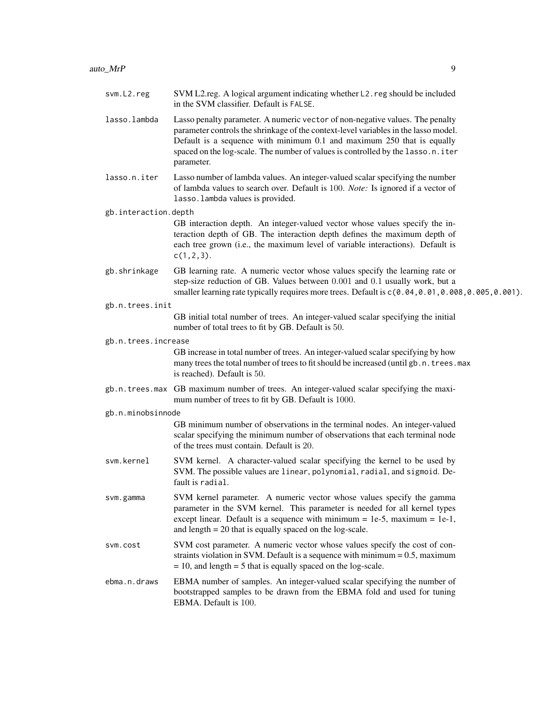| svm.L2.reg           | SVM L2.reg. A logical argument indicating whether L2.reg should be included<br>in the SVM classifier. Default is FALSE.                                                                                                                                                                                                                         |
|----------------------|-------------------------------------------------------------------------------------------------------------------------------------------------------------------------------------------------------------------------------------------------------------------------------------------------------------------------------------------------|
| lasso.lambda         | Lasso penalty parameter. A numeric vector of non-negative values. The penalty<br>parameter controls the shrinkage of the context-level variables in the lasso model.<br>Default is a sequence with minimum 0.1 and maximum 250 that is equally<br>spaced on the log-scale. The number of values is controlled by the lasso.n.iter<br>parameter. |
| lasso.n.iter         | Lasso number of lambda values. An integer-valued scalar specifying the number<br>of lambda values to search over. Default is 100. Note: Is ignored if a vector of<br>lasso. lambda values is provided.                                                                                                                                          |
| gb.interaction.depth | GB interaction depth. An integer-valued vector whose values specify the in-<br>teraction depth of GB. The interaction depth defines the maximum depth of<br>each tree grown (i.e., the maximum level of variable interactions). Default is<br>$c(1, 2, 3)$ .                                                                                    |
| gb.shrinkage         | GB learning rate. A numeric vector whose values specify the learning rate or<br>step-size reduction of GB. Values between 0.001 and 0.1 usually work, but a<br>smaller learning rate typically requires more trees. Default is $c(0.04, 0.01, 0.008, 0.005, 0.001)$ .                                                                           |
| gb.n.trees.init      |                                                                                                                                                                                                                                                                                                                                                 |
|                      | GB initial total number of trees. An integer-valued scalar specifying the initial<br>number of total trees to fit by GB. Default is 50.                                                                                                                                                                                                         |
| gb.n.trees.increase  |                                                                                                                                                                                                                                                                                                                                                 |
|                      | GB increase in total number of trees. An integer-valued scalar specifying by how<br>many trees the total number of trees to fit should be increased (until gb. n. trees. max<br>is reached). Default is 50.                                                                                                                                     |
|                      | gb.n.trees.max GB maximum number of trees. An integer-valued scalar specifying the maxi-<br>mum number of trees to fit by GB. Default is 1000.                                                                                                                                                                                                  |
| gb.n.minobsinnode    |                                                                                                                                                                                                                                                                                                                                                 |
|                      | GB minimum number of observations in the terminal nodes. An integer-valued<br>scalar specifying the minimum number of observations that each terminal node<br>of the trees must contain. Default is 20.                                                                                                                                         |
| svm.kernel           | SVM kernel. A character-valued scalar specifying the kernel to be used by<br>SVM. The possible values are linear, polynomial, radial, and sigmoid. De-<br>fault is radial.                                                                                                                                                                      |
| svm.gamma            | SVM kernel parameter. A numeric vector whose values specify the gamma<br>parameter in the SVM kernel. This parameter is needed for all kernel types<br>except linear. Default is a sequence with minimum = $1e-5$ , maximum = $1e-1$ ,<br>and length $= 20$ that is equally spaced on the log-scale.                                            |
| svm.cost             | SVM cost parameter. A numeric vector whose values specify the cost of con-<br>straints violation in SVM. Default is a sequence with minimum $= 0.5$ , maximum<br>$= 10$ , and length $= 5$ that is equally spaced on the log-scale.                                                                                                             |
| ebma.n.draws         | EBMA number of samples. An integer-valued scalar specifying the number of<br>bootstrapped samples to be drawn from the EBMA fold and used for tuning<br>EBMA. Default is 100.                                                                                                                                                                   |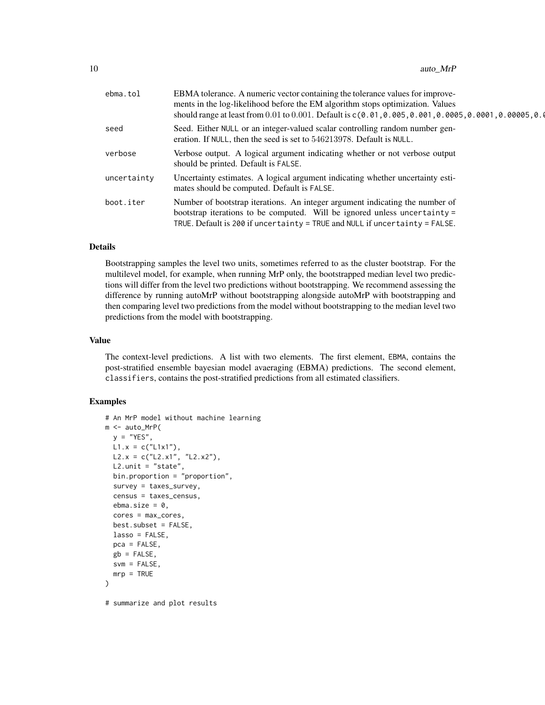| ebma.tol    | EBMA tolerance. A numeric vector containing the tolerance values for improve-<br>ments in the log-likelihood before the EM algorithm stops optimization. Values<br>should range at least from 0.01 to 0.001. Default is $c(0.01, 0.005, 0.001, 0.0005, 0.0001, 0.00005, 0.00005, 0.00005)$ |
|-------------|--------------------------------------------------------------------------------------------------------------------------------------------------------------------------------------------------------------------------------------------------------------------------------------------|
| seed        | Seed. Either NULL or an integer-valued scalar controlling random number gen-<br>eration. If NULL, then the seed is set to 546213978. Default is NULL.                                                                                                                                      |
| verbose     | Verbose output. A logical argument indicating whether or not verbose output<br>should be printed. Default is FALSE.                                                                                                                                                                        |
| uncertainty | Uncertainty estimates. A logical argument indicating whether uncertainty esti-<br>mates should be computed. Default is FALSE.                                                                                                                                                              |
| boot.iter   | Number of bootstrap iterations. An integer argument indicating the number of<br>bootstrap iterations to be computed. Will be ignored unless uncertainty =<br>TRUE. Default is 200 if uncertainty = TRUE and NULL if uncertainty = FALSE.                                                   |

#### Details

Bootstrapping samples the level two units, sometimes referred to as the cluster bootstrap. For the multilevel model, for example, when running MrP only, the bootstrapped median level two predictions will differ from the level two predictions without bootstrapping. We recommend assessing the difference by running autoMrP without bootstrapping alongside autoMrP with bootstrapping and then comparing level two predictions from the model without bootstrapping to the median level two predictions from the model with bootstrapping.

#### Value

The context-level predictions. A list with two elements. The first element, EBMA, contains the post-stratified ensemble bayesian model avaeraging (EBMA) predictions. The second element, classifiers, contains the post-stratified predictions from all estimated classifiers.

#### Examples

```
# An MrP model without machine learning
m <- auto_MrP(
 y = "YES",L1.x = c("L1x1"),
 L2.x = c("L2.x1", "L2.x2"),L2.unit = "state",
 bin.proportion = "proportion",
 survey = taxes_survey,
 census = taxes_census,
 ebma.size = 0,
 cores = max_cores,
 best.subset = FALSE,
 lasso = FALSE,
 pca = FALSE,
 gb = FALSE,svm = FALSE,
 mrp = TRUE)
# summarize and plot results
```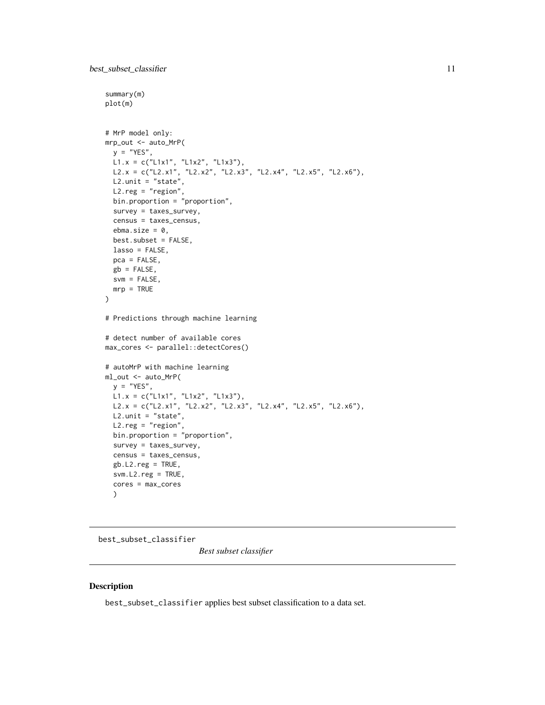```
summary(m)
plot(m)
# MrP model only:
mrp_out <- auto_MrP(
 y = "YES",L1.x = c("L1x1", "L1x2", "L1x3"),L2.x = c("L2.x1", "L2.x2", "L2.x3", "L2.x4", "L2.x5", "L2.x6"),
 L2.unit = "state",L2.reg = "region",
  bin.proportion = "proportion",
  survey = taxes_survey,
  census = taxes_census,
  ebma.size = 0,
  best.subset = FALSE,
  lasso = FALSE,
 pca = FALSE,
 gb = FALSE,svm = FALSE,
  mrp = TRUE
\lambda# Predictions through machine learning
# detect number of available cores
max_cores <- parallel::detectCores()
# autoMrP with machine learning
ml_out <- auto_MrP(
 y = "YES",L1.x = c("L1x1", "L1x2", "L1x3"),L2.x = c("L2.x1", "L2.x2", "L2.x3", "L2.x4", "L2.x5", "L2.x6"),
 L2.unit = "state",L2.reg = "region",
  bin.proportion = "proportion",
  survey = taxes_survey,
  census = taxes_census,
  gb.L2.reg = TRUE,svm.L2.reg = TRUE,
  cores = max_cores
  )
```
best\_subset\_classifier

*Best subset classifier*

#### Description

best\_subset\_classifier applies best subset classification to a data set.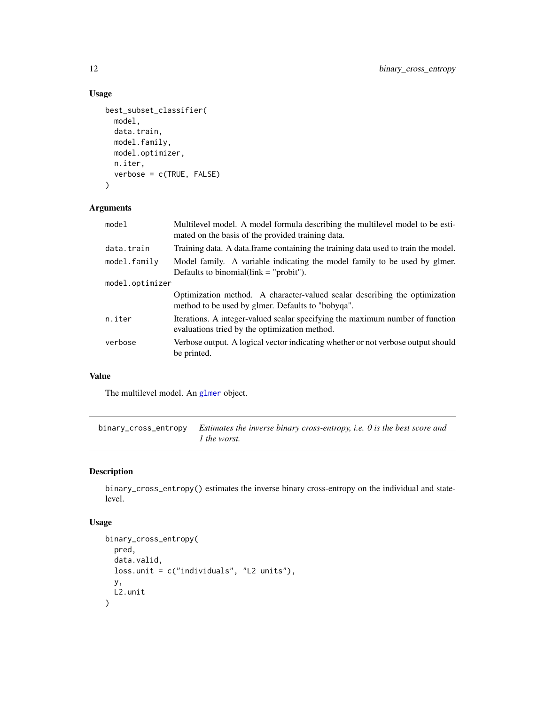# Usage

```
best_subset_classifier(
 model,
  data.train,
 model.family,
 model.optimizer,
 n.iter,
  verbose = c(TRUE, FALSE)
)
```
# Arguments

| model           | Multilevel model. A model formula describing the multilevel model to be esti-<br>mated on the basis of the provided training data.   |  |
|-----------------|--------------------------------------------------------------------------------------------------------------------------------------|--|
| data.train      | Training data. A data frame containing the training data used to train the model.                                                    |  |
| model.family    | Model family. A variable indicating the model family to be used by glmer.<br>Defaults to binomial $\text{link} = \text{``probit''}.$ |  |
| model.optimizer |                                                                                                                                      |  |
|                 | Optimization method. A character-valued scalar describing the optimization<br>method to be used by glmer. Defaults to "bobyqa".      |  |
| n.iter          | Iterations. A integer-valued scalar specifying the maximum number of function<br>evaluations tried by the optimization method.       |  |
| verbose         | Verbose output. A logical vector indicating whether or not verbose output should<br>be printed.                                      |  |
|                 |                                                                                                                                      |  |

# Value

The multilevel model. An [glmer](#page-0-0) object.

binary\_cross\_entropy *Estimates the inverse binary cross-entropy, i.e. 0 is the best score and 1 the worst.*

# Description

binary\_cross\_entropy() estimates the inverse binary cross-entropy on the individual and statelevel.

# Usage

```
binary_cross_entropy(
  pred,
  data.valid,
  loss.unit = c("individuals", "L2 units"),
  y,
  L2.unit
\mathcal{L}
```
<span id="page-11-0"></span>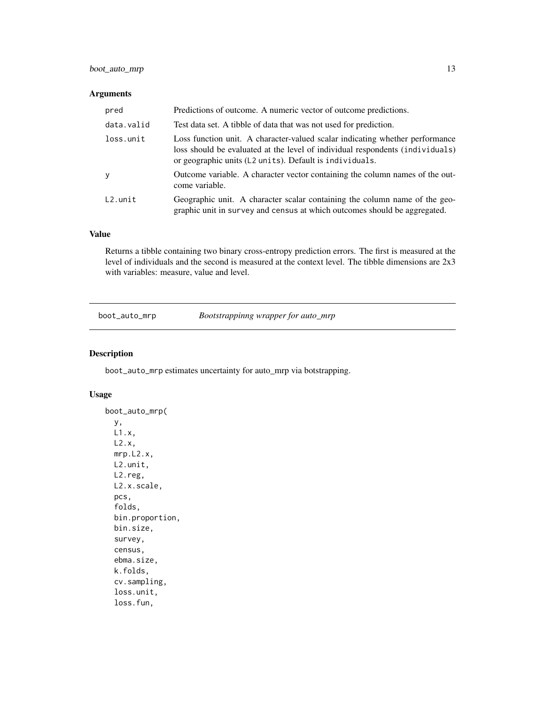# <span id="page-12-0"></span>boot\_auto\_mrp 13

#### Arguments

| pred       | Predictions of outcome. A numeric vector of outcome predictions.                                                                                                                                                         |
|------------|--------------------------------------------------------------------------------------------------------------------------------------------------------------------------------------------------------------------------|
| data.valid | Test data set. A tibble of data that was not used for prediction.                                                                                                                                                        |
| loss.unit  | Loss function unit. A character-valued scalar indicating whether performance<br>loss should be evaluated at the level of individual respondents (individuals)<br>or geographic units (L2 units). Default is individuals. |
| <b>y</b>   | Outcome variable. A character vector containing the column names of the out-<br>come variable.                                                                                                                           |
| $L2.$ unit | Geographic unit. A character scalar containing the column name of the geo-<br>graphic unit in survey and census at which outcomes should be aggregated.                                                                  |

# Value

Returns a tibble containing two binary cross-entropy prediction errors. The first is measured at the level of individuals and the second is measured at the context level. The tibble dimensions are 2x3 with variables: measure, value and level.

boot\_auto\_mrp *Bootstrappinng wrapper for auto\_mrp*

#### Description

boot\_auto\_mrp estimates uncertainty for auto\_mrp via botstrapping.

#### Usage

```
boot_auto_mrp(
 y,
 L1.x,
 L2.x,
 mrp.L2.x,
 L2.unit,
 L2.reg,
 L2.x.scale,
 pcs,
  folds,
 bin.proportion,
 bin.size,
  survey,
  census,
  ebma.size,
  k.folds,
  cv.sampling,
  loss.unit,
  loss.fun,
```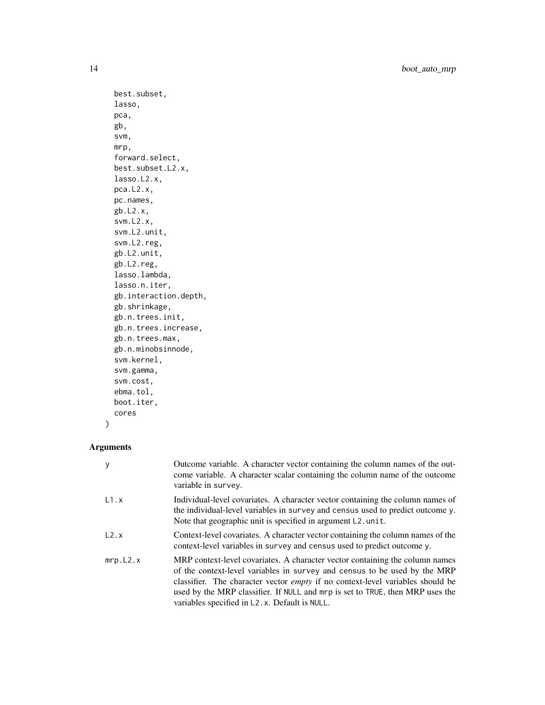```
best.subset,
lasso,
pca,
gb,
svm,
mrp,
forward.select,
best.subset.L2.x,
lasso.L2.x,
pca.L2.x,
pc.names,
gb.L2.x,
svm.L2.x,
svm.L2.unit,
svm.L2.reg,
gb.L2.unit,
gb.L2.reg,
lasso.lambda,
lasso.n.iter,
gb.interaction.depth,
gb.shrinkage,
gb.n.trees.init,
gb.n.trees.increase,
gb.n.trees.max,
gb.n.minobsinnode,
svm.kernel,
svm.gamma,
svm.cost,
ebma.tol,
boot.iter,
cores
```
# Arguments

)

| y        | Outcome variable. A character vector containing the column names of the out-<br>come variable. A character scalar containing the column name of the outcome<br>variable in survey.                                                                                                                                                                                                   |
|----------|--------------------------------------------------------------------------------------------------------------------------------------------------------------------------------------------------------------------------------------------------------------------------------------------------------------------------------------------------------------------------------------|
| L1.x     | Individual-level covariates. A character vector containing the column names of<br>the individual-level variables in survey and census used to predict outcome y.<br>Note that geographic unit is specified in argument L2.unit.                                                                                                                                                      |
| L2.x     | Context-level covariates. A character vector containing the column names of the<br>context-level variables in survey and census used to predict outcome y.                                                                                                                                                                                                                           |
| mrp.L2.x | MRP context-level covariates. A character vector containing the column names<br>of the context-level variables in survey and census to be used by the MRP<br>classifier. The character vector <i>empty</i> if no context-level variables should be<br>used by the MRP classifier. If NULL and mrp is set to TRUE, then MRP uses the<br>variables specified in L2.x. Default is NULL. |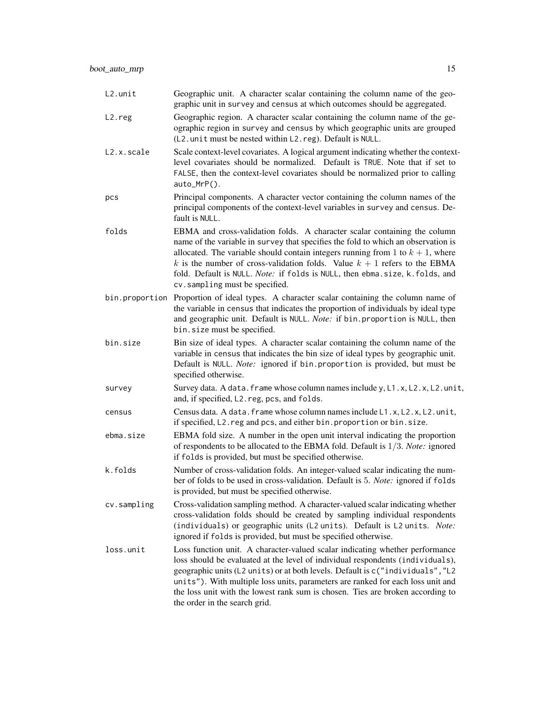| L2.unit             | Geographic unit. A character scalar containing the column name of the geo-<br>graphic unit in survey and census at which outcomes should be aggregated.                                                                                                                                                                                                                                                                                                |
|---------------------|--------------------------------------------------------------------------------------------------------------------------------------------------------------------------------------------------------------------------------------------------------------------------------------------------------------------------------------------------------------------------------------------------------------------------------------------------------|
| L <sub>2</sub> .reg | Geographic region. A character scalar containing the column name of the ge-<br>ographic region in survey and census by which geographic units are grouped<br>(L2. unit must be nested within L2. reg). Default is NULL.                                                                                                                                                                                                                                |
| L2.x.scale          | Scale context-level covariates. A logical argument indicating whether the context-<br>level covariates should be normalized. Default is TRUE. Note that if set to<br>FALSE, then the context-level covariates should be normalized prior to calling<br>auto_MrP().                                                                                                                                                                                     |
| pcs                 | Principal components. A character vector containing the column names of the<br>principal components of the context-level variables in survey and census. De-<br>fault is NULL.                                                                                                                                                                                                                                                                         |
| folds               | EBMA and cross-validation folds. A character scalar containing the column<br>name of the variable in survey that specifies the fold to which an observation is<br>allocated. The variable should contain integers running from 1 to $k + 1$ , where<br>k is the number of cross-validation folds. Value $k + 1$ refers to the EBMA<br>fold. Default is NULL. Note: if folds is NULL, then ebma.size, k.folds, and<br>cv.sampling must be specified.    |
| bin.proportion      | Proportion of ideal types. A character scalar containing the column name of<br>the variable in census that indicates the proportion of individuals by ideal type<br>and geographic unit. Default is NULL. Note: if bin. proportion is NULL, then<br>bin.size must be specified.                                                                                                                                                                        |
| bin.size            | Bin size of ideal types. A character scalar containing the column name of the<br>variable in census that indicates the bin size of ideal types by geographic unit.<br>Default is NULL. Note: ignored if bin. proportion is provided, but must be<br>specified otherwise.                                                                                                                                                                               |
| survey              | Survey data. A data. frame whose column names include y, L1.x, L2.x, L2.unit,<br>and, if specified, L2. reg, pcs, and folds.                                                                                                                                                                                                                                                                                                                           |
| census              | Census data. A data. frame whose column names include L1.x, L2.x, L2.unit,<br>if specified, L2. reg and pcs, and either bin. proportion or bin. size.                                                                                                                                                                                                                                                                                                  |
| ebma.size           | EBMA fold size. A number in the open unit interval indicating the proportion<br>of respondents to be allocated to the EBMA fold. Default is $1/3$ . Note: ignored<br>if folds is provided, but must be specified otherwise.                                                                                                                                                                                                                            |
| k.folds             | Number of cross-validation folds. An integer-valued scalar indicating the num-<br>ber of folds to be used in cross-validation. Default is 5. Note: ignored if folds<br>is provided, but must be specified otherwise.                                                                                                                                                                                                                                   |
| cv.sampling         | Cross-validation sampling method. A character-valued scalar indicating whether<br>cross-validation folds should be created by sampling individual respondents<br>(individuals) or geographic units (L2 units). Default is L2 units. Note:<br>ignored if folds is provided, but must be specified otherwise.                                                                                                                                            |
| loss.unit           | Loss function unit. A character-valued scalar indicating whether performance<br>loss should be evaluated at the level of individual respondents (individuals),<br>geographic units (L2 units) or at both levels. Default is c("individuals", "L2<br>units"). With multiple loss units, parameters are ranked for each loss unit and<br>the loss unit with the lowest rank sum is chosen. Ties are broken according to<br>the order in the search grid. |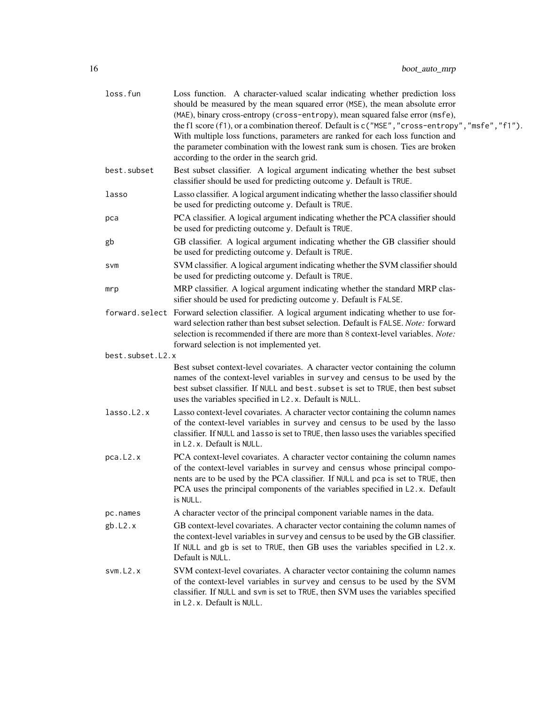| loss.fun         | Loss function. A character-valued scalar indicating whether prediction loss<br>should be measured by the mean squared error (MSE), the mean absolute error<br>(MAE), binary cross-entropy (cross-entropy), mean squared false error (msfe),<br>the f1 score (f1), or a combination thereof. Default is c ("MSE", "cross-entropy", "msfe", "f1").<br>With multiple loss functions, parameters are ranked for each loss function and<br>the parameter combination with the lowest rank sum is chosen. Ties are broken<br>according to the order in the search grid. |
|------------------|-------------------------------------------------------------------------------------------------------------------------------------------------------------------------------------------------------------------------------------------------------------------------------------------------------------------------------------------------------------------------------------------------------------------------------------------------------------------------------------------------------------------------------------------------------------------|
| best.subset      | Best subset classifier. A logical argument indicating whether the best subset<br>classifier should be used for predicting outcome y. Default is TRUE.                                                                                                                                                                                                                                                                                                                                                                                                             |
| lasso            | Lasso classifier. A logical argument indicating whether the lasso classifier should<br>be used for predicting outcome y. Default is TRUE.                                                                                                                                                                                                                                                                                                                                                                                                                         |
| pca              | PCA classifier. A logical argument indicating whether the PCA classifier should<br>be used for predicting outcome y. Default is TRUE.                                                                                                                                                                                                                                                                                                                                                                                                                             |
| gb               | GB classifier. A logical argument indicating whether the GB classifier should<br>be used for predicting outcome y. Default is TRUE.                                                                                                                                                                                                                                                                                                                                                                                                                               |
| <b>SVM</b>       | SVM classifier. A logical argument indicating whether the SVM classifier should<br>be used for predicting outcome y. Default is TRUE.                                                                                                                                                                                                                                                                                                                                                                                                                             |
| mrp              | MRP classifier. A logical argument indicating whether the standard MRP clas-<br>sifier should be used for predicting outcome y. Default is FALSE.                                                                                                                                                                                                                                                                                                                                                                                                                 |
|                  | forward.select Forward selection classifier. A logical argument indicating whether to use for-<br>ward selection rather than best subset selection. Default is FALSE. Note: forward<br>selection is recommended if there are more than 8 context-level variables. Note:<br>forward selection is not implemented yet.                                                                                                                                                                                                                                              |
| best.subset.L2.x |                                                                                                                                                                                                                                                                                                                                                                                                                                                                                                                                                                   |
|                  | Best subset context-level covariates. A character vector containing the column<br>names of the context-level variables in survey and census to be used by the<br>best subset classifier. If NULL and best. subset is set to TRUE, then best subset<br>uses the variables specified in L2.x. Default is NULL.                                                                                                                                                                                                                                                      |
| lasso.L2.x       | Lasso context-level covariates. A character vector containing the column names<br>of the context-level variables in survey and census to be used by the lasso<br>classifier. If NULL and lasso is set to TRUE, then lasso uses the variables specified<br>in L2.x. Default is NULL.                                                                                                                                                                                                                                                                               |
| pca.L2.x         | PCA context-level covariates. A character vector containing the column names<br>of the context-level variables in survey and census whose principal compo-<br>nents are to be used by the PCA classifier. If NULL and pca is set to TRUE, then<br>PCA uses the principal components of the variables specified in L2.x. Default<br>is NULL.                                                                                                                                                                                                                       |
| pc.names         | A character vector of the principal component variable names in the data.                                                                                                                                                                                                                                                                                                                                                                                                                                                                                         |
| gb.L2.x          | GB context-level covariates. A character vector containing the column names of<br>the context-level variables in survey and census to be used by the GB classifier.<br>If NULL and gb is set to TRUE, then GB uses the variables specified in L2.x.<br>Default is NULL.                                                                                                                                                                                                                                                                                           |
| sum.L2.x         | SVM context-level covariates. A character vector containing the column names<br>of the context-level variables in survey and census to be used by the SVM<br>classifier. If NULL and svm is set to TRUE, then SVM uses the variables specified<br>in L2.x. Default is NULL.                                                                                                                                                                                                                                                                                       |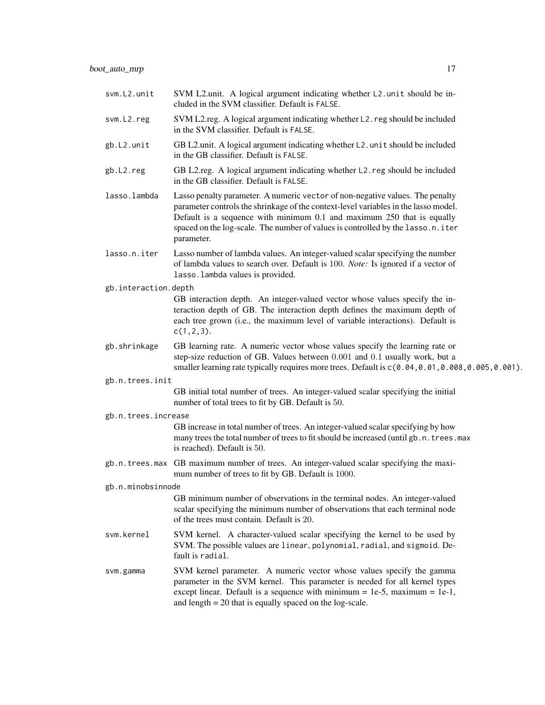| svm.L2.unit          | SVM L2.unit. A logical argument indicating whether L2.unit should be in-<br>cluded in the SVM classifier. Default is FALSE.                                                                                                                                                                                                                     |
|----------------------|-------------------------------------------------------------------------------------------------------------------------------------------------------------------------------------------------------------------------------------------------------------------------------------------------------------------------------------------------|
| svm.L2.reg           | SVM L2.reg. A logical argument indicating whether L2. reg should be included<br>in the SVM classifier. Default is FALSE.                                                                                                                                                                                                                        |
| gb.L2.unit           | GB L2.unit. A logical argument indicating whether L2.unit should be included<br>in the GB classifier. Default is FALSE.                                                                                                                                                                                                                         |
| gb.L2.reg            | GB L2.reg. A logical argument indicating whether L2.reg should be included<br>in the GB classifier. Default is FALSE.                                                                                                                                                                                                                           |
| lasso.lambda         | Lasso penalty parameter. A numeric vector of non-negative values. The penalty<br>parameter controls the shrinkage of the context-level variables in the lasso model.<br>Default is a sequence with minimum 0.1 and maximum 250 that is equally<br>spaced on the log-scale. The number of values is controlled by the lasso.n.iter<br>parameter. |
| lasso.n.iter         | Lasso number of lambda values. An integer-valued scalar specifying the number<br>of lambda values to search over. Default is 100. Note: Is ignored if a vector of<br>lasso. lambda values is provided.                                                                                                                                          |
| gb.interaction.depth |                                                                                                                                                                                                                                                                                                                                                 |
|                      | GB interaction depth. An integer-valued vector whose values specify the in-<br>teraction depth of GB. The interaction depth defines the maximum depth of<br>each tree grown (i.e., the maximum level of variable interactions). Default is<br>$c(1, 2, 3)$ .                                                                                    |
| gb.shrinkage         | GB learning rate. A numeric vector whose values specify the learning rate or<br>step-size reduction of GB. Values between 0.001 and 0.1 usually work, but a<br>smaller learning rate typically requires more trees. Default is c(0.04, 0.01, 0.008, 0.005, 0.001).                                                                              |
| gb.n.trees.init      |                                                                                                                                                                                                                                                                                                                                                 |
|                      | GB initial total number of trees. An integer-valued scalar specifying the initial<br>number of total trees to fit by GB. Default is 50.                                                                                                                                                                                                         |
| gb.n.trees.increase  |                                                                                                                                                                                                                                                                                                                                                 |
|                      | GB increase in total number of trees. An integer-valued scalar specifying by how<br>many trees the total number of trees to fit should be increased (until gb. n. trees. max<br>is reached). Default is 50.                                                                                                                                     |
|                      | gb.n.trees.max GB maximum number of trees. An integer-valued scalar specifying the maxi-<br>mum number of trees to fit by GB. Default is 1000.                                                                                                                                                                                                  |
| gb.n.minobsinnode    |                                                                                                                                                                                                                                                                                                                                                 |
|                      | GB minimum number of observations in the terminal nodes. An integer-valued<br>scalar specifying the minimum number of observations that each terminal node<br>of the trees must contain. Default is 20.                                                                                                                                         |
| svm.kernel           | SVM kernel. A character-valued scalar specifying the kernel to be used by<br>SVM. The possible values are linear, polynomial, radial, and sigmoid. De-<br>fault is radial.                                                                                                                                                                      |
| svm.gamma            | SVM kernel parameter. A numeric vector whose values specify the gamma<br>parameter in the SVM kernel. This parameter is needed for all kernel types<br>except linear. Default is a sequence with minimum = $1e-5$ , maximum = $1e-1$ ,<br>and length $= 20$ that is equally spaced on the log-scale.                                            |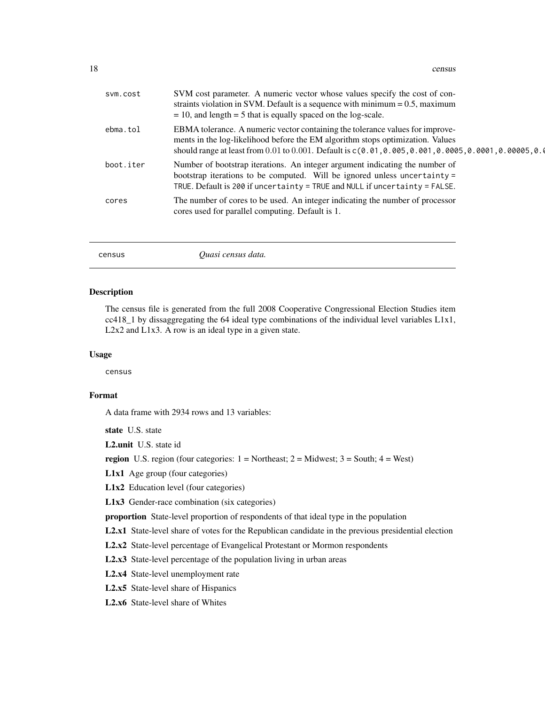<span id="page-17-0"></span>

| sym.cost  | SVM cost parameter. A numeric vector whose values specify the cost of con-<br>straints violation in SVM. Default is a sequence with minimum $= 0.5$ , maximum<br>$= 10$ , and length $= 5$ that is equally spaced on the log-scale.                                                                                                                                                               |
|-----------|---------------------------------------------------------------------------------------------------------------------------------------------------------------------------------------------------------------------------------------------------------------------------------------------------------------------------------------------------------------------------------------------------|
| ebma.tol  | EBMA tolerance. A numeric vector containing the tolerance values for improve-<br>ments in the log-likelihood before the EM algorithm stops optimization. Values<br>should range at least from 0.01 to 0.001. Default is $c(0.01, 0.005, 0.001, 0.0005, 0.0001, 0.00005, 0.00005, 0.00005, 0.00005, 0.00005, 0.00005, 0.00005, 0.00005, 0.00005, 0.00005, 0.00005, 0.00005, 0.00005, 0.00005, 0.0$ |
| boot.iter | Number of bootstrap iterations. An integer argument indicating the number of<br>bootstrap iterations to be computed. Will be ignored unless uncertainty $=$<br>TRUE. Default is 200 if uncertainty = TRUE and NULL if uncertainty = FALSE.                                                                                                                                                        |
| cores     | The number of cores to be used. An integer indicating the number of processor<br>cores used for parallel computing. Default is 1.                                                                                                                                                                                                                                                                 |
|           |                                                                                                                                                                                                                                                                                                                                                                                                   |

census *Quasi census data.*

#### Description

The census file is generated from the full 2008 Cooperative Congressional Election Studies item  $cc418_1$  by dissaggregating the 64 ideal type combinations of the individual level variables  $L1x1$ , L2x2 and L1x3. A row is an ideal type in a given state.

#### Usage

census

# Format

A data frame with 2934 rows and 13 variables:

state U.S. state

L2.unit U.S. state id

region U.S. region (four categories:  $1 = \text{Northeast}$ ;  $2 = \text{Midwest}$ ;  $3 = \text{South}$ ;  $4 = \text{West}$ )

L1x1 Age group (four categories)

L1x2 Education level (four categories)

L1x3 Gender-race combination (six categories)

proportion State-level proportion of respondents of that ideal type in the population

L2.x1 State-level share of votes for the Republican candidate in the previous presidential election

L2.x2 State-level percentage of Evangelical Protestant or Mormon respondents

L2.x3 State-level percentage of the population living in urban areas

L2.x4 State-level unemployment rate

L2.x5 State-level share of Hispanics

L2.x6 State-level share of Whites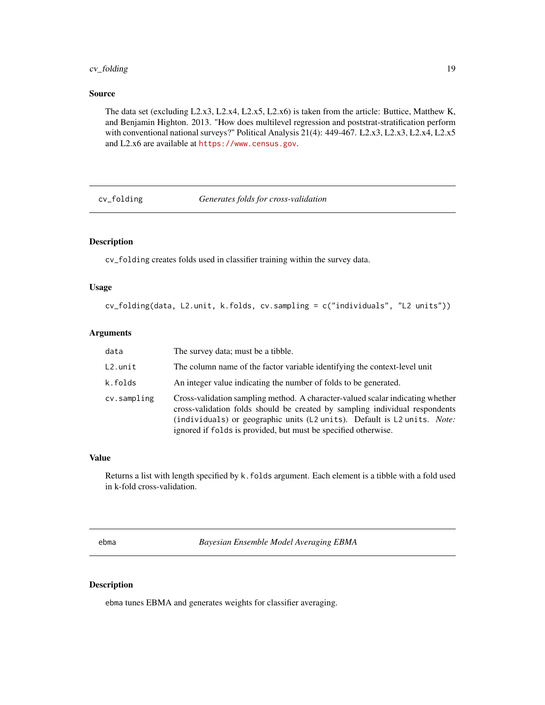# <span id="page-18-0"></span>cv\_folding 19

#### Source

The data set (excluding L2.x3, L2.x4, L2.x5, L2.x6) is taken from the article: Buttice, Matthew K, and Benjamin Highton. 2013. "How does multilevel regression and poststrat-stratification perform with conventional national surveys?" Political Analysis 21(4): 449-467. L2.x3, L2.x3, L2.x4, L2.x5 and L2.x6 are available at <https://www.census.gov>.

cv\_folding *Generates folds for cross-validation*

# Description

cv\_folding creates folds used in classifier training within the survey data.

#### Usage

```
cv_folding(data, L2.unit, k.folds, cv.sampling = c("individuals", "L2 units"))
```
#### Arguments

| data        | The survey data; must be a tibble.                                                                                                                                                                                                                                                                          |
|-------------|-------------------------------------------------------------------------------------------------------------------------------------------------------------------------------------------------------------------------------------------------------------------------------------------------------------|
| L2.unit     | The column name of the factor variable identifying the context-level unit                                                                                                                                                                                                                                   |
| k.folds     | An integer value indicating the number of folds to be generated.                                                                                                                                                                                                                                            |
| cv.sampling | Cross-validation sampling method. A character-valued scalar indicating whether<br>cross-validation folds should be created by sampling individual respondents<br>(individuals) or geographic units (L2 units). Default is L2 units. Note:<br>ignored if folds is provided, but must be specified otherwise. |

#### Value

Returns a list with length specified by k. folds argument. Each element is a tibble with a fold used in k-fold cross-validation.

ebma *Bayesian Ensemble Model Averaging EBMA*

#### Description

ebma tunes EBMA and generates weights for classifier averaging.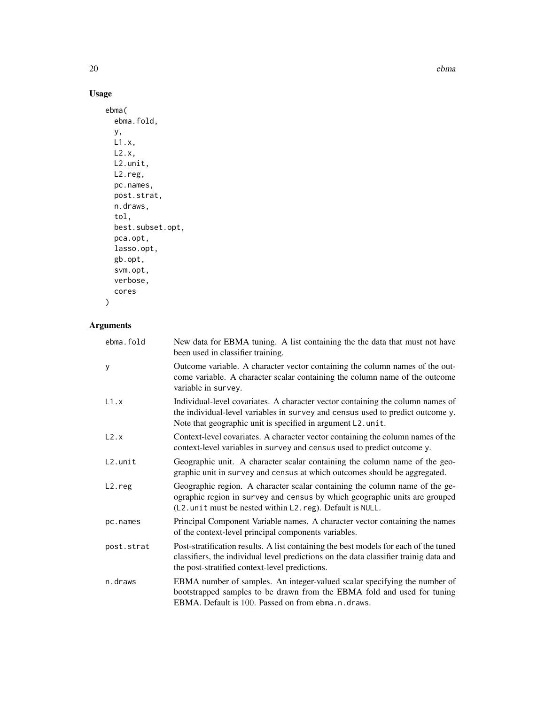20 ebma and the contract of the contract of the contract of the contract of the contract of the contract of the contract of the contract of the contract of the contract of the contract of the contract of the contract of th

# Usage

```
ebma(
 ebma.fold,
 y,
 L1.x,
 L2.x,
 L2.unit,
 L2.reg,
 pc.names,
 post.strat,
 n.draws,
  tol,
 best.subset.opt,
 pca.opt,
 lasso.opt,
 gb.opt,
 svm.opt,
 verbose,
  cores
```
# Arguments

 $\mathcal{L}$ 

| ebma.fold  | New data for EBMA tuning. A list containing the the data that must not have<br>been used in classifier training.                                                                                                                 |
|------------|----------------------------------------------------------------------------------------------------------------------------------------------------------------------------------------------------------------------------------|
| y          | Outcome variable. A character vector containing the column names of the out-<br>come variable. A character scalar containing the column name of the outcome<br>variable in survey.                                               |
| L1.x       | Individual-level covariates. A character vector containing the column names of<br>the individual-level variables in survey and census used to predict outcome y.<br>Note that geographic unit is specified in argument L2. unit. |
| L2.x       | Context-level covariates. A character vector containing the column names of the<br>context-level variables in survey and census used to predict outcome y.                                                                       |
| L2.unit    | Geographic unit. A character scalar containing the column name of the geo-<br>graphic unit in survey and census at which outcomes should be aggregated.                                                                          |
| L2.reg     | Geographic region. A character scalar containing the column name of the ge-<br>ographic region in survey and census by which geographic units are grouped<br>(L2. unit must be nested within L2. reg). Default is NULL.          |
| pc.names   | Principal Component Variable names. A character vector containing the names<br>of the context-level principal components variables.                                                                                              |
| post.strat | Post-stratification results. A list containing the best models for each of the tuned<br>classifiers, the individual level predictions on the data classifier trainig data and<br>the post-stratified context-level predictions.  |
| n.draws    | EBMA number of samples. An integer-valued scalar specifying the number of<br>bootstrapped samples to be drawn from the EBMA fold and used for tuning<br>EBMA. Default is 100. Passed on from ebma. n. draws.                     |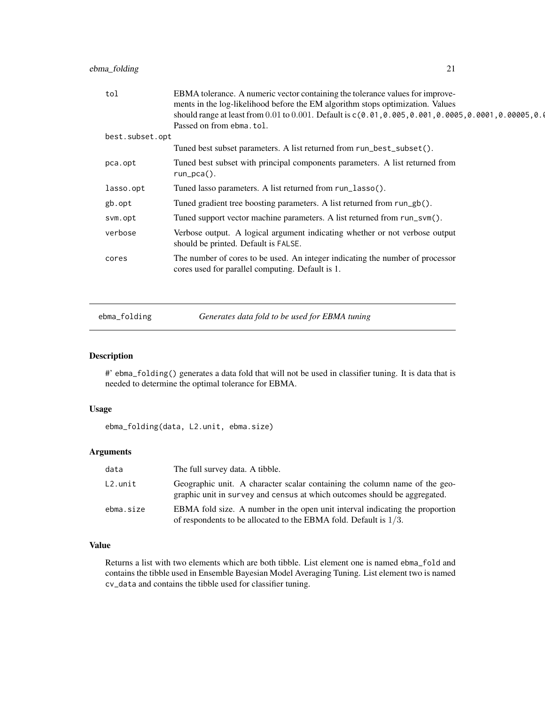<span id="page-20-0"></span>

| tol             | EBMA tolerance. A numeric vector containing the tolerance values for improve-<br>ments in the log-likelihood before the EM algorithm stops optimization. Values                                                                                            |
|-----------------|------------------------------------------------------------------------------------------------------------------------------------------------------------------------------------------------------------------------------------------------------------|
|                 | should range at least from 0.01 to 0.001. Default is $c(0.01, 0.005, 0.001, 0.0005, 0.0001, 0.00005, 0.00005, 0.00005, 0.00005, 0.00005, 0.00005, 0.00005, 0.00005, 0.00005, 0.00005, 0.00005, 0.00005, 0.00005, 0.00005, 0.0$<br>Passed on from ebma.tol. |
| best.subset.opt |                                                                                                                                                                                                                                                            |
|                 | Tuned best subset parameters. A list returned from run_best_subset().                                                                                                                                                                                      |
| pca.opt         | Tuned best subset with principal components parameters. A list returned from<br>$run_pca()$ .                                                                                                                                                              |
| lasso.opt       | Tuned lasso parameters. A list returned from run_lasso().                                                                                                                                                                                                  |
| gb.opt          | Tuned gradient tree boosting parameters. A list returned from run_gb().                                                                                                                                                                                    |
| svm.opt         | Tuned support vector machine parameters. A list returned from run_svm().                                                                                                                                                                                   |
| verbose         | Verbose output. A logical argument indicating whether or not verbose output<br>should be printed. Default is FALSE.                                                                                                                                        |
| cores           | The number of cores to be used. An integer indicating the number of processor<br>cores used for parallel computing. Default is 1.                                                                                                                          |
|                 |                                                                                                                                                                                                                                                            |

ebma\_folding *Generates data fold to be used for EBMA tuning*

# Description

#' ebma\_folding() generates a data fold that will not be used in classifier tuning. It is data that is needed to determine the optimal tolerance for EBMA.

#### Usage

ebma\_folding(data, L2.unit, ebma.size)

# Arguments

| data      | The full survey data. A tibble.                                                                                                                         |
|-----------|---------------------------------------------------------------------------------------------------------------------------------------------------------|
| L2.unit   | Geographic unit. A character scalar containing the column name of the geo-<br>graphic unit in survey and census at which outcomes should be aggregated. |
| ebma.size | EBMA fold size. A number in the open unit interval indicating the proportion<br>of respondents to be allocated to the EBMA fold. Default is $1/3$ .     |

# Value

Returns a list with two elements which are both tibble. List element one is named ebma\_fold and contains the tibble used in Ensemble Bayesian Model Averaging Tuning. List element two is named cv\_data and contains the tibble used for classifier tuning.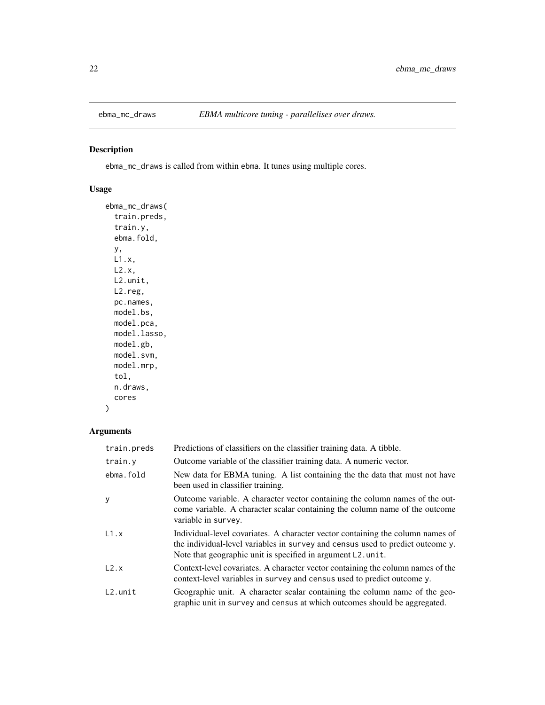<span id="page-21-0"></span>

# Description

ebma\_mc\_draws is called from within ebma. It tunes using multiple cores.

# Usage

```
ebma_mc_draws(
  train.preds,
  train.y,
  ebma.fold,
 y,
 L1.x,
 L2.x,
 L2.unit,
 L2.reg,
 pc.names,
 model.bs,
 model.pca,
 model.lasso,
 model.gb,
 model.svm,
 model.mrp,
  tol,
 n.draws,
  cores
)
```

| train.preds | Predictions of classifiers on the classifier training data. A tibble.                                                                                                                                                               |
|-------------|-------------------------------------------------------------------------------------------------------------------------------------------------------------------------------------------------------------------------------------|
| train.y     | Outcome variable of the classifier training data. A numeric vector.                                                                                                                                                                 |
| ebma.fold   | New data for EBMA tuning. A list containing the the data that must not have<br>been used in classifier training.                                                                                                                    |
| y           | Outcome variable. A character vector containing the column names of the out-<br>come variable. A character scalar containing the column name of the outcome<br>variable in survey.                                                  |
| L1.x        | Individual-level covariates. A character vector containing the column names of<br>the individual-level variables in survey and census used to predict outcome y.<br>Note that geographic unit is specified in argument $L2$ . unit. |
| L2.x        | Context-level covariates. A character vector containing the column names of the<br>context-level variables in survey and census used to predict outcome y.                                                                          |
| $L2.$ unit  | Geographic unit. A character scalar containing the column name of the geo-<br>graphic unit in survey and census at which outcomes should be aggregated.                                                                             |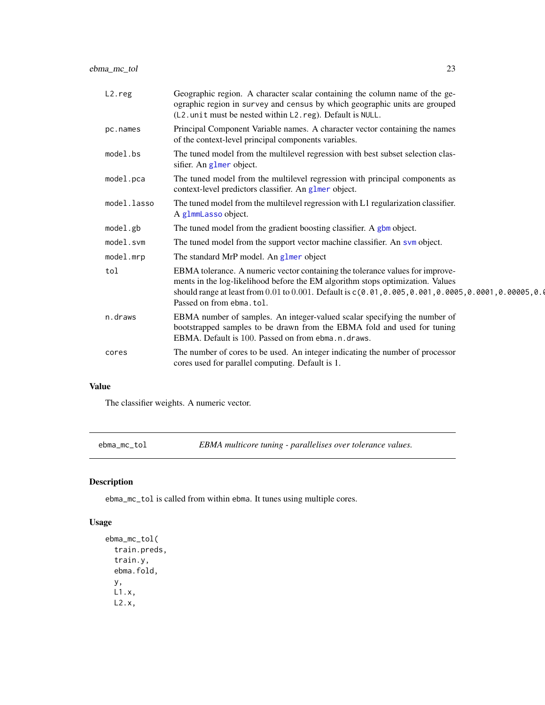<span id="page-22-0"></span>ebma\_mc\_tol 23

| $L2.$ reg   | Geographic region. A character scalar containing the column name of the ge-<br>ographic region in survey and census by which geographic units are grouped<br>(L2. unit must be nested within L2. reg). Default is NULL.                                                                                |
|-------------|--------------------------------------------------------------------------------------------------------------------------------------------------------------------------------------------------------------------------------------------------------------------------------------------------------|
| pc.names    | Principal Component Variable names. A character vector containing the names<br>of the context-level principal components variables.                                                                                                                                                                    |
| model.bs    | The tuned model from the multilevel regression with best subset selection clas-<br>sifier. An glmer object.                                                                                                                                                                                            |
| model.pca   | The tuned model from the multilevel regression with principal components as<br>context-level predictors classifier. An glmer object.                                                                                                                                                                   |
| model.lasso | The tuned model from the multilevel regression with L1 regularization classifier.<br>A glmmLasso object.                                                                                                                                                                                               |
| model.gb    | The tuned model from the gradient boosting classifier. A gbm object.                                                                                                                                                                                                                                   |
| model.svm   | The tuned model from the support vector machine classifier. An sym object.                                                                                                                                                                                                                             |
| model.mrp   | The standard MrP model. An glmer object                                                                                                                                                                                                                                                                |
| tol         | EBMA tolerance. A numeric vector containing the tolerance values for improve-<br>ments in the log-likelihood before the EM algorithm stops optimization. Values<br>should range at least from 0.01 to 0.001. Default is c(0.01, 0.005, 0.001, 0.0005, 0.0001, 0.00005, 0.0<br>Passed on from ebma.tol. |
| n.draws     | EBMA number of samples. An integer-valued scalar specifying the number of<br>bootstrapped samples to be drawn from the EBMA fold and used for tuning<br>EBMA. Default is 100. Passed on from ebma. n. draws.                                                                                           |
| cores       | The number of cores to be used. An integer indicating the number of processor<br>cores used for parallel computing. Default is 1.                                                                                                                                                                      |

# Value

The classifier weights. A numeric vector.

ebma\_mc\_tol *EBMA multicore tuning - parallelises over tolerance values.*

# Description

ebma\_mc\_tol is called from within ebma. It tunes using multiple cores.

# Usage

```
ebma_mc_tol(
  train.preds,
  train.y,
 ebma.fold,
 y,
 L1.x,
 L2.x,
```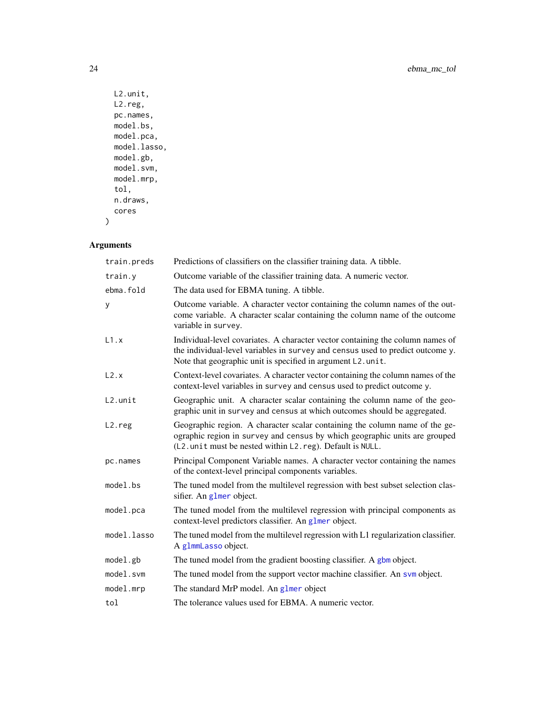```
L2.unit,
 L2.reg,
 pc.names,
 model.bs,
 model.pca,
 model.lasso,
 model.gb,
 model.svm,
 model.mrp,
 tol,
 n.draws,
 cores
)
```

| train.preds         | Predictions of classifiers on the classifier training data. A tibble.                                                                                                                                                           |
|---------------------|---------------------------------------------------------------------------------------------------------------------------------------------------------------------------------------------------------------------------------|
| train.y             | Outcome variable of the classifier training data. A numeric vector.                                                                                                                                                             |
| ebma.fold           | The data used for EBMA tuning. A tibble.                                                                                                                                                                                        |
| У                   | Outcome variable. A character vector containing the column names of the out-<br>come variable. A character scalar containing the column name of the outcome<br>variable in survey.                                              |
| L1.x                | Individual-level covariates. A character vector containing the column names of<br>the individual-level variables in survey and census used to predict outcome y.<br>Note that geographic unit is specified in argument L2.unit. |
| L2.x                | Context-level covariates. A character vector containing the column names of the<br>context-level variables in survey and census used to predict outcome y.                                                                      |
| $L2.$ unit          | Geographic unit. A character scalar containing the column name of the geo-<br>graphic unit in survey and census at which outcomes should be aggregated.                                                                         |
| L <sub>2</sub> .reg | Geographic region. A character scalar containing the column name of the ge-<br>ographic region in survey and census by which geographic units are grouped<br>(L2. unit must be nested within L2. reg). Default is NULL.         |
| pc.names            | Principal Component Variable names. A character vector containing the names<br>of the context-level principal components variables.                                                                                             |
| model.bs            | The tuned model from the multilevel regression with best subset selection clas-<br>sifier. An glmer object.                                                                                                                     |
| model.pca           | The tuned model from the multilevel regression with principal components as<br>context-level predictors classifier. An glmer object.                                                                                            |
| model.lasso         | The tuned model from the multilevel regression with L1 regularization classifier.<br>A glmmLasso object.                                                                                                                        |
| model.gb            | The tuned model from the gradient boosting classifier. A gbm object.                                                                                                                                                            |
| model.svm           | The tuned model from the support vector machine classifier. An svm object.                                                                                                                                                      |
| model.mrp           | The standard MrP model. An glmer object                                                                                                                                                                                         |
| tol                 | The tolerance values used for EBMA. A numeric vector.                                                                                                                                                                           |

<span id="page-23-0"></span>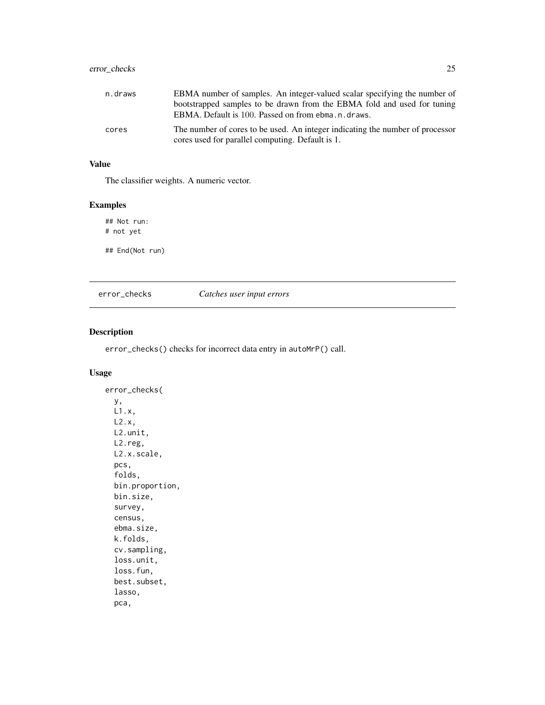# <span id="page-24-0"></span>error\_checks 25

cores The number of cores to be used. An integer indicating the number of processor cores used for parallel computing. Default is 1.

# Value

The classifier weights. A numeric vector.

# Examples

## Not run: # not yet

## End(Not run)

## error\_checks *Catches user input errors*

#### Description

error\_checks() checks for incorrect data entry in autoMrP() call.

# Usage

error\_checks( y, L1.x, L2.x, L2.unit, L2.reg, L2.x.scale, pcs, folds, bin.proportion, bin.size, survey, census, ebma.size, k.folds, cv.sampling, loss.unit, loss.fun, best.subset, lasso, pca,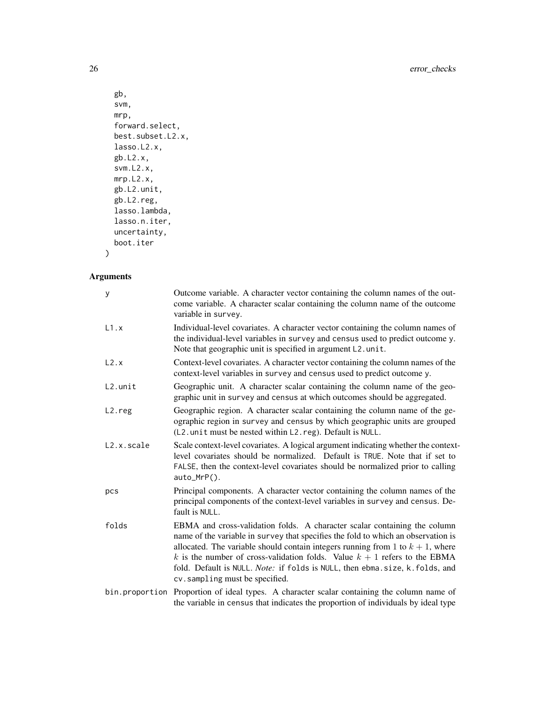```
gb,
svm,
mrp,
forward.select,
best.subset.L2.x,
lasso.L2.x,
gb.L2.x,
svm.L2.x,
mrp.L2.x,
gb.L2.unit,
gb.L2.reg,
lasso.lambda,
lasso.n.iter,
uncertainty,
boot.iter
```
# Arguments

)

| y                   | Outcome variable. A character vector containing the column names of the out-<br>come variable. A character scalar containing the column name of the outcome<br>variable in survey.                                                                                                                                                                                                                                                                   |
|---------------------|------------------------------------------------------------------------------------------------------------------------------------------------------------------------------------------------------------------------------------------------------------------------------------------------------------------------------------------------------------------------------------------------------------------------------------------------------|
| L1.x                | Individual-level covariates. A character vector containing the column names of<br>the individual-level variables in survey and census used to predict outcome y.<br>Note that geographic unit is specified in argument L2. unit.                                                                                                                                                                                                                     |
| L2.x                | Context-level covariates. A character vector containing the column names of the<br>context-level variables in survey and census used to predict outcome y.                                                                                                                                                                                                                                                                                           |
| $L2.$ unit          | Geographic unit. A character scalar containing the column name of the geo-<br>graphic unit in survey and census at which outcomes should be aggregated.                                                                                                                                                                                                                                                                                              |
| L <sub>2</sub> .reg | Geographic region. A character scalar containing the column name of the ge-<br>ographic region in survey and census by which geographic units are grouped<br>(L2. unit must be nested within L2. reg). Default is NULL.                                                                                                                                                                                                                              |
| L2.x.scale          | Scale context-level covariates. A logical argument indicating whether the context-<br>level covariates should be normalized. Default is TRUE. Note that if set to<br>FALSE, then the context-level covariates should be normalized prior to calling<br>auto_MrP().                                                                                                                                                                                   |
| pcs                 | Principal components. A character vector containing the column names of the<br>principal components of the context-level variables in survey and census. De-<br>fault is NULL.                                                                                                                                                                                                                                                                       |
| folds               | EBMA and cross-validation folds. A character scalar containing the column<br>name of the variable in survey that specifies the fold to which an observation is<br>allocated. The variable should contain integers running from 1 to $k + 1$ , where<br>k is the number of cross-validation folds. Value $k + 1$ refers to the EBMA<br>fold. Default is NULL. Note: if folds is NULL, then ebma.size, k.folds, and<br>cv. sampling must be specified. |
| bin.proportion      | Proportion of ideal types. A character scalar containing the column name of<br>the variable in census that indicates the proportion of individuals by ideal type                                                                                                                                                                                                                                                                                     |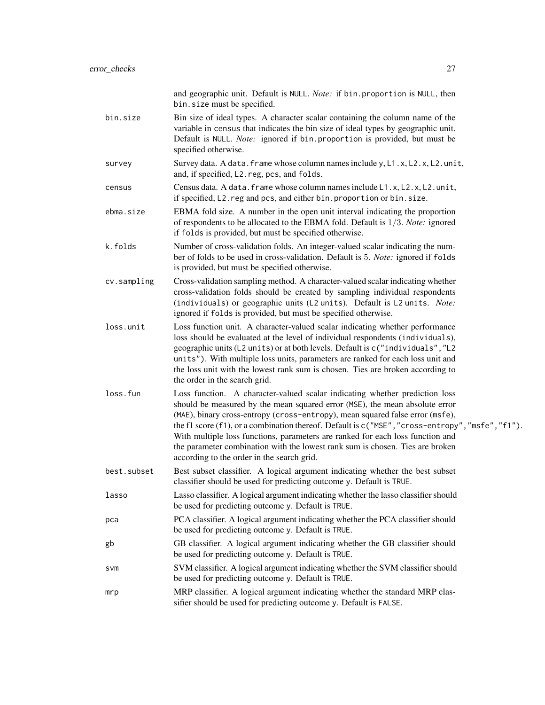|             | and geographic unit. Default is NULL. Note: if bin. proportion is NULL, then<br>bin.size must be specified.                                                                                                                                                                                                                                                                                                                                                                                                                                                           |
|-------------|-----------------------------------------------------------------------------------------------------------------------------------------------------------------------------------------------------------------------------------------------------------------------------------------------------------------------------------------------------------------------------------------------------------------------------------------------------------------------------------------------------------------------------------------------------------------------|
| bin.size    | Bin size of ideal types. A character scalar containing the column name of the<br>variable in census that indicates the bin size of ideal types by geographic unit.<br>Default is NULL. Note: ignored if bin. proportion is provided, but must be<br>specified otherwise.                                                                                                                                                                                                                                                                                              |
| survey      | Survey data. A data. frame whose column names include y, L1.x, L2.x, L2.unit,<br>and, if specified, L2. reg, pcs, and folds.                                                                                                                                                                                                                                                                                                                                                                                                                                          |
| census      | Census data. A data. frame whose column names include L1.x, L2.x, L2.unit,<br>if specified, L2. reg and pcs, and either bin. proportion or bin. size.                                                                                                                                                                                                                                                                                                                                                                                                                 |
| ebma.size   | EBMA fold size. A number in the open unit interval indicating the proportion<br>of respondents to be allocated to the EBMA fold. Default is $1/3$ . Note: ignored<br>if folds is provided, but must be specified otherwise.                                                                                                                                                                                                                                                                                                                                           |
| k.folds     | Number of cross-validation folds. An integer-valued scalar indicating the num-<br>ber of folds to be used in cross-validation. Default is 5. Note: ignored if folds<br>is provided, but must be specified otherwise.                                                                                                                                                                                                                                                                                                                                                  |
| cv.sampling | Cross-validation sampling method. A character-valued scalar indicating whether<br>cross-validation folds should be created by sampling individual respondents<br>(individuals) or geographic units (L2 units). Default is L2 units. Note:<br>ignored if folds is provided, but must be specified otherwise.                                                                                                                                                                                                                                                           |
| loss.unit   | Loss function unit. A character-valued scalar indicating whether performance<br>loss should be evaluated at the level of individual respondents (individuals),<br>geographic units (L2 units) or at both levels. Default is c("individuals", "L2<br>units"). With multiple loss units, parameters are ranked for each loss unit and<br>the loss unit with the lowest rank sum is chosen. Ties are broken according to<br>the order in the search grid.                                                                                                                |
| loss.fun    | Loss function. A character-valued scalar indicating whether prediction loss<br>should be measured by the mean squared error (MSE), the mean absolute error<br>(MAE), binary cross-entropy (cross-entropy), mean squared false error (msfe),<br>the f1 score $(f1)$ , or a combination thereof. Default is $c("MSE", "cross-entropy", "msfe", "f1").$<br>With multiple loss functions, parameters are ranked for each loss function and<br>the parameter combination with the lowest rank sum is chosen. Ties are broken<br>according to the order in the search grid. |
| best.subset | Best subset classifier. A logical argument indicating whether the best subset<br>classifier should be used for predicting outcome y. Default is TRUE.                                                                                                                                                                                                                                                                                                                                                                                                                 |
| lasso       | Lasso classifier. A logical argument indicating whether the lasso classifier should<br>be used for predicting outcome y. Default is TRUE.                                                                                                                                                                                                                                                                                                                                                                                                                             |
| pca         | PCA classifier. A logical argument indicating whether the PCA classifier should<br>be used for predicting outcome y. Default is TRUE.                                                                                                                                                                                                                                                                                                                                                                                                                                 |
| gb          | GB classifier. A logical argument indicating whether the GB classifier should<br>be used for predicting outcome y. Default is TRUE.                                                                                                                                                                                                                                                                                                                                                                                                                                   |
| svm         | SVM classifier. A logical argument indicating whether the SVM classifier should<br>be used for predicting outcome y. Default is TRUE.                                                                                                                                                                                                                                                                                                                                                                                                                                 |
| mrp         | MRP classifier. A logical argument indicating whether the standard MRP clas-<br>sifier should be used for predicting outcome y. Default is FALSE.                                                                                                                                                                                                                                                                                                                                                                                                                     |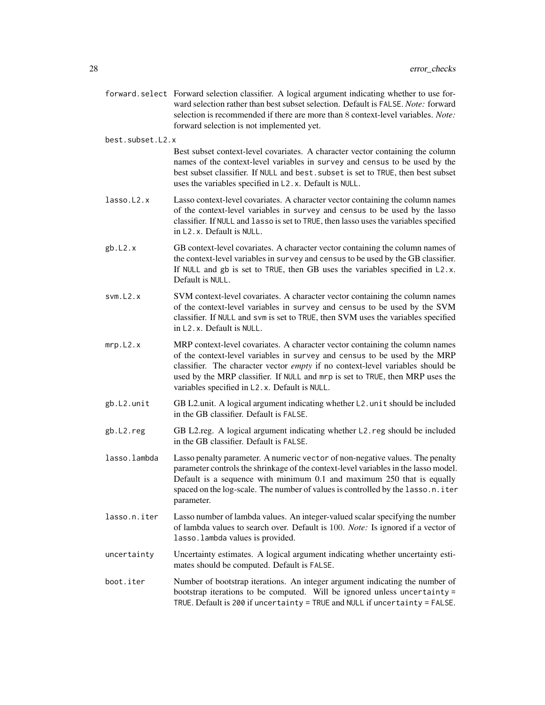- forward.select Forward selection classifier. A logical argument indicating whether to use forward selection rather than best subset selection. Default is FALSE. *Note:* forward selection is recommended if there are more than 8 context-level variables. *Note:* forward selection is not implemented yet.
- best.subset.L2.x

Best subset context-level covariates. A character vector containing the column names of the context-level variables in survey and census to be used by the best subset classifier. If NULL and best.subset is set to TRUE, then best subset uses the variables specified in L2.x. Default is NULL.

- lasso.L2.x Lasso context-level covariates. A character vector containing the column names of the context-level variables in survey and census to be used by the lasso classifier. If NULL and lasso is set to TRUE, then lasso uses the variables specified in L2.x. Default is NULL.
- gb.L2.x GB context-level covariates. A character vector containing the column names of the context-level variables in survey and census to be used by the GB classifier. If NULL and gb is set to TRUE, then GB uses the variables specified in L2.x. Default is NULL.
- svm.L2.x SVM context-level covariates. A character vector containing the column names of the context-level variables in survey and census to be used by the SVM classifier. If NULL and svm is set to TRUE, then SVM uses the variables specified in L2.x. Default is NULL.
- mrp.L2.x MRP context-level covariates. A character vector containing the column names of the context-level variables in survey and census to be used by the MRP classifier. The character vector *empty* if no context-level variables should be used by the MRP classifier. If NULL and mrp is set to TRUE, then MRP uses the variables specified in L2.x. Default is NULL.
- gb.L2.unit GB L2.unit. A logical argument indicating whether L2.unit should be included in the GB classifier. Default is FALSE.
- gb.L2.reg GB L2.reg. A logical argument indicating whether L2.reg should be included in the GB classifier. Default is FALSE.
- lasso.lambda Lasso penalty parameter. A numeric vector of non-negative values. The penalty parameter controls the shrinkage of the context-level variables in the lasso model. Default is a sequence with minimum 0.1 and maximum 250 that is equally spaced on the log-scale. The number of values is controlled by the lasso.n.iter parameter.
- lasso.n.iter Lasso number of lambda values. An integer-valued scalar specifying the number of lambda values to search over. Default is 100. *Note:* Is ignored if a vector of lasso.lambda values is provided.
- uncertainty Uncertainty estimates. A logical argument indicating whether uncertainty estimates should be computed. Default is FALSE.
- boot.iter Number of bootstrap iterations. An integer argument indicating the number of bootstrap iterations to be computed. Will be ignored unless uncertainty = TRUE. Default is 200 if uncertainty = TRUE and NULL if uncertainty = FALSE.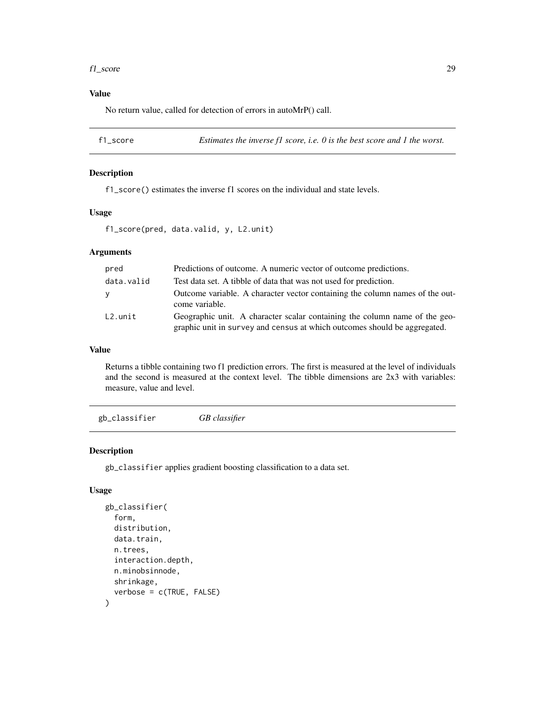#### <span id="page-28-0"></span>f1\_score 29

# Value

No return value, called for detection of errors in autoMrP() call.

f1\_score *Estimates the inverse f1 score, i.e. 0 is the best score and 1 the worst.*

#### Description

f1\_score() estimates the inverse f1 scores on the individual and state levels.

#### Usage

f1\_score(pred, data.valid, y, L2.unit)

# Arguments

| pred       | Predictions of outcome. A numeric vector of outcome predictions.                                                                                        |
|------------|---------------------------------------------------------------------------------------------------------------------------------------------------------|
| data.valid | Test data set. A tibble of data that was not used for prediction.                                                                                       |
| <b>Y</b>   | Outcome variable. A character vector containing the column names of the out-<br>come variable.                                                          |
| $L2.$ unit | Geographic unit. A character scalar containing the column name of the geo-<br>graphic unit in survey and census at which outcomes should be aggregated. |

#### Value

Returns a tibble containing two f1 prediction errors. The first is measured at the level of individuals and the second is measured at the context level. The tibble dimensions are 2x3 with variables: measure, value and level.

gb\_classifier *GB classifier*

#### Description

gb\_classifier applies gradient boosting classification to a data set.

#### Usage

```
gb_classifier(
  form,
  distribution,
 data.train,
  n.trees,
  interaction.depth,
 n.minobsinnode,
  shrinkage,
  verbose = c(TRUE, FALSE)
)
```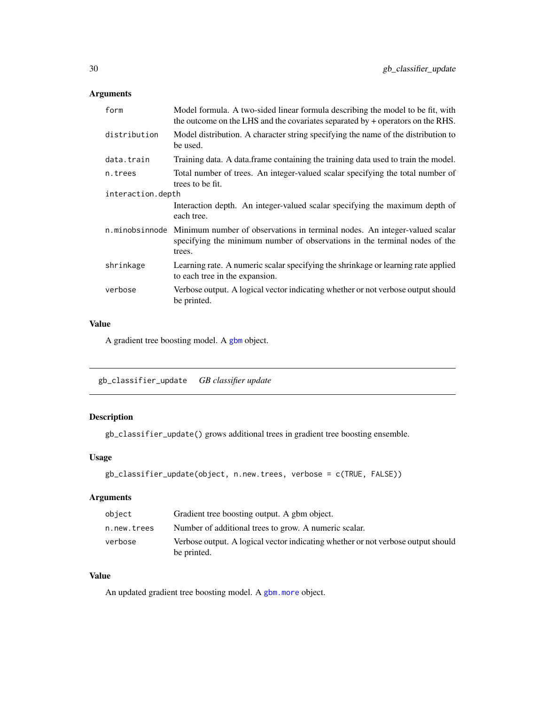# <span id="page-29-0"></span>Arguments

| form              | Model formula. A two-sided linear formula describing the model to be fit, with<br>the outcome on the LHS and the covariates separated by $+$ operators on the RHS.                |
|-------------------|-----------------------------------------------------------------------------------------------------------------------------------------------------------------------------------|
| distribution      | Model distribution. A character string specifying the name of the distribution to<br>be used.                                                                                     |
| data.train        | Training data. A data frame containing the training data used to train the model.                                                                                                 |
| n.trees           | Total number of trees. An integer-valued scalar specifying the total number of<br>trees to be fit.                                                                                |
| interaction.depth |                                                                                                                                                                                   |
|                   | Interaction depth. An integer-valued scalar specifying the maximum depth of<br>each tree.                                                                                         |
|                   | n minobsine of Minimum number of observations in terminal nodes. An integer-valued scalar<br>specifying the minimum number of observations in the terminal nodes of the<br>trees. |
| shrinkage         | Learning rate. A numeric scalar specifying the shrinkage or learning rate applied<br>to each tree in the expansion.                                                               |
| verbose           | Verbose output. A logical vector indicating whether or not verbose output should<br>be printed.                                                                                   |
|                   |                                                                                                                                                                                   |

# Value

A gradient tree boosting model. A [gbm](#page-0-0) object.

gb\_classifier\_update *GB classifier update*

# Description

```
gb_classifier_update() grows additional trees in gradient tree boosting ensemble.
```
# Usage

```
gb_classifier_update(object, n.new.trees, verbose = c(TRUE, FALSE))
```
# Arguments

| object      | Gradient tree boosting output. A gbm object.                                                    |
|-------------|-------------------------------------------------------------------------------------------------|
| n.new.trees | Number of additional trees to grow. A numeric scalar.                                           |
| verbose     | Verbose output. A logical vector indicating whether or not verbose output should<br>be printed. |

# Value

An updated gradient tree boosting model. A [gbm.more](#page-0-0) object.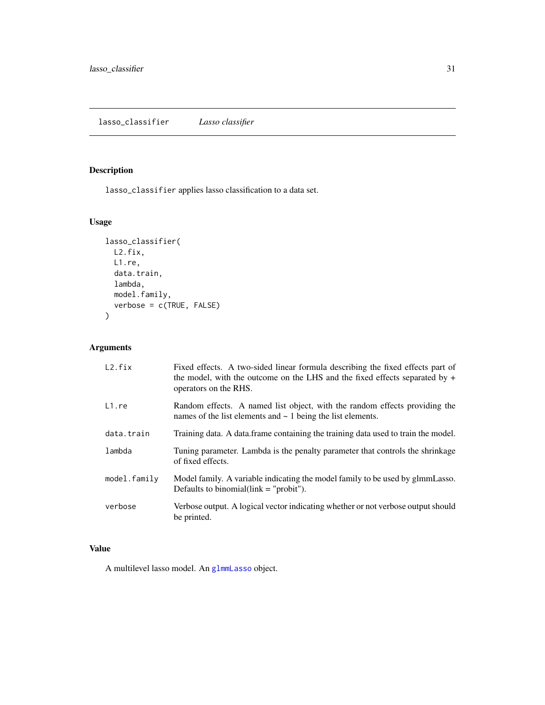# <span id="page-30-0"></span>Description

lasso\_classifier applies lasso classification to a data set.

# Usage

```
lasso_classifier(
 L2.fix,
 L1.re,
 data.train,
 lambda,
 model.family,
 verbose = c(TRUE, FALSE)
)
```
# Arguments

| L2.fix       | Fixed effects. A two-sided linear formula describing the fixed effects part of<br>the model, with the outcome on the LHS and the fixed effects separated by $+$<br>operators on the RHS. |
|--------------|------------------------------------------------------------------------------------------------------------------------------------------------------------------------------------------|
| L1.re        | Random effects. A named list object, with the random effects providing the<br>names of the list elements and $\sim$ 1 being the list elements.                                           |
| data.train   | Training data. A data frame containing the training data used to train the model.                                                                                                        |
| lambda       | Tuning parameter. Lambda is the penalty parameter that controls the shrinkage<br>of fixed effects.                                                                                       |
| model.family | Model family. A variable indicating the model family to be used by glmmLasso.<br>Defaults to binomial $\text{link} = \text{``probit''}.$                                                 |
| verbose      | Verbose output. A logical vector indicating whether or not verbose output should<br>be printed.                                                                                          |

# Value

A multilevel lasso model. An [glmmLasso](#page-0-0) object.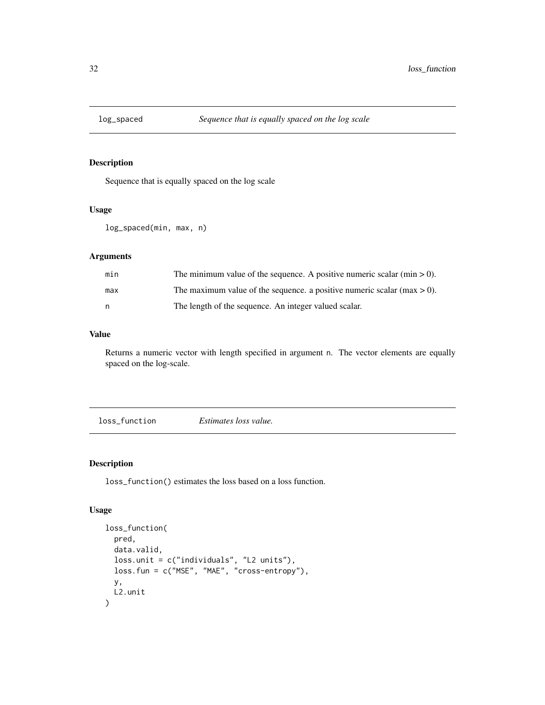<span id="page-31-0"></span>

#### Description

Sequence that is equally spaced on the log scale

#### Usage

```
log_spaced(min, max, n)
```
#### Arguments

| min | The minimum value of the sequence. A positive numeric scalar ( $min > 0$ ). |
|-----|-----------------------------------------------------------------------------|
| max | The maximum value of the sequence, a positive numeric scalar (max $> 0$ ).  |
| n   | The length of the sequence. An integer valued scalar.                       |

#### Value

Returns a numeric vector with length specified in argument n. The vector elements are equally spaced on the log-scale.

loss\_function *Estimates loss value.*

# Description

loss\_function() estimates the loss based on a loss function.

#### Usage

```
loss_function(
 pred,
  data.valid,
  loss.unit = c("individuals", "L2 units"),
  loss.fun = c("MSE", "MAE", "cross-entropy"),
  y,
 L2.unit
\mathcal{L}
```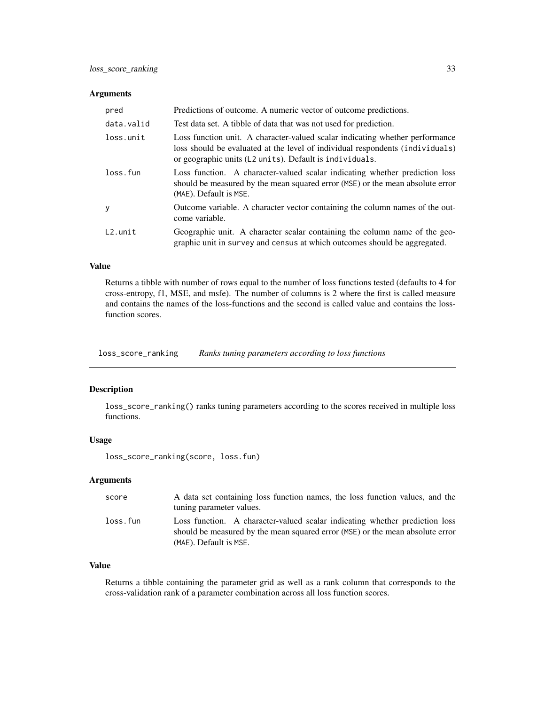#### <span id="page-32-0"></span>Arguments

| pred       | Predictions of outcome. A numeric vector of outcome predictions.                                                                                                                                                         |
|------------|--------------------------------------------------------------------------------------------------------------------------------------------------------------------------------------------------------------------------|
| data.valid | Test data set. A tibble of data that was not used for prediction.                                                                                                                                                        |
| loss.unit  | Loss function unit. A character-valued scalar indicating whether performance<br>loss should be evaluated at the level of individual respondents (individuals)<br>or geographic units (L2 units). Default is individuals. |
| loss.fun   | Loss function. A character-valued scalar indicating whether prediction loss<br>should be measured by the mean squared error (MSE) or the mean absolute error<br>(MAE). Default is MSE.                                   |
| y          | Outcome variable. A character vector containing the column names of the out-<br>come variable.                                                                                                                           |
| L2.unit    | Geographic unit. A character scalar containing the column name of the geo-<br>graphic unit in survey and census at which outcomes should be aggregated.                                                                  |

#### Value

Returns a tibble with number of rows equal to the number of loss functions tested (defaults to 4 for cross-entropy, f1, MSE, and msfe). The number of columns is 2 where the first is called measure and contains the names of the loss-functions and the second is called value and contains the lossfunction scores.

loss\_score\_ranking *Ranks tuning parameters according to loss functions*

#### Description

loss\_score\_ranking() ranks tuning parameters according to the scores received in multiple loss functions.

#### Usage

loss\_score\_ranking(score, loss.fun)

# Arguments

| score    | A data set containing loss function names, the loss function values, and the                                                                                                           |
|----------|----------------------------------------------------------------------------------------------------------------------------------------------------------------------------------------|
|          | tuning parameter values.                                                                                                                                                               |
| loss.fun | Loss function. A character-valued scalar indicating whether prediction loss<br>should be measured by the mean squared error (MSE) or the mean absolute error<br>(MAE). Default is MSE. |

#### Value

Returns a tibble containing the parameter grid as well as a rank column that corresponds to the cross-validation rank of a parameter combination across all loss function scores.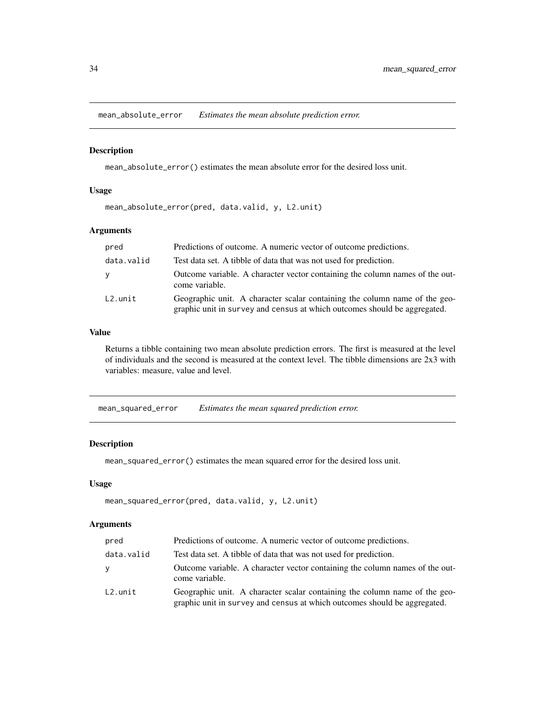<span id="page-33-0"></span>mean\_absolute\_error *Estimates the mean absolute prediction error.*

#### Description

mean\_absolute\_error() estimates the mean absolute error for the desired loss unit.

# Usage

mean\_absolute\_error(pred, data.valid, y, L2.unit)

# Arguments

| pred       | Predictions of outcome. A numeric vector of outcome predictions.                                                                                        |
|------------|---------------------------------------------------------------------------------------------------------------------------------------------------------|
| data.valid | Test data set. A tibble of data that was not used for prediction.                                                                                       |
| <b>V</b>   | Outcome variable. A character vector containing the column names of the out-<br>come variable.                                                          |
| $L2.$ unit | Geographic unit. A character scalar containing the column name of the geo-<br>graphic unit in survey and census at which outcomes should be aggregated. |

#### Value

Returns a tibble containing two mean absolute prediction errors. The first is measured at the level of individuals and the second is measured at the context level. The tibble dimensions are 2x3 with variables: measure, value and level.

mean\_squared\_error *Estimates the mean squared prediction error.*

#### Description

mean\_squared\_error() estimates the mean squared error for the desired loss unit.

#### Usage

```
mean_squared_error(pred, data.valid, y, L2.unit)
```

| pred       | Predictions of outcome. A numeric vector of outcome predictions.                                                                                        |
|------------|---------------------------------------------------------------------------------------------------------------------------------------------------------|
| data.valid | Test data set. A tibble of data that was not used for prediction.                                                                                       |
| v          | Outcome variable. A character vector containing the column names of the out-<br>come variable.                                                          |
| L2.unit    | Geographic unit. A character scalar containing the column name of the geo-<br>graphic unit in survey and census at which outcomes should be aggregated. |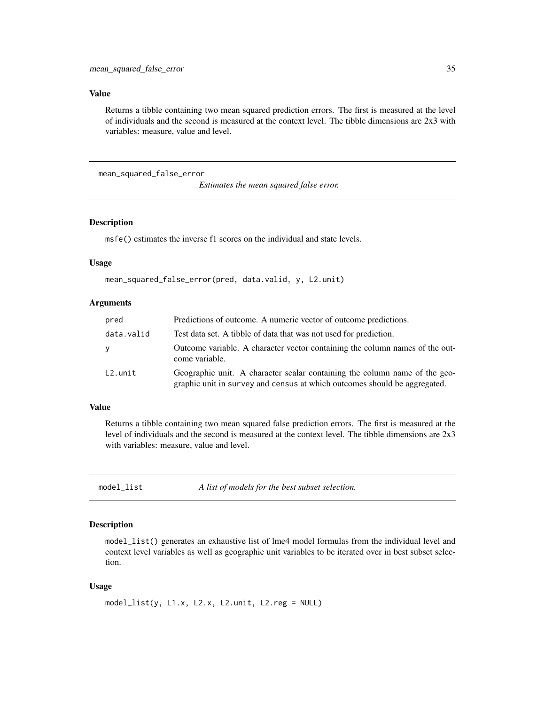#### <span id="page-34-0"></span>Value

Returns a tibble containing two mean squared prediction errors. The first is measured at the level of individuals and the second is measured at the context level. The tibble dimensions are 2x3 with variables: measure, value and level.

mean\_squared\_false\_error

*Estimates the mean squared false error.*

#### Description

msfe() estimates the inverse f1 scores on the individual and state levels.

#### Usage

mean\_squared\_false\_error(pred, data.valid, y, L2.unit)

#### Arguments

| pred       | Predictions of outcome. A numeric vector of outcome predictions.                                                                                        |
|------------|---------------------------------------------------------------------------------------------------------------------------------------------------------|
| data.valid | Test data set. A tibble of data that was not used for prediction.                                                                                       |
| y          | Outcome variable. A character vector containing the column names of the out-<br>come variable.                                                          |
| $L2.$ unit | Geographic unit. A character scalar containing the column name of the geo-<br>graphic unit in survey and census at which outcomes should be aggregated. |

#### Value

Returns a tibble containing two mean squared false prediction errors. The first is measured at the level of individuals and the second is measured at the context level. The tibble dimensions are 2x3 with variables: measure, value and level.

model\_list *A list of models for the best subset selection.*

# Description

model\_list() generates an exhaustive list of lme4 model formulas from the individual level and context level variables as well as geographic unit variables to be iterated over in best subset selection.

#### Usage

```
model_list(y, L1.x, L2.x, L2.unit, L2.reg = NULL)
```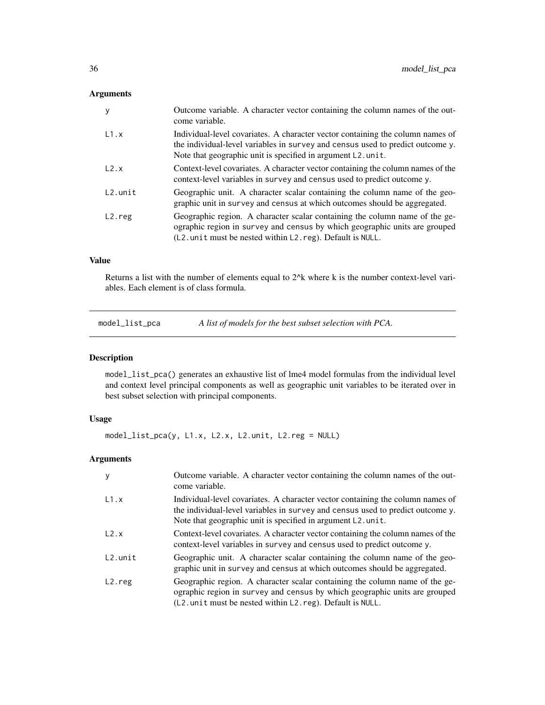# <span id="page-35-0"></span>Arguments

| y          | Outcome variable. A character vector containing the column names of the out-<br>come variable.                                                                                                                                   |
|------------|----------------------------------------------------------------------------------------------------------------------------------------------------------------------------------------------------------------------------------|
| L1.x       | Individual-level covariates. A character vector containing the column names of<br>the individual-level variables in survey and census used to predict outcome y.<br>Note that geographic unit is specified in argument L2. unit. |
| L2.x       | Context-level covariates. A character vector containing the column names of the<br>context-level variables in survey and census used to predict outcome y.                                                                       |
| $L2.$ unit | Geographic unit. A character scalar containing the column name of the geo-<br>graphic unit in survey and census at which outcomes should be aggregated.                                                                          |
| $L2.$ reg  | Geographic region. A character scalar containing the column name of the ge-<br>ographic region in survey and census by which geographic units are grouped<br>$(L2.$ unit must be nested within $L2$ . reg). Default is NULL.     |

# Value

Returns a list with the number of elements equal to 2^k where k is the number context-level variables. Each element is of class formula.

model\_list\_pca *A list of models for the best subset selection with PCA.*

#### Description

model\_list\_pca() generates an exhaustive list of lme4 model formulas from the individual level and context level principal components as well as geographic unit variables to be iterated over in best subset selection with principal components.

#### Usage

model\_list\_pca(y, L1.x, L2.x, L2.unit, L2.reg = NULL)

| V          | Outcome variable. A character vector containing the column names of the out-<br>come variable.                                                                                                                                   |
|------------|----------------------------------------------------------------------------------------------------------------------------------------------------------------------------------------------------------------------------------|
| L1.x       | Individual-level covariates. A character vector containing the column names of<br>the individual-level variables in survey and census used to predict outcome y.<br>Note that geographic unit is specified in argument L2. unit. |
| L2.x       | Context-level covariates. A character vector containing the column names of the<br>context-level variables in survey and census used to predict outcome y.                                                                       |
| $L2.$ unit | Geographic unit. A character scalar containing the column name of the geo-<br>graphic unit in survey and census at which outcomes should be aggregated.                                                                          |
| $L2.$ reg  | Geographic region. A character scalar containing the column name of the ge-<br>ographic region in survey and census by which geographic units are grouped<br>(L2. unit must be nested within L2. reg). Default is NULL.          |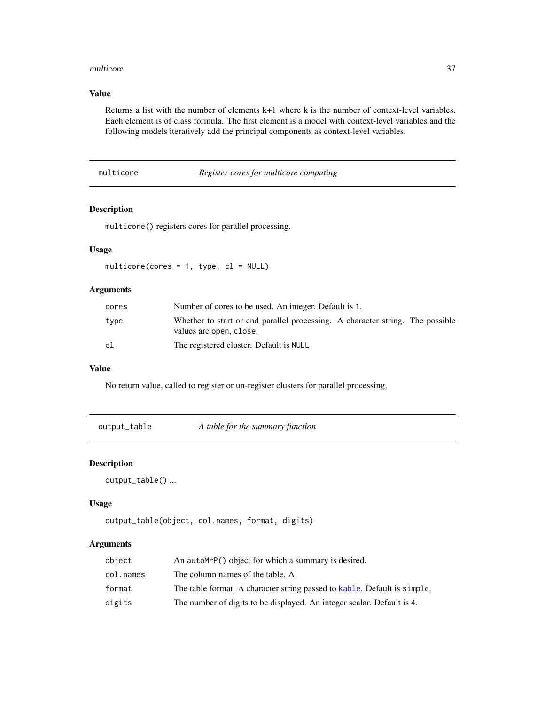#### <span id="page-36-0"></span>multicore and 37

# Value

Returns a list with the number of elements k+1 where k is the number of context-level variables. Each element is of class formula. The first element is a model with context-level variables and the following models iteratively add the principal components as context-level variables.

multicore *Register cores for multicore computing*

# Description

multicore() registers cores for parallel processing.

# Usage

multicore(cores = 1, type,  $cl = NULL$ )

# Arguments

| cores | Number of cores to be used. An integer. Default is 1.                                                    |
|-------|----------------------------------------------------------------------------------------------------------|
| type  | Whether to start or end parallel processing. A character string. The possible<br>values are open, close. |
| cl    | The registered cluster. Default is NULL                                                                  |

#### Value

No return value, called to register or un-register clusters for parallel processing.

output\_table *A table for the summary function*

# Description

```
output_table() ...
```
#### Usage

```
output_table(object, col.names, format, digits)
```

| object    | An autoMrP() object for which a summary is desired.                      |
|-----------|--------------------------------------------------------------------------|
| col.names | The column names of the table. A                                         |
| format    | The table format. A character string passed to kable. Default is simple. |
| digits    | The number of digits to be displayed. An integer scalar. Default is 4.   |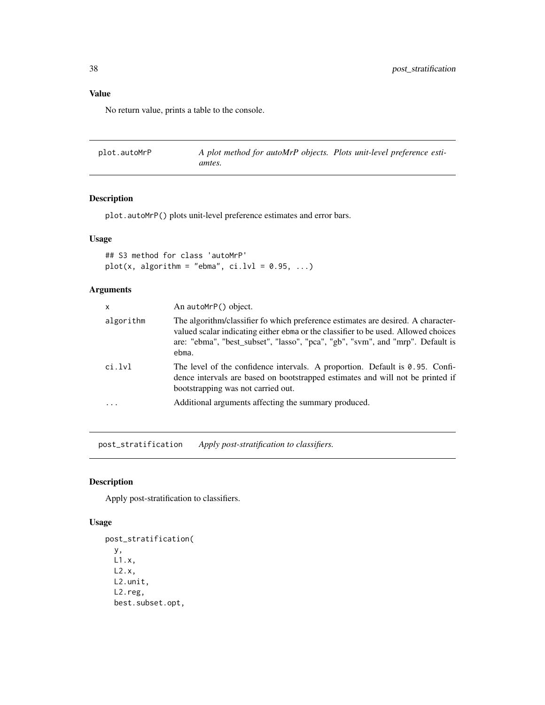# <span id="page-37-0"></span>Value

No return value, prints a table to the console.

plot.autoMrP *A plot method for autoMrP objects. Plots unit-level preference estiamtes.*

# Description

plot.autoMrP() plots unit-level preference estimates and error bars.

# Usage

## S3 method for class 'autoMrP' plot(x, algorithm = "ebma",  $ci.lvl = 0.95, ...$ )

# Arguments

| X         | An autoMrP() object.                                                                                                                                                                                                                                              |
|-----------|-------------------------------------------------------------------------------------------------------------------------------------------------------------------------------------------------------------------------------------------------------------------|
| algorithm | The algorithm/classifier fo which preference estimates are desired. A character-<br>valued scalar indicating either ebma or the classifier to be used. Allowed choices<br>are: "ebma", "best_subset", "lasso", "pca", "gb", "svm", and "mrp". Default is<br>ebma. |
| ci.lvl    | The level of the confidence intervals. A proportion. Default is $0.95$ . Confi-<br>dence intervals are based on bootstrapped estimates and will not be printed if<br>bootstrapping was not carried out.                                                           |
|           | Additional arguments affecting the summary produced.                                                                                                                                                                                                              |

post\_stratification *Apply post-stratification to classifiers.*

#### Description

Apply post-stratification to classifiers.

#### Usage

```
post_stratification(
 y,
 L1.x,
 L2.x,
 L2.unit,
 L2.reg,
 best.subset.opt,
```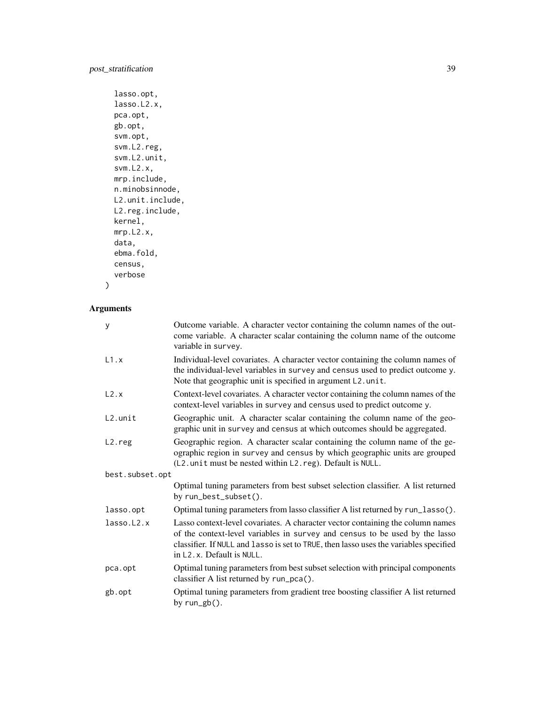```
lasso.opt,
lasso.L2.x,
pca.opt,
gb.opt,
svm.opt,
svm.L2.reg,
svm.L2.unit,
svm.L2.x,
mrp.include,
n.minobsinnode,
L2.unit.include,
L2.reg.include,
kernel,
mrp.L2.x,
data,
ebma.fold,
census,
verbose
```
 $\mathcal{L}$ 

| y               | Outcome variable. A character vector containing the column names of the out-<br>come variable. A character scalar containing the column name of the outcome<br>variable in survey.                                                                                                               |
|-----------------|--------------------------------------------------------------------------------------------------------------------------------------------------------------------------------------------------------------------------------------------------------------------------------------------------|
| L1.x            | Individual-level covariates. A character vector containing the column names of<br>the individual-level variables in survey and census used to predict outcome y.<br>Note that geographic unit is specified in argument L2. unit.                                                                 |
| L2.x            | Context-level covariates. A character vector containing the column names of the<br>context-level variables in survey and census used to predict outcome y.                                                                                                                                       |
| $L2.$ unit      | Geographic unit. A character scalar containing the column name of the geo-<br>graphic unit in survey and census at which outcomes should be aggregated.                                                                                                                                          |
| $L2.$ reg       | Geographic region. A character scalar containing the column name of the ge-<br>ographic region in survey and census by which geographic units are grouped<br>(L2. unit must be nested within L2. reg). Default is NULL.                                                                          |
| best.subset.opt |                                                                                                                                                                                                                                                                                                  |
|                 | Optimal tuning parameters from best subset selection classifier. A list returned<br>by run_best_subset().                                                                                                                                                                                        |
| lasso.opt       | Optimal tuning parameters from lasso classifier A list returned by run_lasso().                                                                                                                                                                                                                  |
| lasso.L2.x      | Lasso context-level covariates. A character vector containing the column names<br>of the context-level variables in survey and census to be used by the lasso<br>classifier. If NULL and lasso is set to TRUE, then lasso uses the variables specified<br>in L <sub>2</sub> .x. Default is NULL. |
| pca.opt         | Optimal tuning parameters from best subset selection with principal components<br>classifier A list returned by run_pca().                                                                                                                                                                       |
| gb.opt          | Optimal tuning parameters from gradient tree boosting classifier A list returned<br>by $run\_gb()$ .                                                                                                                                                                                             |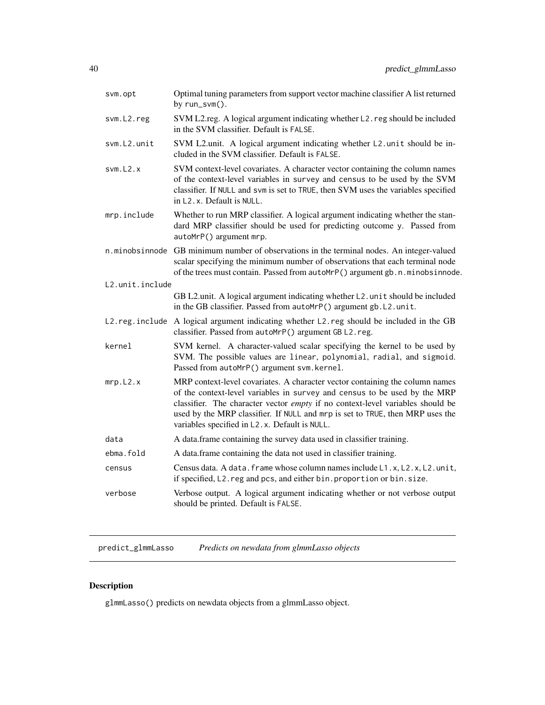<span id="page-39-0"></span>

| svm.opt         | Optimal tuning parameters from support vector machine classifier A list returned<br>by run_svm().                                                                                                                                                                                                                                                                             |
|-----------------|-------------------------------------------------------------------------------------------------------------------------------------------------------------------------------------------------------------------------------------------------------------------------------------------------------------------------------------------------------------------------------|
| svm.L2.reg      | SVM L2.reg. A logical argument indicating whether L2.reg should be included<br>in the SVM classifier. Default is FALSE.                                                                                                                                                                                                                                                       |
| svm.L2.unit     | SVM L2.unit. A logical argument indicating whether L2.unit should be in-<br>cluded in the SVM classifier. Default is FALSE.                                                                                                                                                                                                                                                   |
| svm.L2.x        | SVM context-level covariates. A character vector containing the column names<br>of the context-level variables in survey and census to be used by the SVM<br>classifier. If NULL and svm is set to TRUE, then SVM uses the variables specified<br>in L <sub>2</sub> , x. Default is NULL.                                                                                     |
| mrp.include     | Whether to run MRP classifier. A logical argument indicating whether the stan-<br>dard MRP classifier should be used for predicting outcome y. Passed from<br>autoMrP() argument mrp.                                                                                                                                                                                         |
|                 | n.minobsinnode GB minimum number of observations in the terminal nodes. An integer-valued<br>scalar specifying the minimum number of observations that each terminal node<br>of the trees must contain. Passed from autoMrP() argument gb. n. minobsinnode.                                                                                                                   |
| L2.unit.include |                                                                                                                                                                                                                                                                                                                                                                               |
|                 | GB L2.unit. A logical argument indicating whether L2.unit should be included<br>in the GB classifier. Passed from autoMrP() argument gb. L2. unit.                                                                                                                                                                                                                            |
|                 | L2. reg. include A logical argument indicating whether L2. reg should be included in the GB<br>classifier. Passed from autoMrP() argument GB L2. reg.                                                                                                                                                                                                                         |
| kernel          | SVM kernel. A character-valued scalar specifying the kernel to be used by<br>SVM. The possible values are linear, polynomial, radial, and sigmoid.<br>Passed from autoMrP() argument svm. kernel.                                                                                                                                                                             |
| mrp.L2.x        | MRP context-level covariates. A character vector containing the column names<br>of the context-level variables in survey and census to be used by the MRP<br>classifier. The character vector empty if no context-level variables should be<br>used by the MRP classifier. If NULL and mrp is set to TRUE, then MRP uses the<br>variables specified in L2.x. Default is NULL. |
| data            | A data.frame containing the survey data used in classifier training.                                                                                                                                                                                                                                                                                                          |
| ebma.fold       | A data.frame containing the data not used in classifier training.                                                                                                                                                                                                                                                                                                             |
| census          | Census data. A data. frame whose column names include L1.x, L2.x, L2.unit,<br>if specified, L2. reg and pcs, and either bin. proportion or bin. size.                                                                                                                                                                                                                         |
| verbose         | Verbose output. A logical argument indicating whether or not verbose output<br>should be printed. Default is FALSE.                                                                                                                                                                                                                                                           |
|                 |                                                                                                                                                                                                                                                                                                                                                                               |

predict\_glmmLasso *Predicts on newdata from glmmLasso objects*

# Description

glmmLasso() predicts on newdata objects from a glmmLasso object.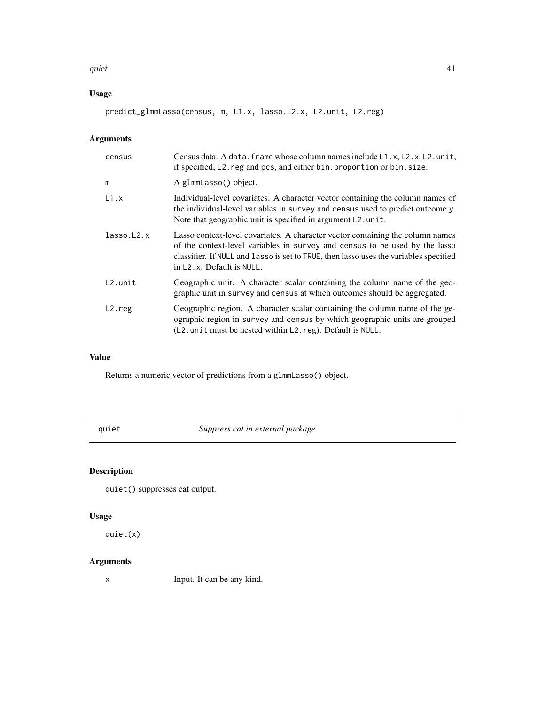#### <span id="page-40-0"></span> $\frac{q}{41}$

# Usage

predict\_glmmLasso(census, m, L1.x, lasso.L2.x, L2.unit, L2.reg)

# Arguments

| census     | Census data. A data. frame whose column names include L1.x, L2.x, L2.unit,<br>if specified, L2. reg and pcs, and either bin. proportion or bin. size.                                                                                                                                            |
|------------|--------------------------------------------------------------------------------------------------------------------------------------------------------------------------------------------------------------------------------------------------------------------------------------------------|
| m          | A glmmLasso() object.                                                                                                                                                                                                                                                                            |
| L1.x       | Individual-level covariates. A character vector containing the column names of<br>the individual-level variables in survey and census used to predict outcome y.<br>Note that geographic unit is specified in argument L2. unit.                                                                 |
| lasso.L2.x | Lasso context-level covariates. A character vector containing the column names<br>of the context-level variables in survey and census to be used by the lasso<br>classifier. If NULL and lasso is set to TRUE, then lasso uses the variables specified<br>in L <sub>2</sub> .x. Default is NULL. |
| $L2.$ unit | Geographic unit. A character scalar containing the column name of the geo-<br>graphic unit in survey and census at which outcomes should be aggregated.                                                                                                                                          |
| $L2.$ reg  | Geographic region. A character scalar containing the column name of the ge-<br>ographic region in survey and census by which geographic units are grouped<br>$(L2.$ unit must be nested within $L2$ . reg). Default is NULL.                                                                     |

# Value

Returns a numeric vector of predictions from a glmmLasso() object.

quiet *Suppress cat in external package*

# Description

quiet() suppresses cat output.

# Usage

quiet(x)

# Arguments

x Input. It can be any kind.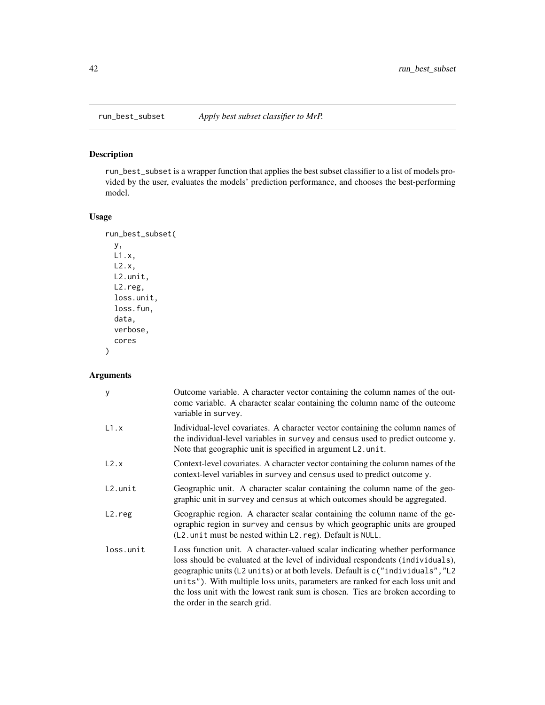<span id="page-41-0"></span>

# Description

run\_best\_subset is a wrapper function that applies the best subset classifier to a list of models provided by the user, evaluates the models' prediction performance, and chooses the best-performing model.

# Usage

```
run_best_subset(
 y,
 L1.x,
 L2.x,
 L2.unit,
 L2.reg,
 loss.unit,
 loss.fun,
 data,
 verbose,
  cores
)
```

| У          | Outcome variable. A character vector containing the column names of the out-<br>come variable. A character scalar containing the column name of the outcome<br>variable in survey.                                                                                                                                                                                                                                                                     |
|------------|--------------------------------------------------------------------------------------------------------------------------------------------------------------------------------------------------------------------------------------------------------------------------------------------------------------------------------------------------------------------------------------------------------------------------------------------------------|
| L1.x       | Individual-level covariates. A character vector containing the column names of<br>the individual-level variables in survey and census used to predict outcome y.<br>Note that geographic unit is specified in argument L2.unit.                                                                                                                                                                                                                        |
| L2.x       | Context-level covariates. A character vector containing the column names of the<br>context-level variables in survey and census used to predict outcome y.                                                                                                                                                                                                                                                                                             |
| $L2.$ unit | Geographic unit. A character scalar containing the column name of the geo-<br>graphic unit in survey and census at which outcomes should be aggregated.                                                                                                                                                                                                                                                                                                |
| L2.reg     | Geographic region. A character scalar containing the column name of the ge-<br>ographic region in survey and census by which geographic units are grouped<br>$(L2.$ unit must be nested within $L2$ . reg). Default is NULL.                                                                                                                                                                                                                           |
| loss.unit  | Loss function unit. A character-valued scalar indicating whether performance<br>loss should be evaluated at the level of individual respondents (individuals),<br>geographic units (L2 units) or at both levels. Default is c("individuals", "L2<br>units"). With multiple loss units, parameters are ranked for each loss unit and<br>the loss unit with the lowest rank sum is chosen. Ties are broken according to<br>the order in the search grid. |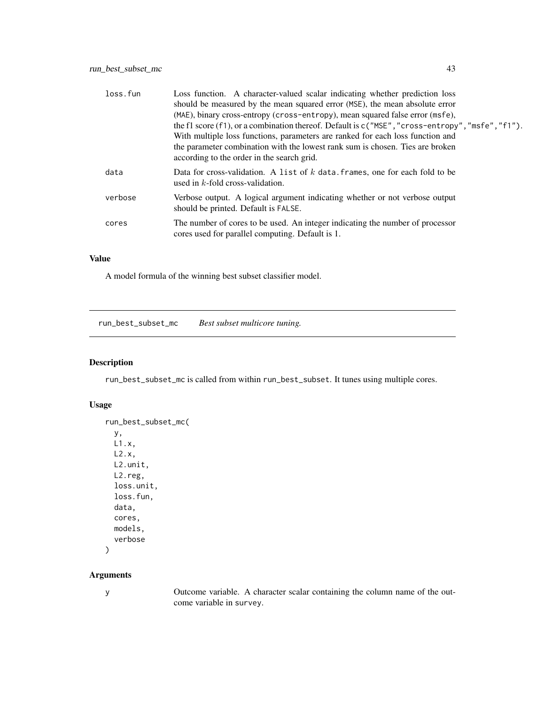<span id="page-42-0"></span>

| loss.fun | Loss function. A character-valued scalar indicating whether prediction loss<br>should be measured by the mean squared error (MSE), the mean absolute error<br>(MAE), binary cross-entropy (cross-entropy), mean squared false error (msfe),<br>the f1 score $(f1)$ , or a combination thereof. Default is $c("MSE", "cross-entropy", "msfe", "f1").$<br>With multiple loss functions, parameters are ranked for each loss function and<br>the parameter combination with the lowest rank sum is chosen. Ties are broken<br>according to the order in the search grid. |
|----------|-----------------------------------------------------------------------------------------------------------------------------------------------------------------------------------------------------------------------------------------------------------------------------------------------------------------------------------------------------------------------------------------------------------------------------------------------------------------------------------------------------------------------------------------------------------------------|
| data     | Data for cross-validation. A list of $k$ data frames, one for each fold to be<br>used in $k$ -fold cross-validation.                                                                                                                                                                                                                                                                                                                                                                                                                                                  |
| verbose  | Verbose output. A logical argument indicating whether or not verbose output<br>should be printed. Default is FALSE.                                                                                                                                                                                                                                                                                                                                                                                                                                                   |
| cores    | The number of cores to be used. An integer indicating the number of processor<br>cores used for parallel computing. Default is 1.                                                                                                                                                                                                                                                                                                                                                                                                                                     |

# Value

A model formula of the winning best subset classifier model.

run\_best\_subset\_mc *Best subset multicore tuning.*

# Description

run\_best\_subset\_mc is called from within run\_best\_subset. It tunes using multiple cores.

# Usage

```
run_best_subset_mc(
 y,
 L1.x,
 L2.x,
 L2.unit,
 L2.reg,
 loss.unit,
 loss.fun,
 data,
 cores,
 models,
  verbose
)
```
#### Arguments

y Outcome variable. A character scalar containing the column name of the outcome variable in survey.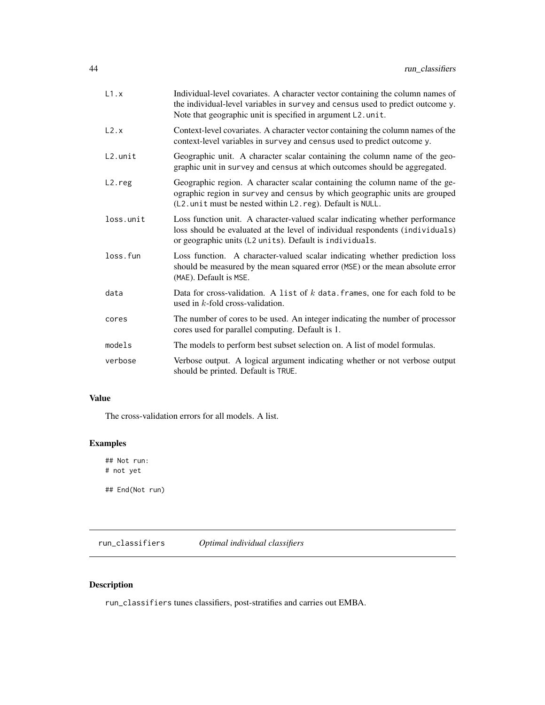<span id="page-43-0"></span>

| L1.x                | Individual-level covariates. A character vector containing the column names of<br>the individual-level variables in survey and census used to predict outcome y.<br>Note that geographic unit is specified in argument L2.unit. |
|---------------------|---------------------------------------------------------------------------------------------------------------------------------------------------------------------------------------------------------------------------------|
| L2.x                | Context-level covariates. A character vector containing the column names of the<br>context-level variables in survey and census used to predict outcome y.                                                                      |
| L2.unit             | Geographic unit. A character scalar containing the column name of the geo-<br>graphic unit in survey and census at which outcomes should be aggregated.                                                                         |
| L <sub>2</sub> .reg | Geographic region. A character scalar containing the column name of the ge-<br>ographic region in survey and census by which geographic units are grouped<br>(L2. unit must be nested within L2. reg). Default is NULL.         |
| loss.unit           | Loss function unit. A character-valued scalar indicating whether performance<br>loss should be evaluated at the level of individual respondents (individuals)<br>or geographic units (L2 units). Default is individuals.        |
| loss.fun            | Loss function. A character-valued scalar indicating whether prediction loss<br>should be measured by the mean squared error (MSE) or the mean absolute error<br>(MAE). Default is MSE.                                          |
| data                | Data for cross-validation. A list of $k$ data. frames, one for each fold to be<br>used in $k$ -fold cross-validation.                                                                                                           |
| cores               | The number of cores to be used. An integer indicating the number of processor<br>cores used for parallel computing. Default is 1.                                                                                               |
| models              | The models to perform best subset selection on. A list of model formulas.                                                                                                                                                       |
| verbose             | Verbose output. A logical argument indicating whether or not verbose output<br>should be printed. Default is TRUE.                                                                                                              |

# Value

The cross-validation errors for all models. A list.

# Examples

## Not run: # not yet

## End(Not run)

run\_classifiers *Optimal individual classifiers*

# Description

run\_classifiers tunes classifiers, post-stratifies and carries out EMBA.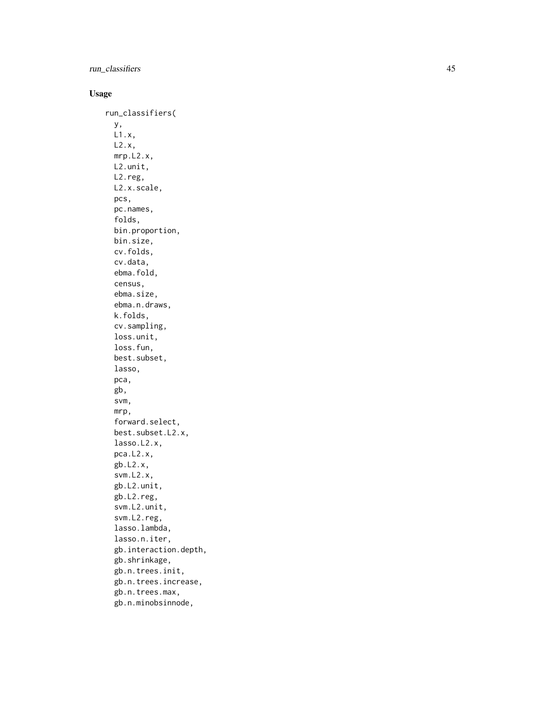# run\_classifiers 45

# Usage

run\_classifiers( y, L1.x, L2.x, mrp.L2.x, L2.unit, L2.reg, L2.x.scale, pcs, pc.names, folds, bin.proportion, bin.size, cv.folds, cv.data, ebma.fold, census, ebma.size, ebma.n.draws, k.folds, cv.sampling, loss.unit, loss.fun, best.subset, lasso, pca, gb, svm, mrp, forward.select, best.subset.L2.x, lasso.L2.x, pca.L2.x, gb.L2.x, svm.L2.x, gb.L2.unit, gb.L2.reg, svm.L2.unit, svm.L2.reg, lasso.lambda, lasso.n.iter, gb.interaction.depth, gb.shrinkage, gb.n.trees.init, gb.n.trees.increase, gb.n.trees.max, gb.n.minobsinnode,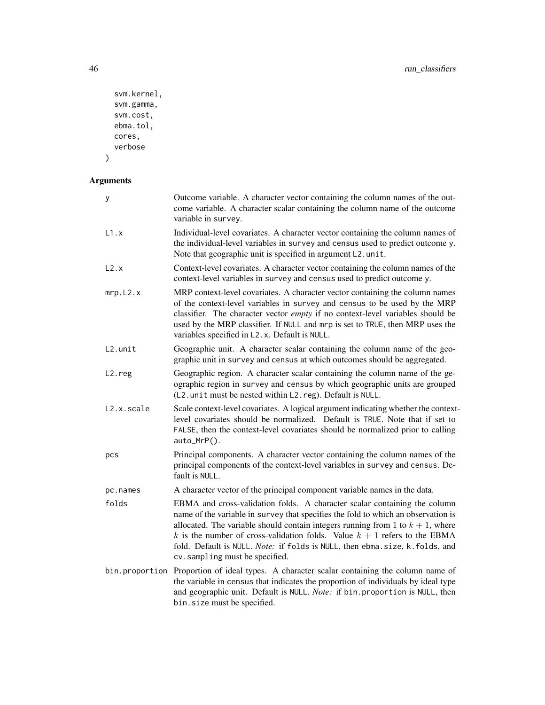```
svm.kernel,
 svm.gamma,
 svm.cost,
 ebma.tol,
 cores,
 verbose
)
```

| у          | Outcome variable. A character vector containing the column names of the out-<br>come variable. A character scalar containing the column name of the outcome<br>variable in survey.                                                                                                                                                                                                                                                                  |
|------------|-----------------------------------------------------------------------------------------------------------------------------------------------------------------------------------------------------------------------------------------------------------------------------------------------------------------------------------------------------------------------------------------------------------------------------------------------------|
| L1.x       | Individual-level covariates. A character vector containing the column names of<br>the individual-level variables in survey and census used to predict outcome y.<br>Note that geographic unit is specified in argument L2.unit.                                                                                                                                                                                                                     |
| L2.x       | Context-level covariates. A character vector containing the column names of the<br>context-level variables in survey and census used to predict outcome y.                                                                                                                                                                                                                                                                                          |
| mrp.L2.x   | MRP context-level covariates. A character vector containing the column names<br>of the context-level variables in survey and census to be used by the MRP<br>classifier. The character vector empty if no context-level variables should be<br>used by the MRP classifier. If NULL and mrp is set to TRUE, then MRP uses the<br>variables specified in L2.x. Default is NULL.                                                                       |
| L2.unit    | Geographic unit. A character scalar containing the column name of the geo-<br>graphic unit in survey and census at which outcomes should be aggregated.                                                                                                                                                                                                                                                                                             |
| L2.reg     | Geographic region. A character scalar containing the column name of the ge-<br>ographic region in survey and census by which geographic units are grouped<br>(L2. unit must be nested within L2. reg). Default is NULL.                                                                                                                                                                                                                             |
| L2.x.scale | Scale context-level covariates. A logical argument indicating whether the context-<br>level covariates should be normalized. Default is TRUE. Note that if set to<br>FALSE, then the context-level covariates should be normalized prior to calling<br>auto_MrP().                                                                                                                                                                                  |
| pcs        | Principal components. A character vector containing the column names of the<br>principal components of the context-level variables in survey and census. De-<br>fault is NULL.                                                                                                                                                                                                                                                                      |
| pc.names   | A character vector of the principal component variable names in the data.                                                                                                                                                                                                                                                                                                                                                                           |
| folds      | EBMA and cross-validation folds. A character scalar containing the column<br>name of the variable in survey that specifies the fold to which an observation is<br>allocated. The variable should contain integers running from 1 to $k + 1$ , where<br>k is the number of cross-validation folds. Value $k + 1$ refers to the EBMA<br>fold. Default is NULL. Note: if folds is NULL, then ebma.size, k.folds, and<br>cv.sampling must be specified. |
|            | bin.proportion Proportion of ideal types. A character scalar containing the column name of<br>the variable in census that indicates the proportion of individuals by ideal type<br>and geographic unit. Default is NULL. Note: if bin. proportion is NULL, then<br>bin.size must be specified.                                                                                                                                                      |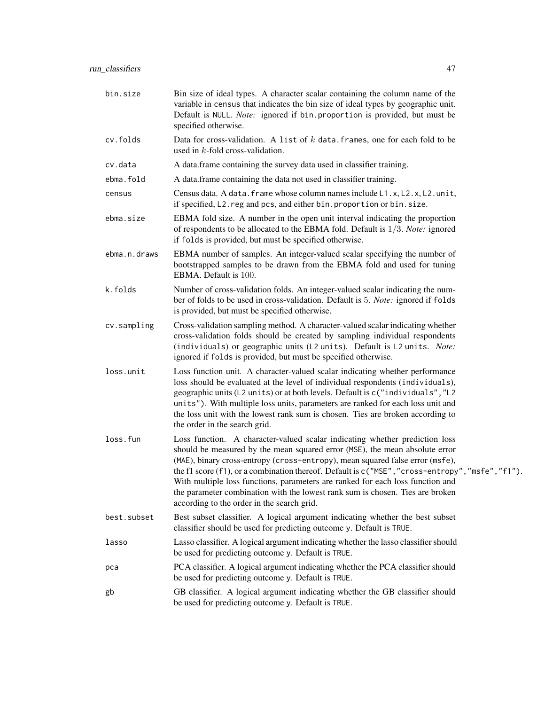| bin.size     | Bin size of ideal types. A character scalar containing the column name of the<br>variable in census that indicates the bin size of ideal types by geographic unit.<br>Default is NULL. Note: ignored if bin. proportion is provided, but must be<br>specified otherwise.                                                                                                                                                                                                                                                                                          |
|--------------|-------------------------------------------------------------------------------------------------------------------------------------------------------------------------------------------------------------------------------------------------------------------------------------------------------------------------------------------------------------------------------------------------------------------------------------------------------------------------------------------------------------------------------------------------------------------|
| cv.folds     | Data for cross-validation. A list of $k$ data. frames, one for each fold to be<br>used in $k$ -fold cross-validation.                                                                                                                                                                                                                                                                                                                                                                                                                                             |
| cv.data      | A data frame containing the survey data used in classifier training.                                                                                                                                                                                                                                                                                                                                                                                                                                                                                              |
| ebma.fold    | A data.frame containing the data not used in classifier training.                                                                                                                                                                                                                                                                                                                                                                                                                                                                                                 |
| census       | Census data. A data. frame whose column names include L1.x, L2.x, L2.unit,<br>if specified, L2. reg and pcs, and either bin. proportion or bin. size.                                                                                                                                                                                                                                                                                                                                                                                                             |
| ebma.size    | EBMA fold size. A number in the open unit interval indicating the proportion<br>of respondents to be allocated to the EBMA fold. Default is $1/3$ . Note: ignored<br>if folds is provided, but must be specified otherwise.                                                                                                                                                                                                                                                                                                                                       |
| ebma.n.draws | EBMA number of samples. An integer-valued scalar specifying the number of<br>bootstrapped samples to be drawn from the EBMA fold and used for tuning<br>EBMA. Default is 100.                                                                                                                                                                                                                                                                                                                                                                                     |
| k.folds      | Number of cross-validation folds. An integer-valued scalar indicating the num-<br>ber of folds to be used in cross-validation. Default is 5. Note: ignored if folds<br>is provided, but must be specified otherwise.                                                                                                                                                                                                                                                                                                                                              |
| cv.sampling  | Cross-validation sampling method. A character-valued scalar indicating whether<br>cross-validation folds should be created by sampling individual respondents<br>(individuals) or geographic units (L2 units). Default is L2 units. Note:<br>ignored if folds is provided, but must be specified otherwise.                                                                                                                                                                                                                                                       |
| loss.unit    | Loss function unit. A character-valued scalar indicating whether performance<br>loss should be evaluated at the level of individual respondents (individuals),<br>geographic units (L2 units) or at both levels. Default is c("individuals", "L2<br>units"). With multiple loss units, parameters are ranked for each loss unit and<br>the loss unit with the lowest rank sum is chosen. Ties are broken according to<br>the order in the search grid.                                                                                                            |
| loss.fun     | Loss function. A character-valued scalar indicating whether prediction loss<br>should be measured by the mean squared error (MSE), the mean absolute error<br>(MAE), binary cross-entropy (cross-entropy), mean squared false error (msfe),<br>the f1 score (f1), or a combination thereof. Default is c ("MSE", "cross-entropy", "msfe", "f1").<br>With multiple loss functions, parameters are ranked for each loss function and<br>the parameter combination with the lowest rank sum is chosen. Ties are broken<br>according to the order in the search grid. |
| best.subset  | Best subset classifier. A logical argument indicating whether the best subset<br>classifier should be used for predicting outcome y. Default is TRUE.                                                                                                                                                                                                                                                                                                                                                                                                             |
| lasso        | Lasso classifier. A logical argument indicating whether the lasso classifier should<br>be used for predicting outcome y. Default is TRUE.                                                                                                                                                                                                                                                                                                                                                                                                                         |
| рса          | PCA classifier. A logical argument indicating whether the PCA classifier should<br>be used for predicting outcome y. Default is TRUE.                                                                                                                                                                                                                                                                                                                                                                                                                             |
| gb           | GB classifier. A logical argument indicating whether the GB classifier should<br>be used for predicting outcome y. Default is TRUE.                                                                                                                                                                                                                                                                                                                                                                                                                               |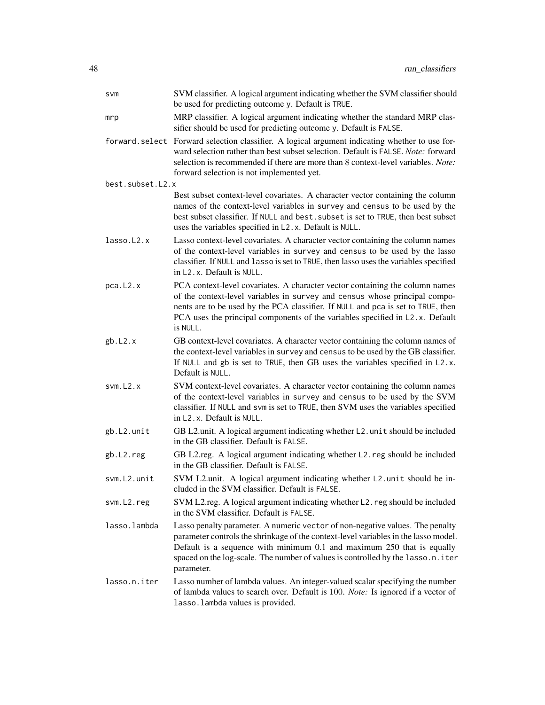| SVM              | SVM classifier. A logical argument indicating whether the SVM classifier should<br>be used for predicting outcome y. Default is TRUE.                                                                                                                                                                                                           |
|------------------|-------------------------------------------------------------------------------------------------------------------------------------------------------------------------------------------------------------------------------------------------------------------------------------------------------------------------------------------------|
| mrp              | MRP classifier. A logical argument indicating whether the standard MRP clas-<br>sifier should be used for predicting outcome y. Default is FALSE.                                                                                                                                                                                               |
|                  | forward. select Forward selection classifier. A logical argument indicating whether to use for-<br>ward selection rather than best subset selection. Default is FALSE. Note: forward<br>selection is recommended if there are more than 8 context-level variables. Note:<br>forward selection is not implemented yet.                           |
| best.subset.L2.x |                                                                                                                                                                                                                                                                                                                                                 |
|                  | Best subset context-level covariates. A character vector containing the column<br>names of the context-level variables in survey and census to be used by the<br>best subset classifier. If NULL and best. subset is set to TRUE, then best subset<br>uses the variables specified in L2.x. Default is NULL.                                    |
| lasso.L2.x       | Lasso context-level covariates. A character vector containing the column names<br>of the context-level variables in survey and census to be used by the lasso<br>classifier. If NULL and lasso is set to TRUE, then lasso uses the variables specified<br>in L <sub>2</sub> , x. Default is NULL.                                               |
| pca.L2.x         | PCA context-level covariates. A character vector containing the column names<br>of the context-level variables in survey and census whose principal compo-<br>nents are to be used by the PCA classifier. If NULL and pca is set to TRUE, then<br>PCA uses the principal components of the variables specified in L2.x. Default<br>is NULL.     |
| gb.L2.x          | GB context-level covariates. A character vector containing the column names of<br>the context-level variables in survey and census to be used by the GB classifier.<br>If NULL and gb is set to TRUE, then GB uses the variables specified in L2.x.<br>Default is NULL.                                                                         |
| svm.L2.x         | SVM context-level covariates. A character vector containing the column names<br>of the context-level variables in survey and census to be used by the SVM<br>classifier. If NULL and svm is set to TRUE, then SVM uses the variables specified<br>in L <sub>2</sub> .x. Default is NULL.                                                        |
| gb.L2.unit       | GB L2.unit. A logical argument indicating whether L2.unit should be included<br>in the GB classifier. Default is FALSE.                                                                                                                                                                                                                         |
| gb.L2.reg        | GB L2.reg. A logical argument indicating whether L2.reg should be included<br>in the GB classifier. Default is FALSE.                                                                                                                                                                                                                           |
| svm.L2.unit      | SVM L2.unit. A logical argument indicating whether L2.unit should be in-<br>cluded in the SVM classifier. Default is FALSE.                                                                                                                                                                                                                     |
| svm.L2.reg       | SVM L2.reg. A logical argument indicating whether L2. reg should be included<br>in the SVM classifier. Default is FALSE.                                                                                                                                                                                                                        |
| lasso.lambda     | Lasso penalty parameter. A numeric vector of non-negative values. The penalty<br>parameter controls the shrinkage of the context-level variables in the lasso model.<br>Default is a sequence with minimum 0.1 and maximum 250 that is equally<br>spaced on the log-scale. The number of values is controlled by the lasso.n.iter<br>parameter. |
| lasso.n.iter     | Lasso number of lambda values. An integer-valued scalar specifying the number<br>of lambda values to search over. Default is 100. Note: Is ignored if a vector of<br>lasso. lambda values is provided.                                                                                                                                          |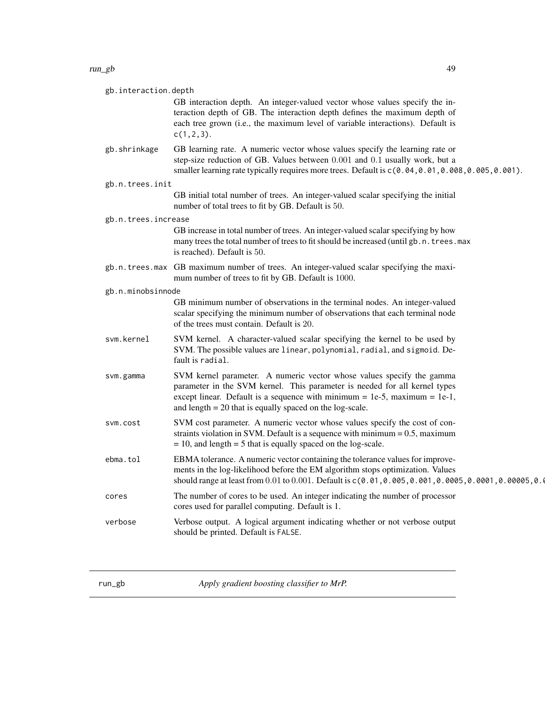<span id="page-48-0"></span>

| gb.interaction.depth |                                                                                                                                                                                                                                                                                                |
|----------------------|------------------------------------------------------------------------------------------------------------------------------------------------------------------------------------------------------------------------------------------------------------------------------------------------|
|                      | GB interaction depth. An integer-valued vector whose values specify the in-<br>teraction depth of GB. The interaction depth defines the maximum depth of<br>each tree grown (i.e., the maximum level of variable interactions). Default is<br>$c(1, 2, 3)$ .                                   |
| gb.shrinkage         | GB learning rate. A numeric vector whose values specify the learning rate or<br>step-size reduction of GB. Values between 0.001 and 0.1 usually work, but a<br>smaller learning rate typically requires more trees. Default is $c(0.04, 0.01, 0.008, 0.005, 0.001)$ .                          |
| gb.n.trees.init      |                                                                                                                                                                                                                                                                                                |
|                      | GB initial total number of trees. An integer-valued scalar specifying the initial<br>number of total trees to fit by GB. Default is 50.                                                                                                                                                        |
| gb.n.trees.increase  |                                                                                                                                                                                                                                                                                                |
|                      | GB increase in total number of trees. An integer-valued scalar specifying by how<br>many trees the total number of trees to fit should be increased (until gb. n. trees. max<br>is reached). Default is 50.                                                                                    |
|                      | gb.n.trees.max GB maximum number of trees. An integer-valued scalar specifying the maxi-<br>mum number of trees to fit by GB. Default is 1000.                                                                                                                                                 |
| gb.n.minobsinnode    |                                                                                                                                                                                                                                                                                                |
|                      | GB minimum number of observations in the terminal nodes. An integer-valued<br>scalar specifying the minimum number of observations that each terminal node<br>of the trees must contain. Default is 20.                                                                                        |
| svm.kernel           | SVM kernel. A character-valued scalar specifying the kernel to be used by<br>SVM. The possible values are linear, polynomial, radial, and sigmoid. De-<br>fault is radial.                                                                                                                     |
| svm.gamma            | SVM kernel parameter. A numeric vector whose values specify the gamma<br>parameter in the SVM kernel. This parameter is needed for all kernel types<br>except linear. Default is a sequence with minimum = 1e-5, maximum = 1e-1,<br>and length $= 20$ that is equally spaced on the log-scale. |
| svm.cost             | SVM cost parameter. A numeric vector whose values specify the cost of con-<br>straints violation in SVM. Default is a sequence with minimum $= 0.5$ , maximum<br>$= 10$ , and length $= 5$ that is equally spaced on the log-scale.                                                            |
| ebma.tol             | EBMA tolerance. A numeric vector containing the tolerance values for improve-<br>ments in the log-likelihood before the EM algorithm stops optimization. Values<br>should range at least from 0.01 to 0.001. Default is c(0.01, 0.005, 0.001, 0.0005, 0.0001, 0.00005, 0.00045, 0              |
| cores                | The number of cores to be used. An integer indicating the number of processor<br>cores used for parallel computing. Default is 1.                                                                                                                                                              |
| verbose              | Verbose output. A logical argument indicating whether or not verbose output<br>should be printed. Default is FALSE.                                                                                                                                                                            |

run\_gb *Apply gradient boosting classifier to MrP.*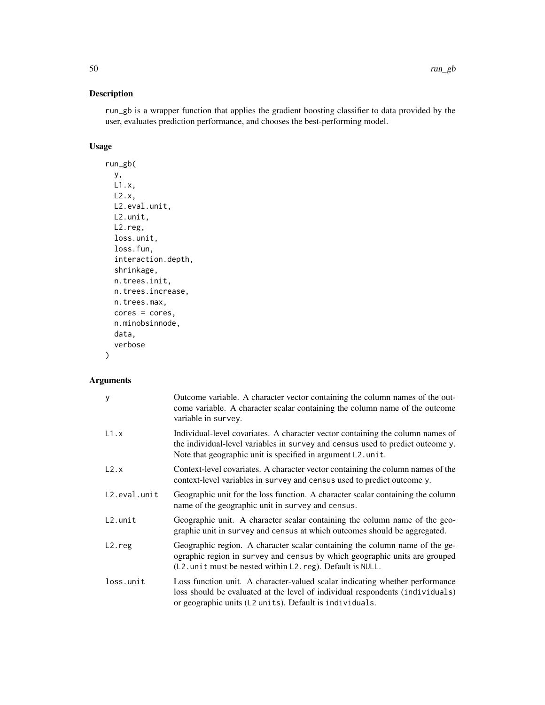# Description

run\_gb is a wrapper function that applies the gradient boosting classifier to data provided by the user, evaluates prediction performance, and chooses the best-performing model.

# Usage

```
run_gb(
 y,
 L1.x,
 L2.x,
 L2.eval.unit,
 L2.unit,
 L2.reg,
 loss.unit,
 loss.fun,
  interaction.depth,
  shrinkage,
 n.trees.init,
 n.trees.increase,
 n.trees.max,
 cores = cores,
 n.minobsinnode,
 data,
 verbose
)
```

| y            | Outcome variable. A character vector containing the column names of the out-<br>come variable. A character scalar containing the column name of the outcome<br>variable in survey.                                               |
|--------------|----------------------------------------------------------------------------------------------------------------------------------------------------------------------------------------------------------------------------------|
| L1.x         | Individual-level covariates. A character vector containing the column names of<br>the individual-level variables in survey and census used to predict outcome y.<br>Note that geographic unit is specified in argument L2. unit. |
| L2.x         | Context-level covariates. A character vector containing the column names of the<br>context-level variables in survey and census used to predict outcome y.                                                                       |
| L2.eval.unit | Geographic unit for the loss function. A character scalar containing the column<br>name of the geographic unit in survey and census.                                                                                             |
| $L2.$ unit   | Geographic unit. A character scalar containing the column name of the geo-<br>graphic unit in survey and census at which outcomes should be aggregated.                                                                          |
| $L2.$ reg    | Geographic region. A character scalar containing the column name of the ge-<br>ographic region in survey and census by which geographic units are grouped<br>(L2. unit must be nested within L2. reg). Default is NULL.          |
| loss.unit    | Loss function unit. A character-valued scalar indicating whether performance<br>loss should be evaluated at the level of individual respondents (individuals)<br>or geographic units (L2 units). Default is individuals.         |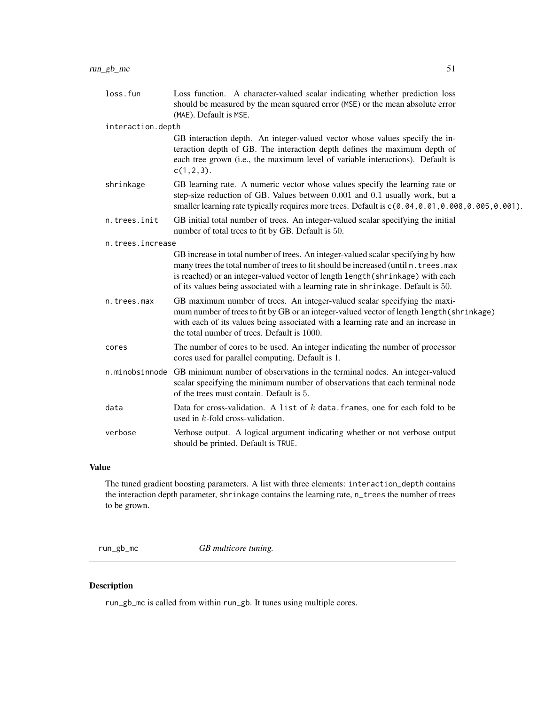<span id="page-50-0"></span>

| loss.fun          | Loss function. A character-valued scalar indicating whether prediction loss<br>should be measured by the mean squared error (MSE) or the mean absolute error<br>(MAE). Default is MSE.                                                                                                                                                         |  |
|-------------------|------------------------------------------------------------------------------------------------------------------------------------------------------------------------------------------------------------------------------------------------------------------------------------------------------------------------------------------------|--|
| interaction.depth |                                                                                                                                                                                                                                                                                                                                                |  |
|                   | GB interaction depth. An integer-valued vector whose values specify the in-<br>teraction depth of GB. The interaction depth defines the maximum depth of<br>each tree grown (i.e., the maximum level of variable interactions). Default is<br>$c(1, 2, 3)$ .                                                                                   |  |
| shrinkage         | GB learning rate. A numeric vector whose values specify the learning rate or<br>step-size reduction of GB. Values between 0.001 and 0.1 usually work, but a<br>smaller learning rate typically requires more trees. Default is $c(0.04, 0.01, 0.008, 0.005, 0.001)$ .                                                                          |  |
| n.trees.init      | GB initial total number of trees. An integer-valued scalar specifying the initial<br>number of total trees to fit by GB. Default is 50.                                                                                                                                                                                                        |  |
| n.trees.increase  |                                                                                                                                                                                                                                                                                                                                                |  |
|                   | GB increase in total number of trees. An integer-valued scalar specifying by how<br>many trees the total number of trees to fit should be increased (until n. trees. max<br>is reached) or an integer-valued vector of length length (shrinkage) with each<br>of its values being associated with a learning rate in shrinkage. Default is 50. |  |
| n.trees.max       | GB maximum number of trees. An integer-valued scalar specifying the maxi-<br>mum number of trees to fit by GB or an integer-valued vector of length length (shrinkage)<br>with each of its values being associated with a learning rate and an increase in<br>the total number of trees. Default is 1000.                                      |  |
| cores             | The number of cores to be used. An integer indicating the number of processor<br>cores used for parallel computing. Default is 1.                                                                                                                                                                                                              |  |
|                   | n.minobsinnode GB minimum number of observations in the terminal nodes. An integer-valued<br>scalar specifying the minimum number of observations that each terminal node<br>of the trees must contain. Default is 5.                                                                                                                          |  |
| data              | Data for cross-validation. A list of $k$ data frames, one for each fold to be<br>used in $k$ -fold cross-validation.                                                                                                                                                                                                                           |  |
| verbose           | Verbose output. A logical argument indicating whether or not verbose output<br>should be printed. Default is TRUE.                                                                                                                                                                                                                             |  |

#### Value

The tuned gradient boosting parameters. A list with three elements: interaction\_depth contains the interaction depth parameter, shrinkage contains the learning rate, n\_trees the number of trees to be grown.

run\_gb\_mc *GB multicore tuning.*

# Description

run\_gb\_mc is called from within run\_gb. It tunes using multiple cores.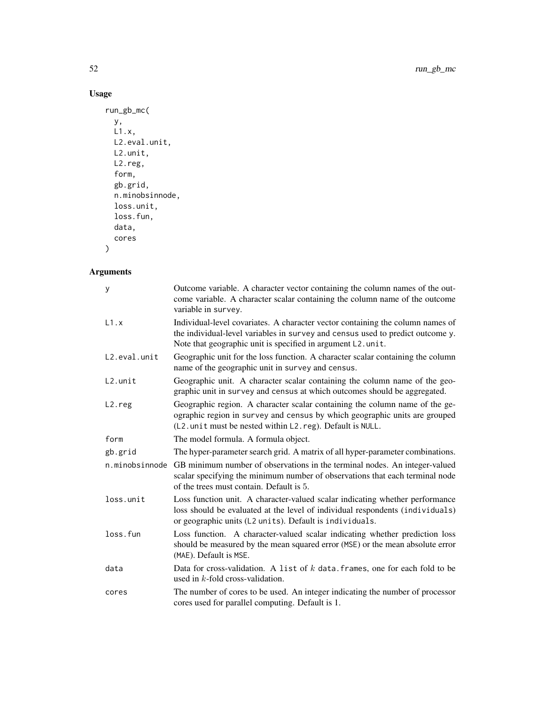52 run\_gb\_mc

# Usage

```
run_gb_mc(
  y,
  L1.x,
 L2.eval.unit,
 L2.unit,
 L2.reg,
 form,
 gb.grid,
 n.minobsinnode,
 loss.unit,
 loss.fun,
 data,
 cores
```
# )

| y                   | Outcome variable. A character vector containing the column names of the out-<br>come variable. A character scalar containing the column name of the outcome<br>variable in survey.                                               |
|---------------------|----------------------------------------------------------------------------------------------------------------------------------------------------------------------------------------------------------------------------------|
| L1.x                | Individual-level covariates. A character vector containing the column names of<br>the individual-level variables in survey and census used to predict outcome y.<br>Note that geographic unit is specified in argument L2. unit. |
| L2.eval.unit        | Geographic unit for the loss function. A character scalar containing the column<br>name of the geographic unit in survey and census.                                                                                             |
| $L2.$ unit          | Geographic unit. A character scalar containing the column name of the geo-<br>graphic unit in survey and census at which outcomes should be aggregated.                                                                          |
| L <sub>2</sub> .reg | Geographic region. A character scalar containing the column name of the ge-<br>ographic region in survey and census by which geographic units are grouped<br>(L2. unit must be nested within L2. reg). Default is NULL.          |
| form                | The model formula. A formula object.                                                                                                                                                                                             |
| gb.grid             | The hyper-parameter search grid. A matrix of all hyper-parameter combinations.                                                                                                                                                   |
| n.minobsinnode      | GB minimum number of observations in the terminal nodes. An integer-valued<br>scalar specifying the minimum number of observations that each terminal node<br>of the trees must contain. Default is 5.                           |
| loss.unit           | Loss function unit. A character-valued scalar indicating whether performance<br>loss should be evaluated at the level of individual respondents (individuals)<br>or geographic units (L2 units). Default is individuals.         |
| loss.fun            | Loss function. A character-valued scalar indicating whether prediction loss<br>should be measured by the mean squared error (MSE) or the mean absolute error<br>(MAE). Default is MSE.                                           |
| data                | Data for cross-validation. A list of $k$ data frames, one for each fold to be<br>used in $k$ -fold cross-validation.                                                                                                             |
| cores               | The number of cores to be used. An integer indicating the number of processor<br>cores used for parallel computing. Default is 1.                                                                                                |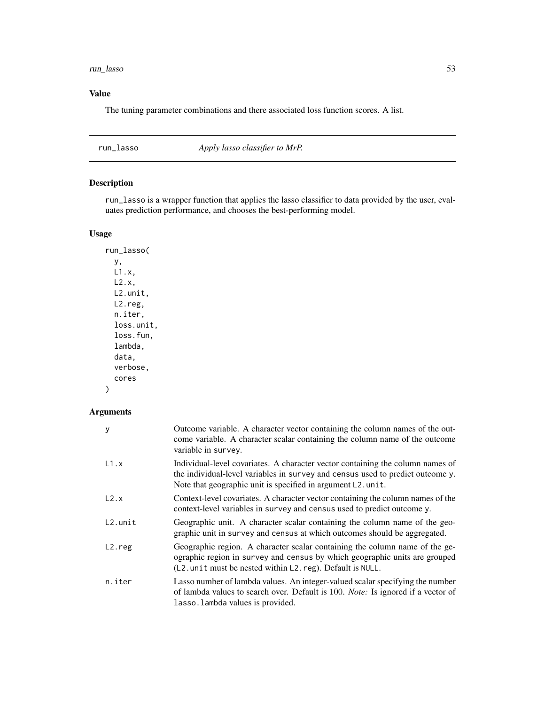#### <span id="page-52-0"></span>run\_lasso 53

# Value

The tuning parameter combinations and there associated loss function scores. A list.

run\_lasso *Apply lasso classifier to MrP.*

# Description

run\_lasso is a wrapper function that applies the lasso classifier to data provided by the user, evaluates prediction performance, and chooses the best-performing model.

# Usage

run\_lasso( y, L1.x, L2.x, L2.unit, L2.reg, n.iter, loss.unit, loss.fun, lambda, data, verbose, cores )

| y          | Outcome variable. A character vector containing the column names of the out-<br>come variable. A character scalar containing the column name of the outcome<br>variable in survey.                                               |
|------------|----------------------------------------------------------------------------------------------------------------------------------------------------------------------------------------------------------------------------------|
| L1.x       | Individual-level covariates. A character vector containing the column names of<br>the individual-level variables in survey and census used to predict outcome y.<br>Note that geographic unit is specified in argument L2. unit. |
| L2.x       | Context-level covariates. A character vector containing the column names of the<br>context-level variables in survey and census used to predict outcome y.                                                                       |
| $L2.$ unit | Geographic unit. A character scalar containing the column name of the geo-<br>graphic unit in survey and census at which outcomes should be aggregated.                                                                          |
| $L2.$ reg  | Geographic region. A character scalar containing the column name of the ge-<br>ographic region in survey and census by which geographic units are grouped<br>$(L2.$ unit must be nested within $L2$ . reg). Default is NULL.     |
| n.iter     | Lasso number of lambda values. An integer-valued scalar specifying the number<br>of lambda values to search over. Default is 100. Note: Is ignored if a vector of<br>lasso. lambda values is provided.                           |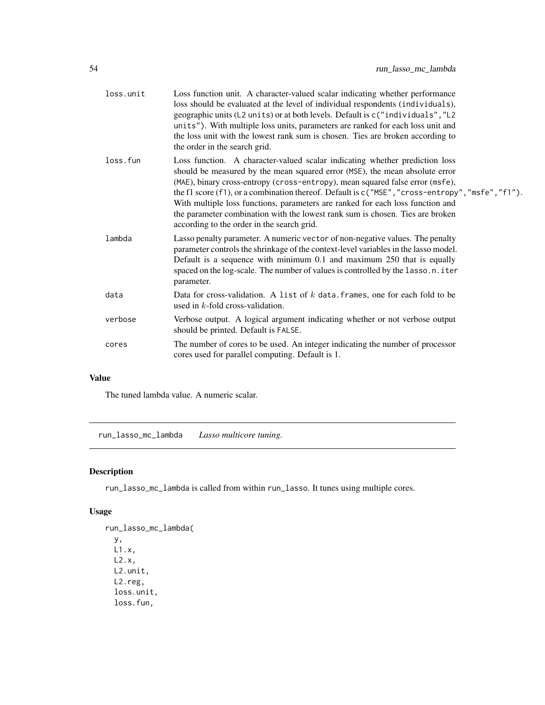<span id="page-53-0"></span>

| loss.unit | Loss function unit. A character-valued scalar indicating whether performance<br>loss should be evaluated at the level of individual respondents (individuals),<br>geographic units (L2 units) or at both levels. Default is c("individuals", "L2<br>units"). With multiple loss units, parameters are ranked for each loss unit and<br>the loss unit with the lowest rank sum is chosen. Ties are broken according to<br>the order in the search grid.                                                                                                                |
|-----------|-----------------------------------------------------------------------------------------------------------------------------------------------------------------------------------------------------------------------------------------------------------------------------------------------------------------------------------------------------------------------------------------------------------------------------------------------------------------------------------------------------------------------------------------------------------------------|
| loss.fun  | Loss function. A character-valued scalar indicating whether prediction loss<br>should be measured by the mean squared error (MSE), the mean absolute error<br>(MAE), binary cross-entropy (cross-entropy), mean squared false error (msfe),<br>the f1 score $(f1)$ , or a combination thereof. Default is $c("MSE", "cross-entropy", "msfe", "f1").$<br>With multiple loss functions, parameters are ranked for each loss function and<br>the parameter combination with the lowest rank sum is chosen. Ties are broken<br>according to the order in the search grid. |
| lambda    | Lasso penalty parameter. A numeric vector of non-negative values. The penalty<br>parameter controls the shrinkage of the context-level variables in the lasso model.<br>Default is a sequence with minimum 0.1 and maximum 250 that is equally<br>spaced on the log-scale. The number of values is controlled by the lasso.n.iter<br>parameter.                                                                                                                                                                                                                       |
| data      | Data for cross-validation. A list of $k$ data frames, one for each fold to be<br>used in $k$ -fold cross-validation.                                                                                                                                                                                                                                                                                                                                                                                                                                                  |
| verbose   | Verbose output. A logical argument indicating whether or not verbose output<br>should be printed. Default is FALSE.                                                                                                                                                                                                                                                                                                                                                                                                                                                   |
| cores     | The number of cores to be used. An integer indicating the number of processor<br>cores used for parallel computing. Default is 1.                                                                                                                                                                                                                                                                                                                                                                                                                                     |
|           |                                                                                                                                                                                                                                                                                                                                                                                                                                                                                                                                                                       |

# Value

The tuned lambda value. A numeric scalar.

run\_lasso\_mc\_lambda *Lasso multicore tuning.*

# Description

run\_lasso\_mc\_lambda is called from within run\_lasso. It tunes using multiple cores.

# Usage

```
run_lasso_mc_lambda(
 y,
 L1.x,
 L2.x,
 L2.unit,
 L2.reg,
 loss.unit,
 loss.fun,
```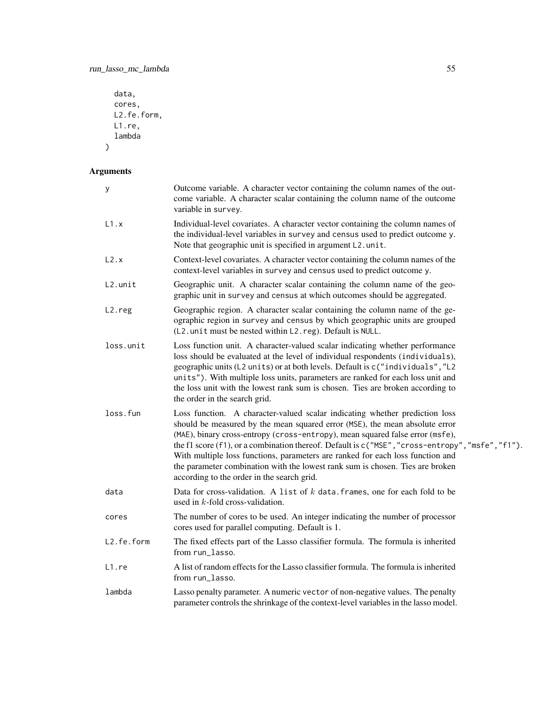```
data,
  cores,
 L2.fe.form,
  L1.re,
  lambda
\mathcal{L}
```

| У          | Outcome variable. A character vector containing the column names of the out-<br>come variable. A character scalar containing the column name of the outcome<br>variable in survey.                                                                                                                                                                                                                                                                                                                                                                               |
|------------|------------------------------------------------------------------------------------------------------------------------------------------------------------------------------------------------------------------------------------------------------------------------------------------------------------------------------------------------------------------------------------------------------------------------------------------------------------------------------------------------------------------------------------------------------------------|
| L1.x       | Individual-level covariates. A character vector containing the column names of<br>the individual-level variables in survey and census used to predict outcome y.<br>Note that geographic unit is specified in argument L2. unit.                                                                                                                                                                                                                                                                                                                                 |
| L2.x       | Context-level covariates. A character vector containing the column names of the<br>context-level variables in survey and census used to predict outcome y.                                                                                                                                                                                                                                                                                                                                                                                                       |
| L2.unit    | Geographic unit. A character scalar containing the column name of the geo-<br>graphic unit in survey and census at which outcomes should be aggregated.                                                                                                                                                                                                                                                                                                                                                                                                          |
| L2.reg     | Geographic region. A character scalar containing the column name of the ge-<br>ographic region in survey and census by which geographic units are grouped<br>(L2. unit must be nested within L2. reg). Default is NULL.                                                                                                                                                                                                                                                                                                                                          |
| loss.unit  | Loss function unit. A character-valued scalar indicating whether performance<br>loss should be evaluated at the level of individual respondents (individuals),<br>geographic units (L2 units) or at both levels. Default is c("individuals", "L2<br>units"). With multiple loss units, parameters are ranked for each loss unit and<br>the loss unit with the lowest rank sum is chosen. Ties are broken according to<br>the order in the search grid.                                                                                                           |
| loss.fun   | Loss function. A character-valued scalar indicating whether prediction loss<br>should be measured by the mean squared error (MSE), the mean absolute error<br>(MAE), binary cross-entropy (cross-entropy), mean squared false error (msfe),<br>the f1 score (f1), or a combination thereof. Default is c("MSE", "cross-entropy", "msfe", "f1").<br>With multiple loss functions, parameters are ranked for each loss function and<br>the parameter combination with the lowest rank sum is chosen. Ties are broken<br>according to the order in the search grid. |
| data       | Data for cross-validation. A list of $k$ data. frames, one for each fold to be<br>used in $k$ -fold cross-validation.                                                                                                                                                                                                                                                                                                                                                                                                                                            |
| cores      | The number of cores to be used. An integer indicating the number of processor<br>cores used for parallel computing. Default is 1.                                                                                                                                                                                                                                                                                                                                                                                                                                |
| L2.fe.form | The fixed effects part of the Lasso classifier formula. The formula is inherited<br>from run_lasso.                                                                                                                                                                                                                                                                                                                                                                                                                                                              |
| L1.re      | A list of random effects for the Lasso classifier formula. The formula is inherited<br>from run_lasso.                                                                                                                                                                                                                                                                                                                                                                                                                                                           |
| lambda     | Lasso penalty parameter. A numeric vector of non-negative values. The penalty<br>parameter controls the shrinkage of the context-level variables in the lasso model.                                                                                                                                                                                                                                                                                                                                                                                             |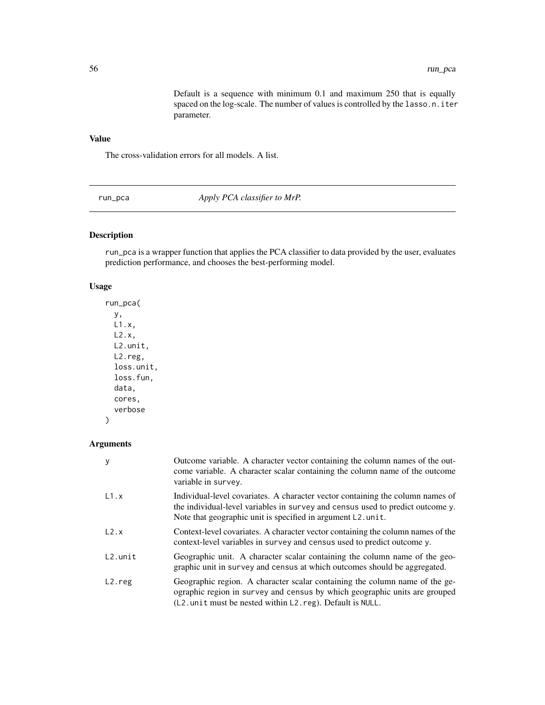Default is a sequence with minimum 0.1 and maximum 250 that is equally spaced on the log-scale. The number of values is controlled by the lasso.n.iter parameter.

# <span id="page-55-0"></span>Value

The cross-validation errors for all models. A list.

run\_pca *Apply PCA classifier to MrP.*

# Description

run\_pca is a wrapper function that applies the PCA classifier to data provided by the user, evaluates prediction performance, and chooses the best-performing model.

#### Usage

run\_pca( y, L1.x, L2.x, L2.unit, L2.reg, loss.unit, loss.fun, data, cores, verbose

#### Arguments

)

| у                   | Outcome variable. A character vector containing the column names of the out-<br>come variable. A character scalar containing the column name of the outcome<br>variable in survey.                                                  |
|---------------------|-------------------------------------------------------------------------------------------------------------------------------------------------------------------------------------------------------------------------------------|
| L1.x                | Individual-level covariates. A character vector containing the column names of<br>the individual-level variables in survey and census used to predict outcome y.<br>Note that geographic unit is specified in argument $L2$ . unit. |
| L2.x                | Context-level covariates. A character vector containing the column names of the<br>context-level variables in survey and census used to predict outcome y.                                                                          |
| $L2.$ unit          | Geographic unit. A character scalar containing the column name of the geo-<br>graphic unit in survey and census at which outcomes should be aggregated.                                                                             |
| L <sub>2</sub> .reg | Geographic region. A character scalar containing the column name of the ge-<br>ographic region in survey and census by which geographic units are grouped<br>(L2. unit must be nested within L2. reg). Default is NULL.             |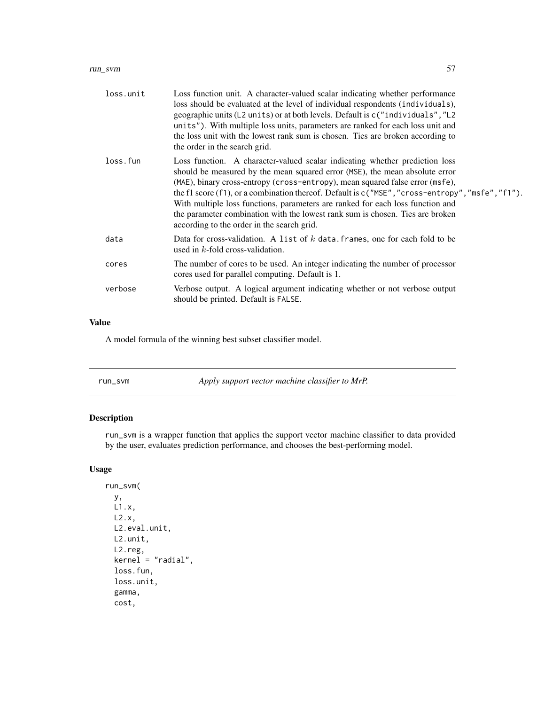<span id="page-56-0"></span>

| loss.unit | Loss function unit. A character-valued scalar indicating whether performance<br>loss should be evaluated at the level of individual respondents (individuals),<br>geographic units (L2 units) or at both levels. Default is c("individuals", "L2<br>units"). With multiple loss units, parameters are ranked for each loss unit and<br>the loss unit with the lowest rank sum is chosen. Ties are broken according to<br>the order in the search grid.                                                                                                             |
|-----------|--------------------------------------------------------------------------------------------------------------------------------------------------------------------------------------------------------------------------------------------------------------------------------------------------------------------------------------------------------------------------------------------------------------------------------------------------------------------------------------------------------------------------------------------------------------------|
| loss.fun  | Loss function. A character-valued scalar indicating whether prediction loss<br>should be measured by the mean squared error (MSE), the mean absolute error<br>(MAE), binary cross-entropy (cross-entropy), mean squared false error (msfe),<br>the f1 score (f1), or a combination thereof. Default is $c("MSE", "cross-entropy", "msfe", "f1").$<br>With multiple loss functions, parameters are ranked for each loss function and<br>the parameter combination with the lowest rank sum is chosen. Ties are broken<br>according to the order in the search grid. |
| data      | Data for cross-validation. A list of $k$ data frames, one for each fold to be<br>used in $k$ -fold cross-validation.                                                                                                                                                                                                                                                                                                                                                                                                                                               |
| cores     | The number of cores to be used. An integer indicating the number of processor<br>cores used for parallel computing. Default is 1.                                                                                                                                                                                                                                                                                                                                                                                                                                  |
| verbose   | Verbose output. A logical argument indicating whether or not verbose output<br>should be printed. Default is FALSE.                                                                                                                                                                                                                                                                                                                                                                                                                                                |

# Value

A model formula of the winning best subset classifier model.

| run_svm | Apply support vector machine classifier to MrP. |
|---------|-------------------------------------------------|
|---------|-------------------------------------------------|

# Description

run\_svm is a wrapper function that applies the support vector machine classifier to data provided by the user, evaluates prediction performance, and chooses the best-performing model.

# Usage

```
run_svm(
 y,
 L1.x,
 L2.x,
 L2.eval.unit,
 L2.unit,
 L2.reg,
 kernel = "radial",
 loss.fun,
 loss.unit,
  gamma,
 cost,
```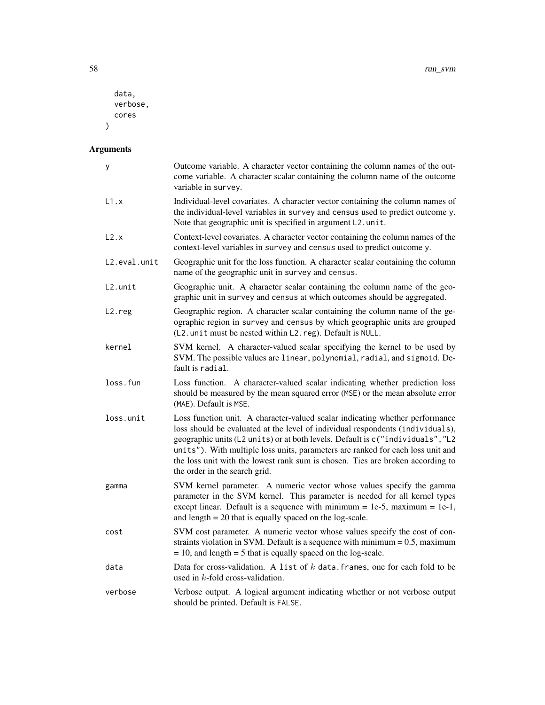```
data,
  verbose,
  cores
\mathcal{L}
```

| $\mathsf{y}$ | Outcome variable. A character vector containing the column names of the out-<br>come variable. A character scalar containing the column name of the outcome<br>variable in survey.                                                                                                                                                                                                                                                                     |
|--------------|--------------------------------------------------------------------------------------------------------------------------------------------------------------------------------------------------------------------------------------------------------------------------------------------------------------------------------------------------------------------------------------------------------------------------------------------------------|
| L1.x         | Individual-level covariates. A character vector containing the column names of<br>the individual-level variables in survey and census used to predict outcome y.<br>Note that geographic unit is specified in argument L2.unit.                                                                                                                                                                                                                        |
| L2.x         | Context-level covariates. A character vector containing the column names of the<br>context-level variables in survey and census used to predict outcome y.                                                                                                                                                                                                                                                                                             |
| L2.eval.unit | Geographic unit for the loss function. A character scalar containing the column<br>name of the geographic unit in survey and census.                                                                                                                                                                                                                                                                                                                   |
| $L2.$ unit   | Geographic unit. A character scalar containing the column name of the geo-<br>graphic unit in survey and census at which outcomes should be aggregated.                                                                                                                                                                                                                                                                                                |
| $L2.$ reg    | Geographic region. A character scalar containing the column name of the ge-<br>ographic region in survey and census by which geographic units are grouped<br>(L2. unit must be nested within L2. reg). Default is NULL.                                                                                                                                                                                                                                |
| kernel       | SVM kernel. A character-valued scalar specifying the kernel to be used by<br>SVM. The possible values are linear, polynomial, radial, and sigmoid. De-<br>fault is radial.                                                                                                                                                                                                                                                                             |
| loss.fun     | Loss function. A character-valued scalar indicating whether prediction loss<br>should be measured by the mean squared error (MSE) or the mean absolute error<br>(MAE). Default is MSE.                                                                                                                                                                                                                                                                 |
| loss.unit    | Loss function unit. A character-valued scalar indicating whether performance<br>loss should be evaluated at the level of individual respondents (individuals),<br>geographic units (L2 units) or at both levels. Default is c("individuals", "L2<br>units"). With multiple loss units, parameters are ranked for each loss unit and<br>the loss unit with the lowest rank sum is chosen. Ties are broken according to<br>the order in the search grid. |
| gamma        | SVM kernel parameter. A numeric vector whose values specify the gamma<br>parameter in the SVM kernel. This parameter is needed for all kernel types<br>except linear. Default is a sequence with minimum = 1e-5, maximum = 1e-1,<br>and length $= 20$ that is equally spaced on the log-scale.                                                                                                                                                         |
| cost         | SVM cost parameter. A numeric vector whose values specify the cost of con-<br>straints violation in SVM. Default is a sequence with minimum $= 0.5$ , maximum<br>$= 10$ , and length $= 5$ that is equally spaced on the log-scale.                                                                                                                                                                                                                    |
| data         | Data for cross-validation. A list of $k$ data frames, one for each fold to be<br>used in $k$ -fold cross-validation.                                                                                                                                                                                                                                                                                                                                   |
| verbose      | Verbose output. A logical argument indicating whether or not verbose output<br>should be printed. Default is FALSE.                                                                                                                                                                                                                                                                                                                                    |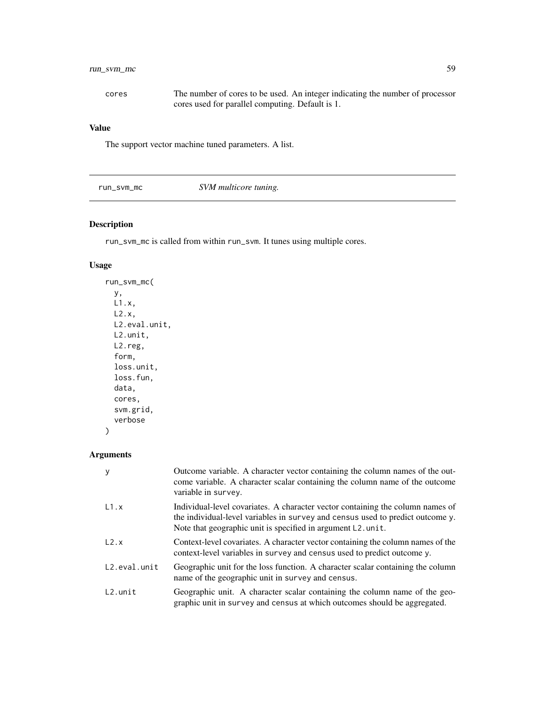# <span id="page-58-0"></span>run\_svm\_mc 59

| cores | The number of cores to be used. An integer indicating the number of processor |
|-------|-------------------------------------------------------------------------------|
|       | cores used for parallel computing. Default is 1.                              |

# Value

The support vector machine tuned parameters. A list.

run\_svm\_mc *SVM multicore tuning.*

# Description

run\_svm\_mc is called from within run\_svm. It tunes using multiple cores.

# Usage

```
run_svm_mc(
 y,
 L1.x,
 L2.x,
 L2.eval.unit,
 L2.unit,
 L2.reg,
 form,
 loss.unit,
 loss.fun,
 data,
 cores,
  svm.grid,
  verbose
```
# Arguments

)

| У            | Outcome variable. A character vector containing the column names of the out-<br>come variable. A character scalar containing the column name of the outcome<br>variable in survey.                                               |
|--------------|----------------------------------------------------------------------------------------------------------------------------------------------------------------------------------------------------------------------------------|
| L1.x         | Individual-level covariates. A character vector containing the column names of<br>the individual-level variables in survey and census used to predict outcome y.<br>Note that geographic unit is specified in argument L2. unit. |
| L2.x         | Context-level covariates. A character vector containing the column names of the<br>context-level variables in survey and census used to predict outcome y.                                                                       |
| L2.eval.unit | Geographic unit for the loss function. A character scalar containing the column<br>name of the geographic unit in survey and census.                                                                                             |
| $L2.$ unit   | Geographic unit. A character scalar containing the column name of the geo-<br>graphic unit in survey and census at which outcomes should be aggregated.                                                                          |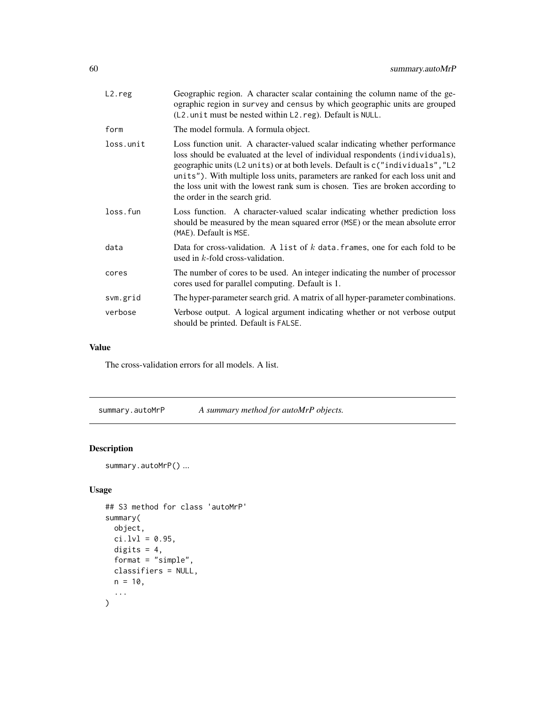<span id="page-59-0"></span>

| L2.reg    | Geographic region. A character scalar containing the column name of the ge-<br>ographic region in survey and census by which geographic units are grouped<br>$(L2.$ unit must be nested within $L2$ . reg). Default is NULL.                                                                                                                                                                                                                           |
|-----------|--------------------------------------------------------------------------------------------------------------------------------------------------------------------------------------------------------------------------------------------------------------------------------------------------------------------------------------------------------------------------------------------------------------------------------------------------------|
| form      | The model formula. A formula object.                                                                                                                                                                                                                                                                                                                                                                                                                   |
| loss.unit | Loss function unit. A character-valued scalar indicating whether performance<br>loss should be evaluated at the level of individual respondents (individuals),<br>geographic units (L2 units) or at both levels. Default is c("individuals", "L2<br>units"). With multiple loss units, parameters are ranked for each loss unit and<br>the loss unit with the lowest rank sum is chosen. Ties are broken according to<br>the order in the search grid. |
| loss.fun  | Loss function. A character-valued scalar indicating whether prediction loss<br>should be measured by the mean squared error (MSE) or the mean absolute error<br>(MAE). Default is MSE.                                                                                                                                                                                                                                                                 |
| data      | Data for cross-validation. A list of $k$ data frames, one for each fold to be<br>used in $k$ -fold cross-validation.                                                                                                                                                                                                                                                                                                                                   |
| cores     | The number of cores to be used. An integer indicating the number of processor<br>cores used for parallel computing. Default is 1.                                                                                                                                                                                                                                                                                                                      |
| svm.grid  | The hyper-parameter search grid. A matrix of all hyper-parameter combinations.                                                                                                                                                                                                                                                                                                                                                                         |
| verbose   | Verbose output. A logical argument indicating whether or not verbose output<br>should be printed. Default is FALSE.                                                                                                                                                                                                                                                                                                                                    |

# Value

The cross-validation errors for all models. A list.

summary.autoMrP *A summary method for autoMrP objects.*

# Description

```
summary.autoMrP() ...
```
# Usage

```
## S3 method for class 'autoMrP'
summary(
 object,
 ci.lvl = 0.95,
 digits = 4,
 format = "simple",
 classifiers = NULL,
 n = 10,
  ...
)
```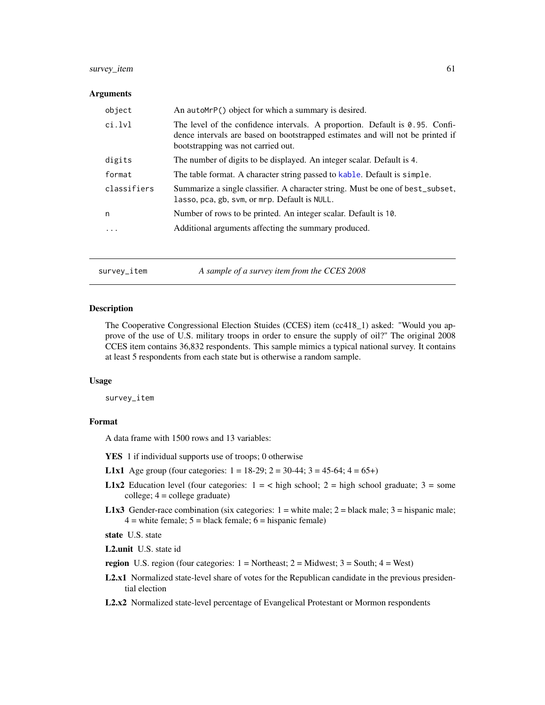# <span id="page-60-0"></span>survey\_item 61

#### Arguments

| object      | An autoMrP() object for which a summary is desired.                                                                                                                                                     |
|-------------|---------------------------------------------------------------------------------------------------------------------------------------------------------------------------------------------------------|
| ci.lvl      | The level of the confidence intervals. A proportion. Default is $0.95$ . Confi-<br>dence intervals are based on bootstrapped estimates and will not be printed if<br>bootstrapping was not carried out. |
| digits      | The number of digits to be displayed. An integer scalar. Default is 4.                                                                                                                                  |
| format      | The table format. A character string passed to kable. Default is simple.                                                                                                                                |
| classifiers | Summarize a single classifier. A character string. Must be one of best_subset,<br>lasso, pca, gb, svm, or mrp. Default is NULL.                                                                         |
| n           | Number of rows to be printed. An integer scalar. Default is 10.                                                                                                                                         |
| .           | Additional arguments affecting the summary produced.                                                                                                                                                    |
|             |                                                                                                                                                                                                         |

survey\_item *A sample of a survey item from the CCES 2008*

#### Description

The Cooperative Congressional Election Stuides (CCES) item (cc418\_1) asked: "Would you approve of the use of U.S. military troops in order to ensure the supply of oil?" The original 2008 CCES item contains 36,832 respondents. This sample mimics a typical national survey. It contains at least 5 respondents from each state but is otherwise a random sample.

#### Usage

survey\_item

## Format

A data frame with 1500 rows and 13 variables:

- YES 1 if individual supports use of troops; 0 otherwise
- **L1x1** Age group (four categories:  $1 = 18-29$ ;  $2 = 30-44$ ;  $3 = 45-64$ ;  $4 = 65+$ )
- **L1x2** Education level (four categories:  $1 = \langle$  high school;  $2 =$  high school graduate;  $3 =$  some college; 4 = college graduate)
- **L1x3** Gender-race combination (six categories:  $1 =$  white male;  $2 =$  black male;  $3 =$  hispanic male;  $4 =$  white female;  $5 =$  black female;  $6 =$  hispanic female)

state U.S. state

L2.unit U.S. state id

region U.S. region (four categories:  $1 = \text{Northeast}$ ;  $2 = \text{Midwest}$ ;  $3 = \text{South}$ ;  $4 = \text{West}$ )

- L2.x1 Normalized state-level share of votes for the Republican candidate in the previous presidential election
- L2.x2 Normalized state-level percentage of Evangelical Protestant or Mormon respondents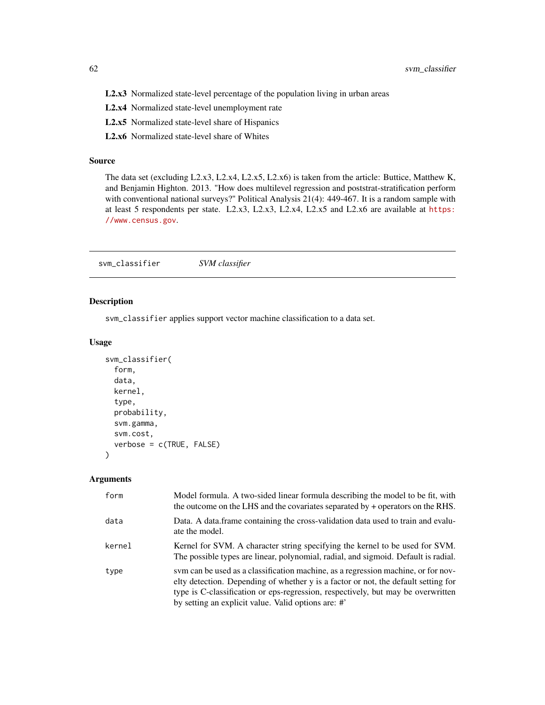<span id="page-61-0"></span>L2.x3 Normalized state-level percentage of the population living in urban areas

- L2.x4 Normalized state-level unemployment rate
- L2.x5 Normalized state-level share of Hispanics
- L2.x6 Normalized state-level share of Whites

#### Source

The data set (excluding L2.x3, L2.x4, L2.x5, L2.x6) is taken from the article: Buttice, Matthew K, and Benjamin Highton. 2013. "How does multilevel regression and poststrat-stratification perform with conventional national surveys?" Political Analysis 21(4): 449-467. It is a random sample with at least 5 respondents per state. L2.x3, L2.x3, L2.x4, L2.x5 and L2.x6 are available at [https:](https://www.census.gov) [//www.census.gov](https://www.census.gov).

svm\_classifier *SVM classifier*

# Description

svm\_classifier applies support vector machine classification to a data set.

# Usage

```
svm_classifier(
  form,
  data,
 kernel,
  type,
  probability,
  svm.gamma,
  svm.cost,
  verbose = c(TRUE, FALSE)
)
```

| form   | Model formula. A two-sided linear formula describing the model to be fit, with<br>the outcome on the LHS and the covariates separated by + operators on the RHS.                                                                                                                                                  |
|--------|-------------------------------------------------------------------------------------------------------------------------------------------------------------------------------------------------------------------------------------------------------------------------------------------------------------------|
| data   | Data. A data frame containing the cross-validation data used to train and evalu-<br>ate the model.                                                                                                                                                                                                                |
| kernel | Kernel for SVM. A character string specifying the kernel to be used for SVM.<br>The possible types are linear, polynomial, radial, and sigmoid. Default is radial.                                                                                                                                                |
| type   | sym can be used as a classification machine, as a regression machine, or for nov-<br>elty detection. Depending of whether y is a factor or not, the default setting for<br>type is C-classification or eps-regression, respectively, but may be overwritten<br>by setting an explicit value. Valid options are: # |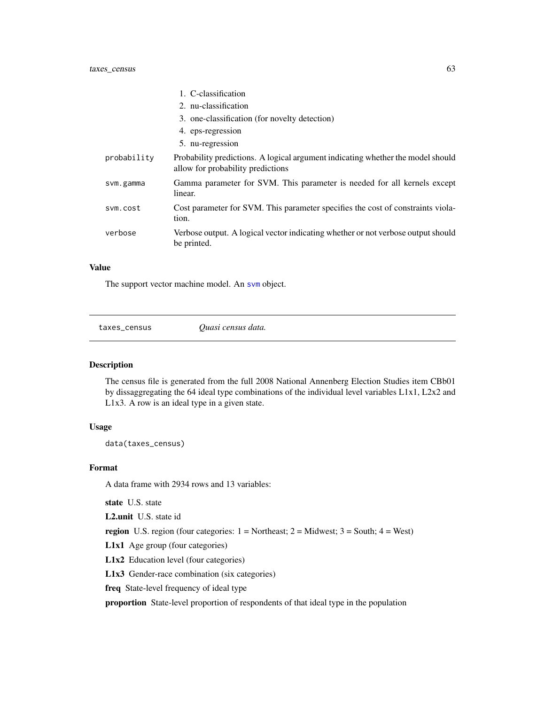<span id="page-62-0"></span>

|             | 1. C-classification                                                                                                  |
|-------------|----------------------------------------------------------------------------------------------------------------------|
|             | 2. nu-classification                                                                                                 |
|             | 3. one-classification (for novelty detection)                                                                        |
|             | 4. eps-regression                                                                                                    |
|             | 5. nu-regression                                                                                                     |
| probability | Probability predictions. A logical argument indicating whether the model should<br>allow for probability predictions |
| svm.gamma   | Gamma parameter for SVM. This parameter is needed for all kernels except<br>linear.                                  |
| sym.cost    | Cost parameter for SVM. This parameter specifies the cost of constraints viola-<br>tion.                             |
| verbose     | Verbose output. A logical vector indicating whether or not verbose output should<br>be printed.                      |

## Value

The support vector machine model. An [svm](#page-0-0) object.

taxes\_census *Quasi census data.*

#### Description

The census file is generated from the full 2008 National Annenberg Election Studies item CBb01 by dissaggregating the 64 ideal type combinations of the individual level variables L1x1, L2x2 and L1x3. A row is an ideal type in a given state.

#### Usage

data(taxes\_census)

#### Format

A data frame with 2934 rows and 13 variables:

state U.S. state

L2.unit U.S. state id

region U.S. region (four categories:  $1 = \text{Northeast}$ ;  $2 = \text{Midwest}$ ;  $3 = \text{South}$ ;  $4 = \text{West}$ )

L1x1 Age group (four categories)

L1x2 Education level (four categories)

L1x3 Gender-race combination (six categories)

freq State-level frequency of ideal type

proportion State-level proportion of respondents of that ideal type in the population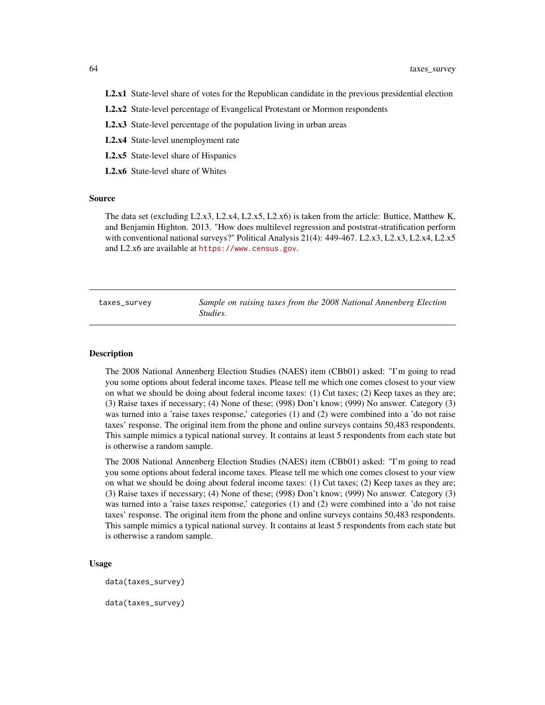- <span id="page-63-0"></span>L2.x1 State-level share of votes for the Republican candidate in the previous presidential election
- L2.x2 State-level percentage of Evangelical Protestant or Mormon respondents
- L2.x3 State-level percentage of the population living in urban areas
- L2.x4 State-level unemployment rate
- L2.x5 State-level share of Hispanics
- L2.x6 State-level share of Whites

#### Source

The data set (excluding L2.x3, L2.x4, L2.x5, L2.x6) is taken from the article: Buttice, Matthew K, and Benjamin Highton. 2013. "How does multilevel regression and poststrat-stratification perform with conventional national surveys?" Political Analysis 21(4): 449-467. L2.x3, L2.x3, L2.x4, L2.x5 and L2.x6 are available at <https://www.census.gov>.

| taxes_survey | Sample on raising taxes from the 2008 National Annenberg Election |  |  |  |  |
|--------------|-------------------------------------------------------------------|--|--|--|--|
|              | Studies.                                                          |  |  |  |  |

#### Description

The 2008 National Annenberg Election Studies (NAES) item (CBb01) asked: "I'm going to read you some options about federal income taxes. Please tell me which one comes closest to your view on what we should be doing about federal income taxes: (1) Cut taxes; (2) Keep taxes as they are; (3) Raise taxes if necessary; (4) None of these; (998) Don't know; (999) No answer. Category (3) was turned into a 'raise taxes response,' categories (1) and (2) were combined into a 'do not raise taxes' response. The original item from the phone and online surveys contains 50,483 respondents. This sample mimics a typical national survey. It contains at least 5 respondents from each state but is otherwise a random sample.

The 2008 National Annenberg Election Studies (NAES) item (CBb01) asked: "I'm going to read you some options about federal income taxes. Please tell me which one comes closest to your view on what we should be doing about federal income taxes: (1) Cut taxes; (2) Keep taxes as they are; (3) Raise taxes if necessary; (4) None of these; (998) Don't know; (999) No answer. Category (3) was turned into a 'raise taxes response,' categories (1) and (2) were combined into a 'do not raise taxes' response. The original item from the phone and online surveys contains 50,483 respondents. This sample mimics a typical national survey. It contains at least 5 respondents from each state but is otherwise a random sample.

#### Usage

data(taxes\_survey)

data(taxes\_survey)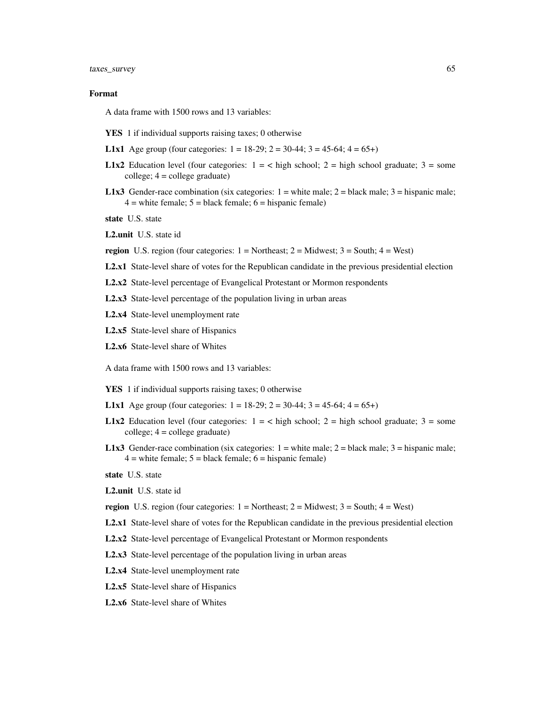#### Format

A data frame with 1500 rows and 13 variables:

- YES 1 if individual supports raising taxes; 0 otherwise
- **L1x1** Age group (four categories:  $1 = 18-29$ ;  $2 = 30-44$ ;  $3 = 45-64$ ;  $4 = 65+$ )
- **L1x2** Education level (four categories:  $1 = \langle$  high school;  $2 =$  high school graduate;  $3 =$  some college; 4 = college graduate)
- **L1x3** Gender-race combination (six categories:  $1 =$  white male;  $2 =$  black male;  $3 =$  hispanic male;  $4 =$  white female;  $5 =$  black female;  $6 =$  hispanic female)

state U.S. state

L2.unit U.S. state id

- **region** U.S. region (four categories:  $1 = \text{Northeast}$ ;  $2 = \text{Midwest}$ ;  $3 = \text{South}$ ;  $4 = \text{West}$ )
- L2.x1 State-level share of votes for the Republican candidate in the previous presidential election
- L2.x2 State-level percentage of Evangelical Protestant or Mormon respondents

L2.x3 State-level percentage of the population living in urban areas

- L2.x4 State-level unemployment rate
- L2.x5 State-level share of Hispanics
- L2.x6 State-level share of Whites

A data frame with 1500 rows and 13 variables:

- YES 1 if individual supports raising taxes; 0 otherwise
- **L1x1** Age group (four categories:  $1 = 18-29$ ;  $2 = 30-44$ ;  $3 = 45-64$ ;  $4 = 65+$ )
- L1x2 Education level (four categories:  $1 = \langle$  high school;  $2 =$  high school graduate;  $3 =$  some  $\text{collect: } 4 = \text{collecter} \text{ } \text{ } \text{ }$
- **L1x3** Gender-race combination (six categories:  $1 =$  white male;  $2 =$  black male;  $3 =$  hispanic male;  $4 =$  white female;  $5 =$  black female;  $6 =$  hispanic female)
- state U.S. state
- L2.unit U.S. state id

region U.S. region (four categories:  $1 = \text{Northeast}$ ;  $2 = \text{Midwest}$ ;  $3 = \text{South}$ ;  $4 = \text{West}$ )

- L2.x1 State-level share of votes for the Republican candidate in the previous presidential election
- L2.x2 State-level percentage of Evangelical Protestant or Mormon respondents
- L2.x3 State-level percentage of the population living in urban areas
- L2.x4 State-level unemployment rate
- L2.x5 State-level share of Hispanics
- L2.x6 State-level share of Whites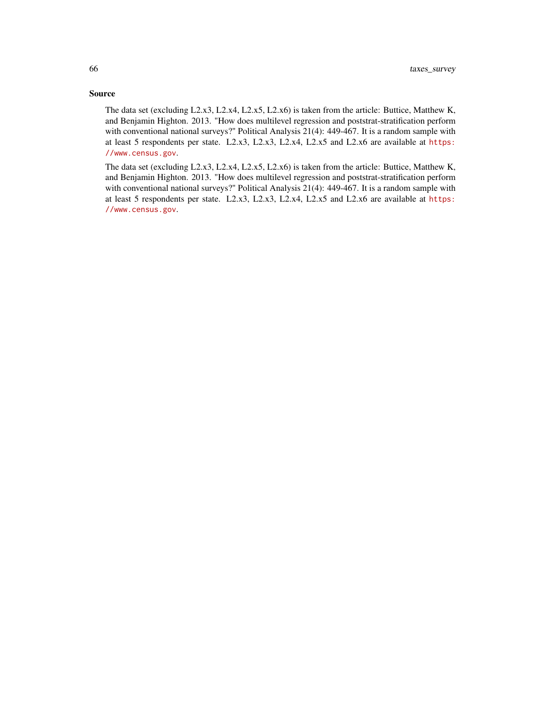#### Source

The data set (excluding L2.x3, L2.x4, L2.x5, L2.x6) is taken from the article: Buttice, Matthew K, and Benjamin Highton. 2013. "How does multilevel regression and poststrat-stratification perform with conventional national surveys?" Political Analysis 21(4): 449-467. It is a random sample with at least 5 respondents per state. L2.x3, L2.x3, L2.x4, L2.x5 and L2.x6 are available at [https:](https://www.census.gov) [//www.census.gov](https://www.census.gov).

The data set (excluding L2.x3, L2.x4, L2.x5, L2.x6) is taken from the article: Buttice, Matthew K, and Benjamin Highton. 2013. "How does multilevel regression and poststrat-stratification perform with conventional national surveys?" Political Analysis 21(4): 449-467. It is a random sample with at least 5 respondents per state. L2.x3, L2.x3, L2.x4, L2.x5 and L2.x6 are available at [https:](https://www.census.gov) [//www.census.gov](https://www.census.gov).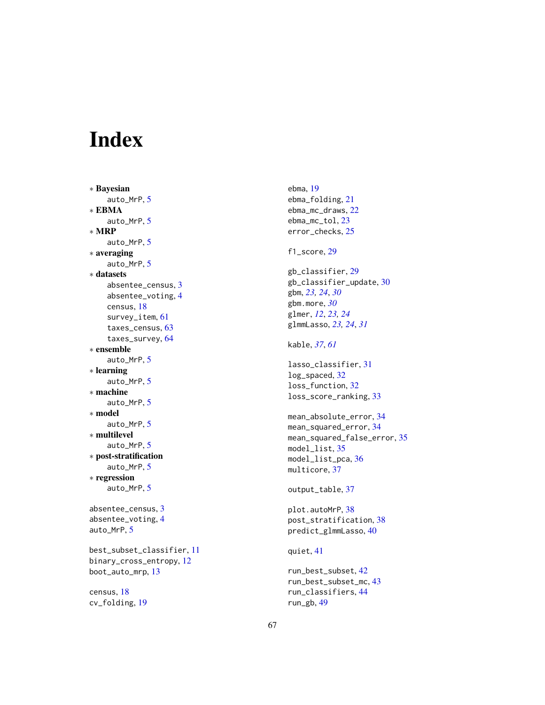# <span id="page-66-0"></span>Index

∗ Bayesian auto\_MrP , [5](#page-4-0) ∗ EBMA auto\_MrP , [5](#page-4-0) ∗ MRP auto\_MrP , [5](#page-4-0) ∗ averaging auto\_MrP , [5](#page-4-0) ∗ datasets absentee\_census , [3](#page-2-0) absentee\_voting , [4](#page-3-0) census , [18](#page-17-0) survey\_item , [61](#page-60-0) taxes\_census , [63](#page-62-0) taxes\_survey , [64](#page-63-0) ∗ ensemble auto\_MrP , [5](#page-4-0) ∗ learning auto\_MrP , [5](#page-4-0) ∗ machine auto\_MrP , [5](#page-4-0) ∗ model auto\_MrP , [5](#page-4-0) ∗ multilevel auto\_MrP , [5](#page-4-0) ∗ post-stratification auto\_MrP , [5](#page-4-0) ∗ regression auto\_MrP , [5](#page-4-0) absentee\_census , [3](#page-2-0) absentee\_voting , [4](#page-3-0) auto\_MrP , [5](#page-4-0) best\_subset\_classifier , [11](#page-10-0) binary\_cross\_entropy , [12](#page-11-0) boot\_auto\_mrp , [13](#page-12-0) census , [18](#page-17-0) cv\_folding , [19](#page-18-0)

ebma , [19](#page-18-0) ebma\_folding , [21](#page-20-0) ebma\_mc\_draws , [22](#page-21-0) ebma\_mc\_tol , [23](#page-22-0) error\_checks , [25](#page-24-0) f1\_score, [29](#page-28-0) gb\_classifier , [29](#page-28-0) gb\_classifier\_update , [30](#page-29-0) gbm , *[23](#page-22-0) , [24](#page-23-0)* , *[30](#page-29-0)* gbm.more , *[30](#page-29-0)* glmer , *[12](#page-11-0)* , *[23](#page-22-0) , [24](#page-23-0)* glmmLasso , *[23](#page-22-0) , [24](#page-23-0)* , *[31](#page-30-0)* kable , *[37](#page-36-0)* , *[61](#page-60-0)* lasso\_classifier , [31](#page-30-0) log\_spaced , [32](#page-31-0) loss\_function , [32](#page-31-0) loss\_score\_ranking , [33](#page-32-0) mean\_absolute\_error , [34](#page-33-0) mean\_squared\_error , [34](#page-33-0) mean\_squared\_false\_error , [35](#page-34-0) model\_list , [35](#page-34-0) model\_list\_pca,[36](#page-35-0) multicore, [37](#page-36-0) output\_table, [37](#page-36-0) plot.autoMrP , [38](#page-37-0) post\_stratification , [38](#page-37-0) predict\_glmmLasso , [40](#page-39-0) quiet , [41](#page-40-0) run\_best\_subset , [42](#page-41-0) run\_best\_subset\_mc , [43](#page-42-0) run\_classifiers , [44](#page-43-0) run\_gb , [49](#page-48-0)